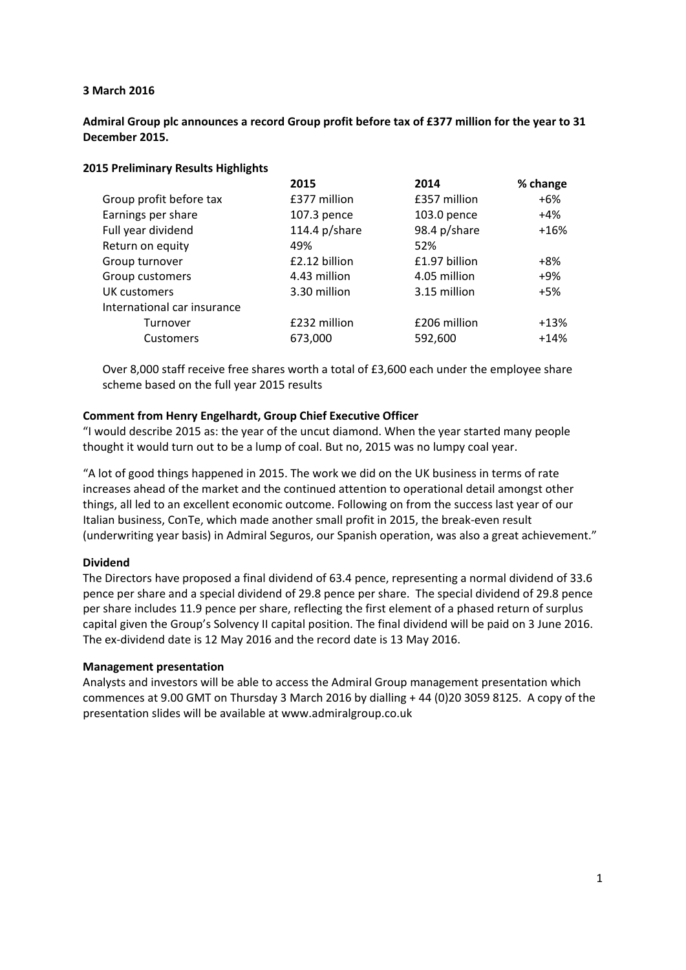## **3 March 2016**

## **Admiral Group plc announces a record Group profit before tax of £377 million for the year to 31 December 2015.**

#### **2015 Preliminary Results Highlights**

|                             | 2015             | 2014          | % change |
|-----------------------------|------------------|---------------|----------|
| Group profit before tax     | £377 million     | £357 million  | $+6%$    |
| Earnings per share          | 107.3 pence      | 103.0 pence   | $+4%$    |
| Full year dividend          | 114.4 $p$ /share | 98.4 p/share  | $+16%$   |
| Return on equity            | 49%              | 52%           |          |
| Group turnover              | £2.12 billion    | £1.97 billion | +8%      |
| Group customers             | 4.43 million     | 4.05 million  | $+9%$    |
| <b>UK customers</b>         | 3.30 million     | 3.15 million  | $+5%$    |
| International car insurance |                  |               |          |
| Turnover                    | £232 million     | £206 million  | $+13%$   |
| <b>Customers</b>            | 673,000          | 592,600       | $+14%$   |
|                             |                  |               |          |

Over 8,000 staff receive free shares worth a total of £3,600 each under the employee share scheme based on the full year 2015 results

## **Comment from Henry Engelhardt, Group Chief Executive Officer**

"I would describe 2015 as: the year of the uncut diamond. When the year started many people thought it would turn out to be a lump of coal. But no, 2015 was no lumpy coal year.

"A lot of good things happened in 2015. The work we did on the UK business in terms of rate increases ahead of the market and the continued attention to operational detail amongst other things, all led to an excellent economic outcome. Following on from the success last year of our Italian business, ConTe, which made another small profit in 2015, the break‐even result (underwriting year basis) in Admiral Seguros, our Spanish operation, was also a great achievement."

#### **Dividend**

The Directors have proposed a final dividend of 63.4 pence, representing a normal dividend of 33.6 pence per share and a special dividend of 29.8 pence per share. The special dividend of 29.8 pence per share includes 11.9 pence per share, reflecting the first element of a phased return of surplus capital given the Group's Solvency II capital position. The final dividend will be paid on 3 June 2016. The ex‐dividend date is 12 May 2016 and the record date is 13 May 2016.

#### **Management presentation**

Analysts and investors will be able to access the Admiral Group management presentation which commences at 9.00 GMT on Thursday 3 March 2016 by dialling + 44 (0)20 3059 8125. A copy of the presentation slides will be available at www.admiralgroup.co.uk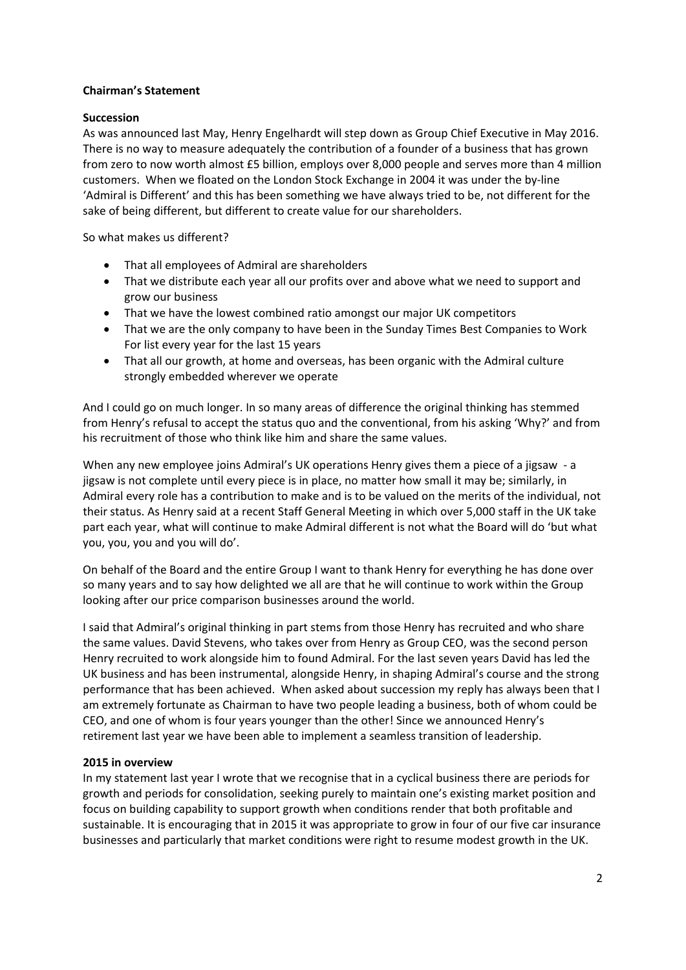## **Chairman's Statement**

## **Succession**

As was announced last May, Henry Engelhardt will step down as Group Chief Executive in May 2016. There is no way to measure adequately the contribution of a founder of a business that has grown from zero to now worth almost £5 billion, employs over 8,000 people and serves more than 4 million customers. When we floated on the London Stock Exchange in 2004 it was under the by‐line 'Admiral is Different' and this has been something we have always tried to be, not different for the sake of being different, but different to create value for our shareholders.

So what makes us different?

- That all employees of Admiral are shareholders
- That we distribute each year all our profits over and above what we need to support and grow our business
- That we have the lowest combined ratio amongst our major UK competitors
- That we are the only company to have been in the Sunday Times Best Companies to Work For list every year for the last 15 years
- That all our growth, at home and overseas, has been organic with the Admiral culture strongly embedded wherever we operate

And I could go on much longer. In so many areas of difference the original thinking has stemmed from Henry's refusal to accept the status quo and the conventional, from his asking 'Why?' and from his recruitment of those who think like him and share the same values.

When any new employee joins Admiral's UK operations Henry gives them a piece of a jigsaw - a jigsaw is not complete until every piece is in place, no matter how small it may be; similarly, in Admiral every role has a contribution to make and is to be valued on the merits of the individual, not their status. As Henry said at a recent Staff General Meeting in which over 5,000 staff in the UK take part each year, what will continue to make Admiral different is not what the Board will do 'but what you, you, you and you will do'.

On behalf of the Board and the entire Group I want to thank Henry for everything he has done over so many years and to say how delighted we all are that he will continue to work within the Group looking after our price comparison businesses around the world.

I said that Admiral's original thinking in part stems from those Henry has recruited and who share the same values. David Stevens, who takes over from Henry as Group CEO, was the second person Henry recruited to work alongside him to found Admiral. For the last seven years David has led the UK business and has been instrumental, alongside Henry, in shaping Admiral's course and the strong performance that has been achieved. When asked about succession my reply has always been that I am extremely fortunate as Chairman to have two people leading a business, both of whom could be CEO, and one of whom is four years younger than the other! Since we announced Henry's retirement last year we have been able to implement a seamless transition of leadership.

## **2015 in overview**

In my statement last year I wrote that we recognise that in a cyclical business there are periods for growth and periods for consolidation, seeking purely to maintain one's existing market position and focus on building capability to support growth when conditions render that both profitable and sustainable. It is encouraging that in 2015 it was appropriate to grow in four of our five car insurance businesses and particularly that market conditions were right to resume modest growth in the UK.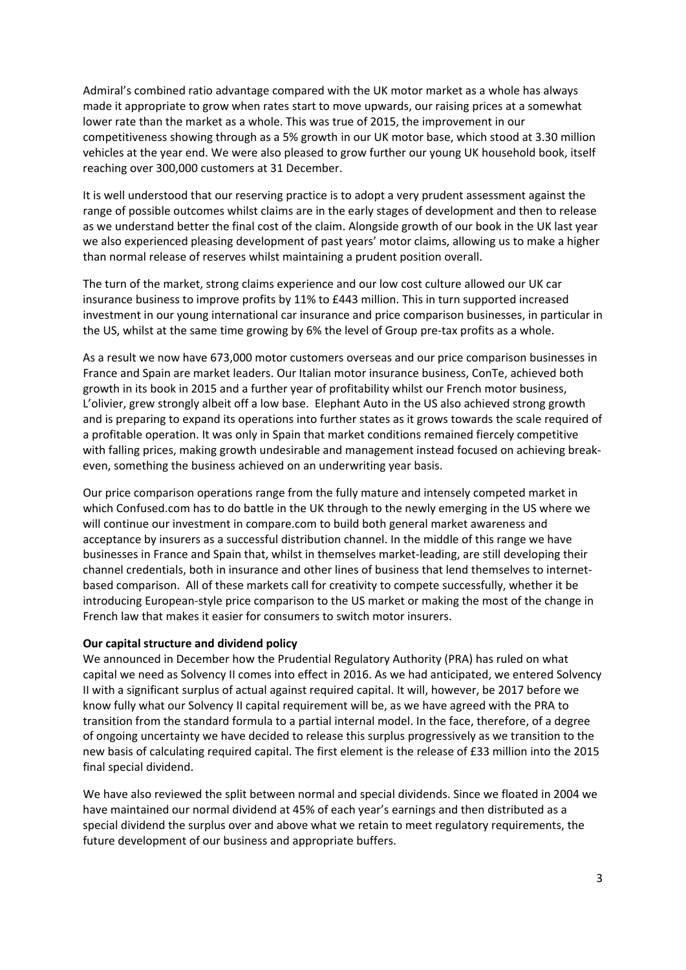Admiral's combined ratio advantage compared with the UK motor market as a whole has always made it appropriate to grow when rates start to move upwards, our raising prices at a somewhat lower rate than the market as a whole. This was true of 2015, the improvement in our competitiveness showing through as a 5% growth in our UK motor base, which stood at 3.30 million vehicles at the year end. We were also pleased to grow further our young UK household book, itself reaching over 300,000 customers at 31 December.

It is well understood that our reserving practice is to adopt a very prudent assessment against the range of possible outcomes whilst claims are in the early stages of development and then to release as we understand better the final cost of the claim. Alongside growth of our book in the UK last year we also experienced pleasing development of past years' motor claims, allowing us to make a higher than normal release of reserves whilst maintaining a prudent position overall.

The turn of the market, strong claims experience and our low cost culture allowed our UK car insurance business to improve profits by 11% to £443 million. This in turn supported increased investment in our young international car insurance and price comparison businesses, in particular in the US, whilst at the same time growing by 6% the level of Group pre-tax profits as a whole.

As a result we now have 673,000 motor customers overseas and our price comparison businesses in France and Spain are market leaders. Our Italian motor insurance business, ConTe, achieved both growth in its book in 2015 and a further year of profitability whilst our French motor business, L'olivier, grew strongly albeit off a low base. Elephant Auto in the US also achieved strong growth and is preparing to expand its operations into further states as it grows towards the scale required of a profitable operation. It was only in Spain that market conditions remained fiercely competitive with falling prices, making growth undesirable and management instead focused on achieving break‐ even, something the business achieved on an underwriting year basis.

Our price comparison operations range from the fully mature and intensely competed market in which Confused.com has to do battle in the UK through to the newly emerging in the US where we will continue our investment in compare.com to build both general market awareness and acceptance by insurers as a successful distribution channel. In the middle of this range we have businesses in France and Spain that, whilst in themselves market‐leading, are still developing their channel credentials, both in insurance and other lines of business that lend themselves to internet‐ based comparison. All of these markets call for creativity to compete successfully, whether it be introducing European‐style price comparison to the US market or making the most of the change in French law that makes it easier for consumers to switch motor insurers.

## **Our capital structure and dividend policy**

We announced in December how the Prudential Regulatory Authority (PRA) has ruled on what capital we need as Solvency II comes into effect in 2016. As we had anticipated, we entered Solvency II with a significant surplus of actual against required capital. It will, however, be 2017 before we know fully what our Solvency II capital requirement will be, as we have agreed with the PRA to transition from the standard formula to a partial internal model. In the face, therefore, of a degree of ongoing uncertainty we have decided to release this surplus progressively as we transition to the new basis of calculating required capital. The first element is the release of £33 million into the 2015 final special dividend.

We have also reviewed the split between normal and special dividends. Since we floated in 2004 we have maintained our normal dividend at 45% of each year's earnings and then distributed as a special dividend the surplus over and above what we retain to meet regulatory requirements, the future development of our business and appropriate buffers.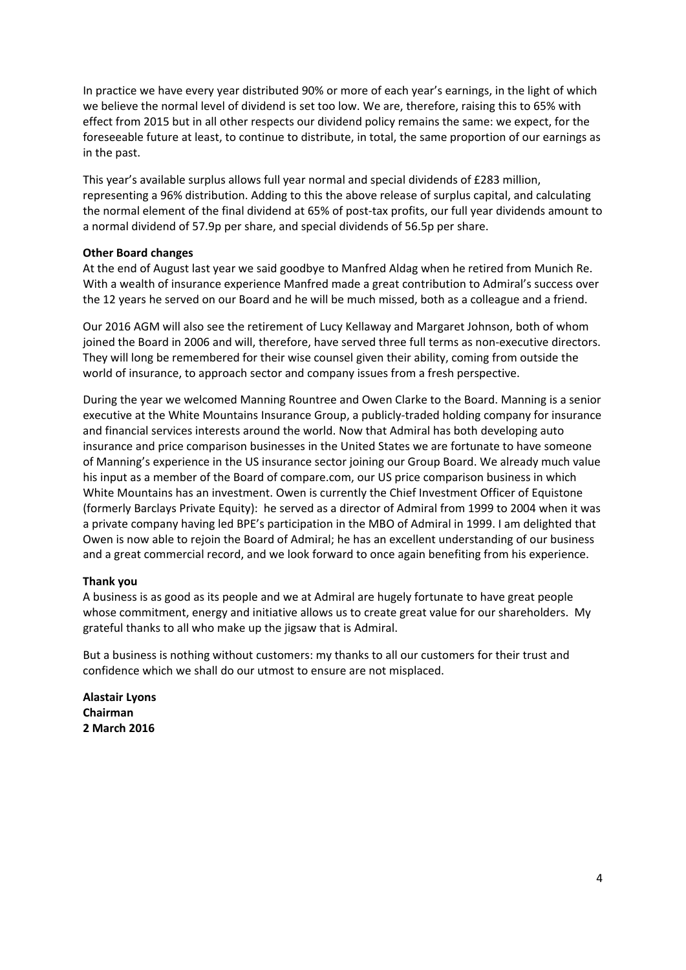In practice we have every year distributed 90% or more of each year's earnings, in the light of which we believe the normal level of dividend is set too low. We are, therefore, raising this to 65% with effect from 2015 but in all other respects our dividend policy remains the same: we expect, for the foreseeable future at least, to continue to distribute, in total, the same proportion of our earnings as in the past.

This year's available surplus allows full year normal and special dividends of £283 million, representing a 96% distribution. Adding to this the above release of surplus capital, and calculating the normal element of the final dividend at 65% of post-tax profits, our full year dividends amount to a normal dividend of 57.9p per share, and special dividends of 56.5p per share.

## **Other Board changes**

At the end of August last year we said goodbye to Manfred Aldag when he retired from Munich Re. With a wealth of insurance experience Manfred made a great contribution to Admiral's success over the 12 years he served on our Board and he will be much missed, both as a colleague and a friend.

Our 2016 AGM will also see the retirement of Lucy Kellaway and Margaret Johnson, both of whom joined the Board in 2006 and will, therefore, have served three full terms as non-executive directors. They will long be remembered for their wise counsel given their ability, coming from outside the world of insurance, to approach sector and company issues from a fresh perspective.

During the year we welcomed Manning Rountree and Owen Clarke to the Board. Manning is a senior executive at the White Mountains Insurance Group, a publicly‐traded holding company for insurance and financial services interests around the world. Now that Admiral has both developing auto insurance and price comparison businesses in the United States we are fortunate to have someone of Manning's experience in the US insurance sector joining our Group Board. We already much value his input as a member of the Board of compare.com, our US price comparison business in which White Mountains has an investment. Owen is currently the Chief Investment Officer of Equistone (formerly Barclays Private Equity): he served as a director of Admiral from 1999 to 2004 when it was a private company having led BPE's participation in the MBO of Admiral in 1999. I am delighted that Owen is now able to rejoin the Board of Admiral; he has an excellent understanding of our business and a great commercial record, and we look forward to once again benefiting from his experience.

# **Thank you**

A business is as good as its people and we at Admiral are hugely fortunate to have great people whose commitment, energy and initiative allows us to create great value for our shareholders. My grateful thanks to all who make up the jigsaw that is Admiral.

But a business is nothing without customers: my thanks to all our customers for their trust and confidence which we shall do our utmost to ensure are not misplaced.

**Alastair Lyons Chairman 2 March 2016**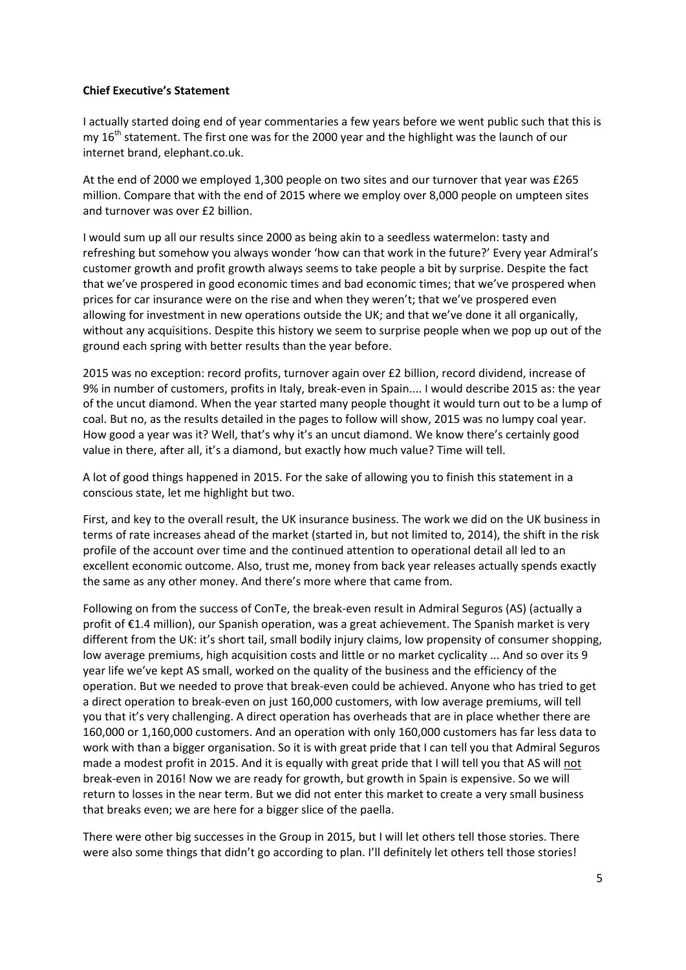## **Chief Executive's Statement**

I actually started doing end of year commentaries a few years before we went public such that this is my  $16<sup>th</sup>$  statement. The first one was for the 2000 year and the highlight was the launch of our internet brand, elephant.co.uk.

At the end of 2000 we employed 1,300 people on two sites and our turnover that year was £265 million. Compare that with the end of 2015 where we employ over 8,000 people on umpteen sites and turnover was over £2 billion.

I would sum up all our results since 2000 as being akin to a seedless watermelon: tasty and refreshing but somehow you always wonder 'how can that work in the future?' Every year Admiral's customer growth and profit growth always seems to take people a bit by surprise. Despite the fact that we've prospered in good economic times and bad economic times; that we've prospered when prices for car insurance were on the rise and when they weren't; that we've prospered even allowing for investment in new operations outside the UK; and that we've done it all organically, without any acquisitions. Despite this history we seem to surprise people when we pop up out of the ground each spring with better results than the year before.

2015 was no exception: record profits, turnover again over £2 billion, record dividend, increase of 9% in number of customers, profits in Italy, break‐even in Spain.... I would describe 2015 as: the year of the uncut diamond. When the year started many people thought it would turn out to be a lump of coal. But no, as the results detailed in the pages to follow will show, 2015 was no lumpy coal year. How good a year was it? Well, that's why it's an uncut diamond. We know there's certainly good value in there, after all, it's a diamond, but exactly how much value? Time will tell.

A lot of good things happened in 2015. For the sake of allowing you to finish this statement in a conscious state, let me highlight but two.

First, and key to the overall result, the UK insurance business. The work we did on the UK business in terms of rate increases ahead of the market (started in, but not limited to, 2014), the shift in the risk profile of the account over time and the continued attention to operational detail all led to an excellent economic outcome. Also, trust me, money from back year releases actually spends exactly the same as any other money. And there's more where that came from.

Following on from the success of ConTe, the break‐even result in Admiral Seguros (AS) (actually a profit of €1.4 million), our Spanish operation, was a great achievement. The Spanish market is very different from the UK: it's short tail, small bodily injury claims, low propensity of consumer shopping, low average premiums, high acquisition costs and little or no market cyclicality ... And so over its 9 year life we've kept AS small, worked on the quality of the business and the efficiency of the operation. But we needed to prove that break‐even could be achieved. Anyone who has tried to get a direct operation to break‐even on just 160,000 customers, with low average premiums, will tell you that it's very challenging. A direct operation has overheads that are in place whether there are 160,000 or 1,160,000 customers. And an operation with only 160,000 customers has far less data to work with than a bigger organisation. So it is with great pride that I can tell you that Admiral Seguros made a modest profit in 2015. And it is equally with great pride that I will tell you that AS will not break‐even in 2016! Now we are ready for growth, but growth in Spain is expensive. So we will return to losses in the near term. But we did not enter this market to create a very small business that breaks even; we are here for a bigger slice of the paella.

There were other big successes in the Group in 2015, but I will let others tell those stories. There were also some things that didn't go according to plan. I'll definitely let others tell those stories!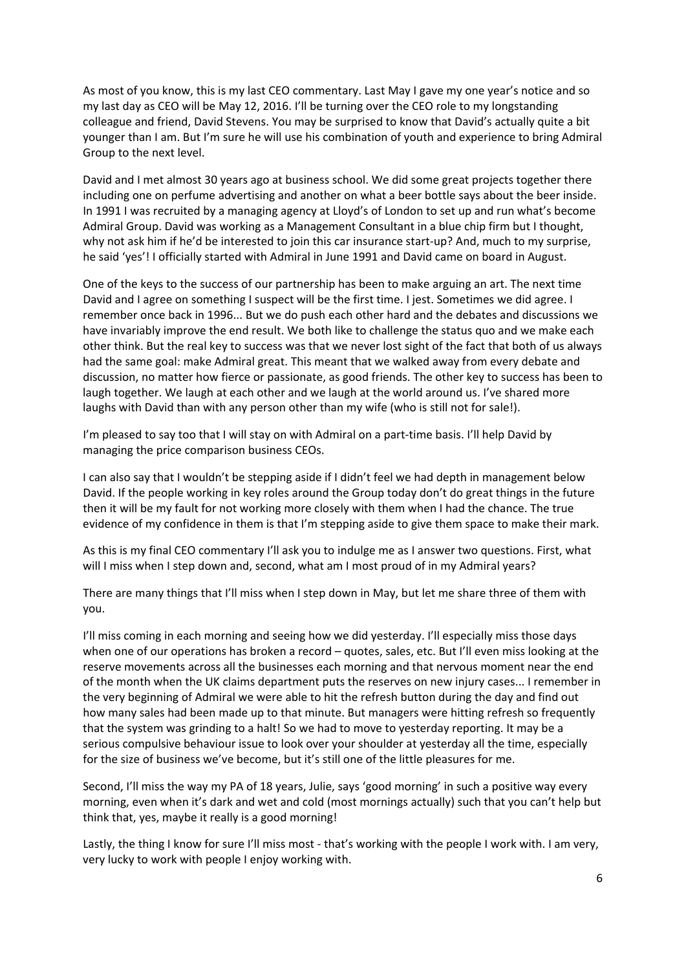As most of you know, this is my last CEO commentary. Last May I gave my one year's notice and so my last day as CEO will be May 12, 2016. I'll be turning over the CEO role to my longstanding colleague and friend, David Stevens. You may be surprised to know that David's actually quite a bit younger than I am. But I'm sure he will use his combination of youth and experience to bring Admiral Group to the next level.

David and I met almost 30 years ago at business school. We did some great projects together there including one on perfume advertising and another on what a beer bottle says about the beer inside. In 1991 I was recruited by a managing agency at Lloyd's of London to set up and run what's become Admiral Group. David was working as a Management Consultant in a blue chip firm but I thought, why not ask him if he'd be interested to join this car insurance start-up? And, much to my surprise, he said 'yes'! I officially started with Admiral in June 1991 and David came on board in August.

One of the keys to the success of our partnership has been to make arguing an art. The next time David and I agree on something I suspect will be the first time. I jest. Sometimes we did agree. I remember once back in 1996... But we do push each other hard and the debates and discussions we have invariably improve the end result. We both like to challenge the status quo and we make each other think. But the real key to success was that we never lost sight of the fact that both of us always had the same goal: make Admiral great. This meant that we walked away from every debate and discussion, no matter how fierce or passionate, as good friends. The other key to success has been to laugh together. We laugh at each other and we laugh at the world around us. I've shared more laughs with David than with any person other than my wife (who is still not for sale!).

I'm pleased to say too that I will stay on with Admiral on a part-time basis. I'll help David by managing the price comparison business CEOs.

I can also say that I wouldn't be stepping aside if I didn't feel we had depth in management below David. If the people working in key roles around the Group today don't do great things in the future then it will be my fault for not working more closely with them when I had the chance. The true evidence of my confidence in them is that I'm stepping aside to give them space to make their mark.

As this is my final CEO commentary I'll ask you to indulge me as I answer two questions. First, what will I miss when I step down and, second, what am I most proud of in my Admiral years?

There are many things that I'll miss when I step down in May, but let me share three of them with you.

I'll miss coming in each morning and seeing how we did yesterday. I'll especially miss those days when one of our operations has broken a record – quotes, sales, etc. But I'll even miss looking at the reserve movements across all the businesses each morning and that nervous moment near the end of the month when the UK claims department puts the reserves on new injury cases... I remember in the very beginning of Admiral we were able to hit the refresh button during the day and find out how many sales had been made up to that minute. But managers were hitting refresh so frequently that the system was grinding to a halt! So we had to move to yesterday reporting. It may be a serious compulsive behaviour issue to look over your shoulder at yesterday all the time, especially for the size of business we've become, but it's still one of the little pleasures for me.

Second, I'll miss the way my PA of 18 years, Julie, says 'good morning' in such a positive way every morning, even when it's dark and wet and cold (most mornings actually) such that you can't help but think that, yes, maybe it really is a good morning!

Lastly, the thing I know for sure I'll miss most - that's working with the people I work with. I am very, very lucky to work with people I enjoy working with.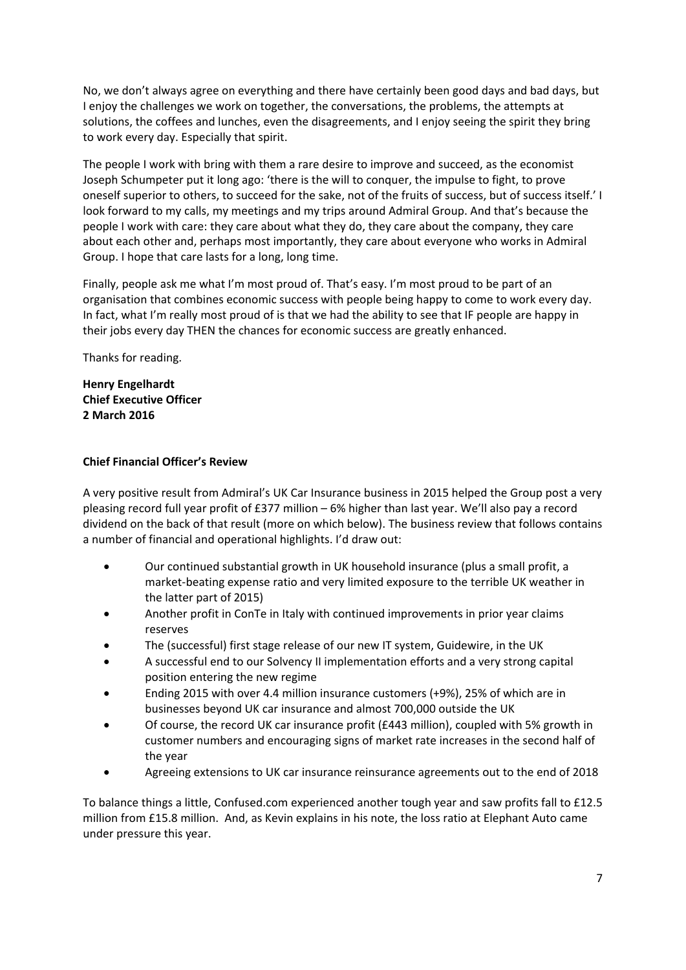No, we don't always agree on everything and there have certainly been good days and bad days, but I enjoy the challenges we work on together, the conversations, the problems, the attempts at solutions, the coffees and lunches, even the disagreements, and I enjoy seeing the spirit they bring to work every day. Especially that spirit.

The people I work with bring with them a rare desire to improve and succeed, as the economist Joseph Schumpeter put it long ago: 'there is the will to conquer, the impulse to fight, to prove oneself superior to others, to succeed for the sake, not of the fruits of success, but of success itself.' I look forward to my calls, my meetings and my trips around Admiral Group. And that's because the people I work with care: they care about what they do, they care about the company, they care about each other and, perhaps most importantly, they care about everyone who works in Admiral Group. I hope that care lasts for a long, long time.

Finally, people ask me what I'm most proud of. That's easy. I'm most proud to be part of an organisation that combines economic success with people being happy to come to work every day. In fact, what I'm really most proud of is that we had the ability to see that IF people are happy in their jobs every day THEN the chances for economic success are greatly enhanced.

Thanks for reading.

**Henry Engelhardt Chief Executive Officer 2 March 2016**

## **Chief Financial Officer's Review**

A very positive result from Admiral's UK Car Insurance business in 2015 helped the Group post a very pleasing record full year profit of £377 million – 6% higher than last year. We'll also pay a record dividend on the back of that result (more on which below). The business review that follows contains a number of financial and operational highlights. I'd draw out:

- Our continued substantial growth in UK household insurance (plus a small profit, a market‐beating expense ratio and very limited exposure to the terrible UK weather in the latter part of 2015)
- Another profit in ConTe in Italy with continued improvements in prior year claims reserves
- The (successful) first stage release of our new IT system, Guidewire, in the UK
- A successful end to our Solvency II implementation efforts and a very strong capital position entering the new regime
- Ending 2015 with over 4.4 million insurance customers (+9%), 25% of which are in businesses beyond UK car insurance and almost 700,000 outside the UK
- Of course, the record UK car insurance profit (£443 million), coupled with 5% growth in customer numbers and encouraging signs of market rate increases in the second half of the year
- Agreeing extensions to UK car insurance reinsurance agreements out to the end of 2018

To balance things a little, Confused.com experienced another tough year and saw profits fall to £12.5 million from £15.8 million. And, as Kevin explains in his note, the loss ratio at Elephant Auto came under pressure this year.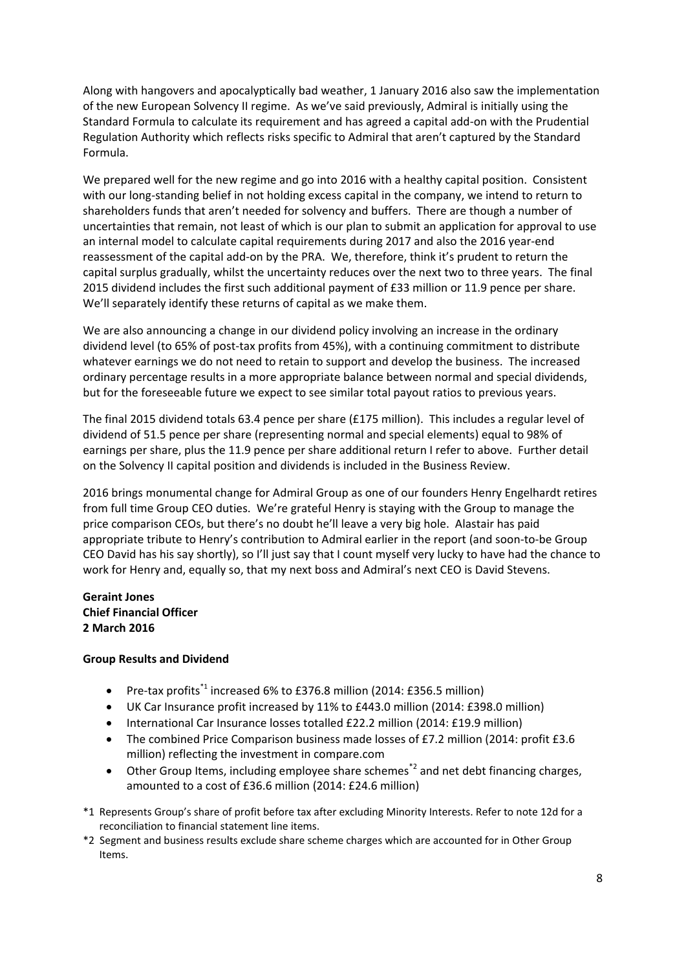Along with hangovers and apocalyptically bad weather, 1 January 2016 also saw the implementation of the new European Solvency II regime. As we've said previously, Admiral is initially using the Standard Formula to calculate its requirement and has agreed a capital add‐on with the Prudential Regulation Authority which reflects risks specific to Admiral that aren't captured by the Standard Formula.

We prepared well for the new regime and go into 2016 with a healthy capital position. Consistent with our long-standing belief in not holding excess capital in the company, we intend to return to shareholders funds that aren't needed for solvency and buffers. There are though a number of uncertainties that remain, not least of which is our plan to submit an application for approval to use an internal model to calculate capital requirements during 2017 and also the 2016 year-end reassessment of the capital add‐on by the PRA. We, therefore, think it's prudent to return the capital surplus gradually, whilst the uncertainty reduces over the next two to three years. The final 2015 dividend includes the first such additional payment of £33 million or 11.9 pence per share. We'll separately identify these returns of capital as we make them.

We are also announcing a change in our dividend policy involving an increase in the ordinary dividend level (to 65% of post-tax profits from 45%), with a continuing commitment to distribute whatever earnings we do not need to retain to support and develop the business. The increased ordinary percentage results in a more appropriate balance between normal and special dividends, but for the foreseeable future we expect to see similar total payout ratios to previous years.

The final 2015 dividend totals 63.4 pence per share (£175 million). This includes a regular level of dividend of 51.5 pence per share (representing normal and special elements) equal to 98% of earnings per share, plus the 11.9 pence per share additional return I refer to above. Further detail on the Solvency II capital position and dividends is included in the Business Review.

2016 brings monumental change for Admiral Group as one of our founders Henry Engelhardt retires from full time Group CEO duties. We're grateful Henry is staying with the Group to manage the price comparison CEOs, but there's no doubt he'll leave a very big hole. Alastair has paid appropriate tribute to Henry's contribution to Admiral earlier in the report (and soon‐to‐be Group CEO David has his say shortly), so I'll just say that I count myself very lucky to have had the chance to work for Henry and, equally so, that my next boss and Admiral's next CEO is David Stevens.

# **Geraint Jones Chief Financial Officer 2 March 2016**

## **Group Results and Dividend**

- Pre-tax profits<sup>\*1</sup> increased 6% to £376.8 million (2014: £356.5 million)
- UK Car Insurance profit increased by 11% to £443.0 million (2014: £398.0 million)
- International Car Insurance losses totalled £22.2 million (2014: £19.9 million)
- The combined Price Comparison business made losses of £7.2 million (2014: profit £3.6 million) reflecting the investment in compare.com
- $\bullet$  Other Group Items, including employee share schemes<sup>\*2</sup> and net debt financing charges, amounted to a cost of £36.6 million (2014: £24.6 million)
- \*1 Represents Group's share of profit before tax after excluding Minority Interests. Refer to note 12d for a reconciliation to financial statement line items.
- \*2 Segment and business results exclude share scheme charges which are accounted for in Other Group Items.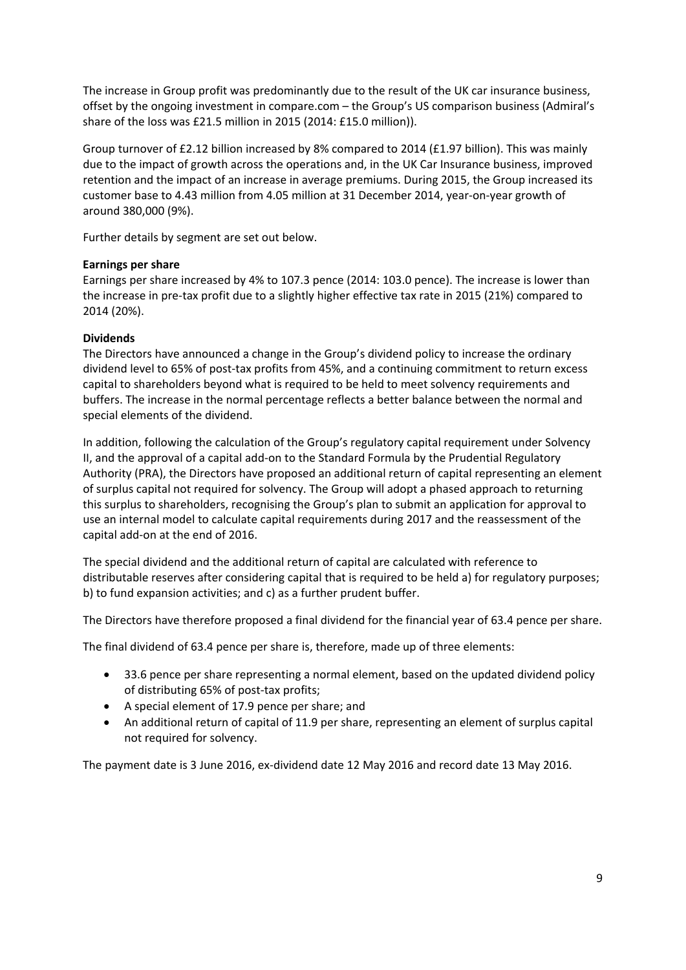The increase in Group profit was predominantly due to the result of the UK car insurance business, offset by the ongoing investment in compare.com – the Group's US comparison business (Admiral's share of the loss was £21.5 million in 2015 (2014: £15.0 million)).

Group turnover of £2.12 billion increased by 8% compared to 2014 (£1.97 billion). This was mainly due to the impact of growth across the operations and, in the UK Car Insurance business, improved retention and the impact of an increase in average premiums. During 2015, the Group increased its customer base to 4.43 million from 4.05 million at 31 December 2014, year‐on‐year growth of around 380,000 (9%).

Further details by segment are set out below.

## **Earnings per share**

Earnings per share increased by 4% to 107.3 pence (2014: 103.0 pence). The increase is lower than the increase in pre-tax profit due to a slightly higher effective tax rate in 2015 (21%) compared to 2014 (20%).

# **Dividends**

The Directors have announced a change in the Group's dividend policy to increase the ordinary dividend level to 65% of post‐tax profits from 45%, and a continuing commitment to return excess capital to shareholders beyond what is required to be held to meet solvency requirements and buffers. The increase in the normal percentage reflects a better balance between the normal and special elements of the dividend.

In addition, following the calculation of the Group's regulatory capital requirement under Solvency II, and the approval of a capital add‐on to the Standard Formula by the Prudential Regulatory Authority (PRA), the Directors have proposed an additional return of capital representing an element of surplus capital not required for solvency. The Group will adopt a phased approach to returning this surplus to shareholders, recognising the Group's plan to submit an application for approval to use an internal model to calculate capital requirements during 2017 and the reassessment of the capital add‐on at the end of 2016.

The special dividend and the additional return of capital are calculated with reference to distributable reserves after considering capital that is required to be held a) for regulatory purposes; b) to fund expansion activities; and c) as a further prudent buffer.

The Directors have therefore proposed a final dividend for the financial year of 63.4 pence per share.

The final dividend of 63.4 pence per share is, therefore, made up of three elements:

- 33.6 pence per share representing a normal element, based on the updated dividend policy of distributing 65% of post‐tax profits;
- A special element of 17.9 pence per share; and
- An additional return of capital of 11.9 per share, representing an element of surplus capital not required for solvency.

The payment date is 3 June 2016, ex‐dividend date 12 May 2016 and record date 13 May 2016.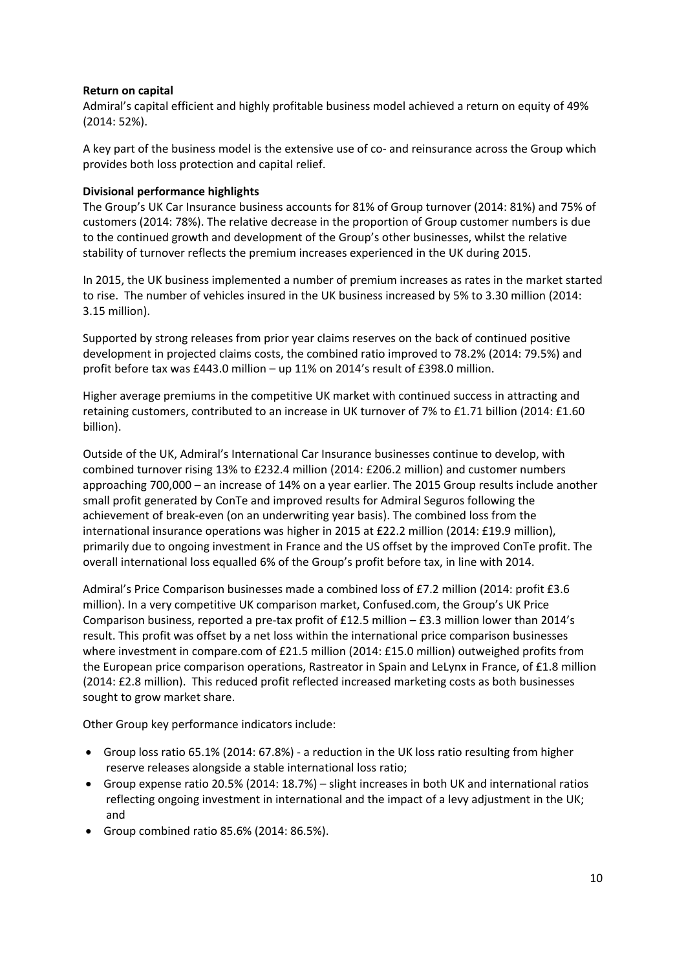## **Return on capital**

Admiral's capital efficient and highly profitable business model achieved a return on equity of 49% (2014: 52%).

A key part of the business model is the extensive use of co- and reinsurance across the Group which provides both loss protection and capital relief.

## **Divisional performance highlights**

The Group's UK Car Insurance business accounts for 81% of Group turnover (2014: 81%) and 75% of customers (2014: 78%). The relative decrease in the proportion of Group customer numbers is due to the continued growth and development of the Group's other businesses, whilst the relative stability of turnover reflects the premium increases experienced in the UK during 2015.

In 2015, the UK business implemented a number of premium increases as rates in the market started to rise. The number of vehicles insured in the UK business increased by 5% to 3.30 million (2014: 3.15 million).

Supported by strong releases from prior year claims reserves on the back of continued positive development in projected claims costs, the combined ratio improved to 78.2% (2014: 79.5%) and profit before tax was £443.0 million – up 11% on 2014's result of £398.0 million.

Higher average premiums in the competitive UK market with continued success in attracting and retaining customers, contributed to an increase in UK turnover of 7% to £1.71 billion (2014: £1.60 billion).

Outside of the UK, Admiral's International Car Insurance businesses continue to develop, with combined turnover rising 13% to £232.4 million (2014: £206.2 million) and customer numbers approaching 700,000 – an increase of 14% on a year earlier. The 2015 Group results include another small profit generated by ConTe and improved results for Admiral Seguros following the achievement of break‐even (on an underwriting year basis). The combined loss from the international insurance operations was higher in 2015 at £22.2 million (2014: £19.9 million), primarily due to ongoing investment in France and the US offset by the improved ConTe profit. The overall international loss equalled 6% of the Group's profit before tax, in line with 2014.

Admiral's Price Comparison businesses made a combined loss of £7.2 million (2014: profit £3.6 million). In a very competitive UK comparison market, Confused.com, the Group's UK Price Comparison business, reported a pre-tax profit of £12.5 million – £3.3 million lower than 2014's result. This profit was offset by a net loss within the international price comparison businesses where investment in compare.com of £21.5 million (2014: £15.0 million) outweighed profits from the European price comparison operations, Rastreator in Spain and LeLynx in France, of £1.8 million (2014: £2.8 million). This reduced profit reflected increased marketing costs as both businesses sought to grow market share.

Other Group key performance indicators include:

- Group loss ratio 65.1% (2014: 67.8%) ‐ a reduction in the UK loss ratio resulting from higher reserve releases alongside a stable international loss ratio;
- Group expense ratio 20.5% (2014: 18.7%) slight increases in both UK and international ratios reflecting ongoing investment in international and the impact of a levy adjustment in the UK; and
- Group combined ratio 85.6% (2014: 86.5%).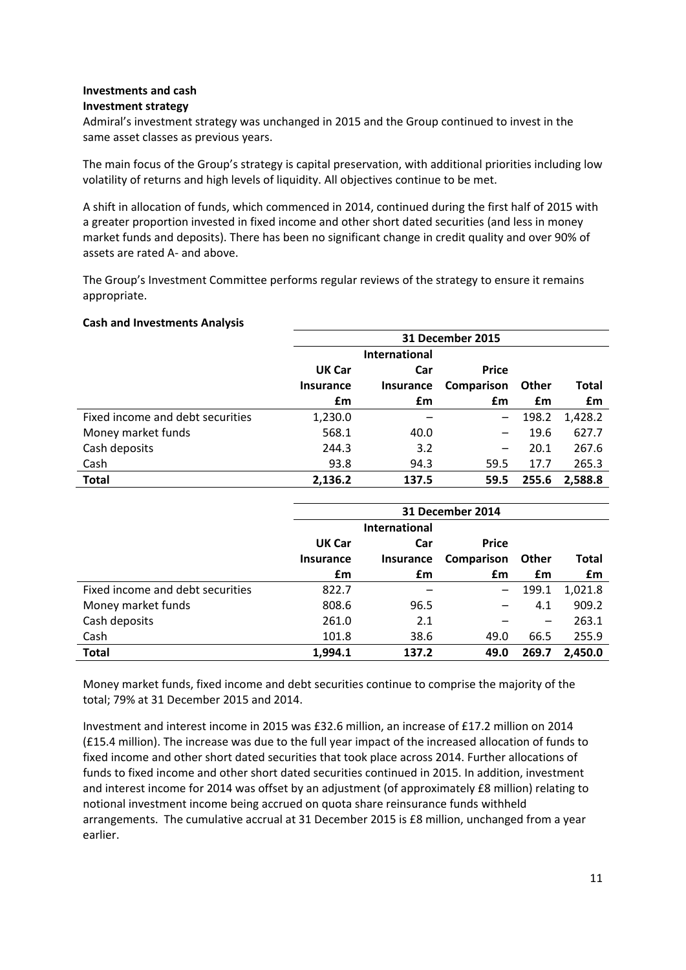#### **Investments and cash Investment strategy**

Admiral's investment strategy was unchanged in 2015 and the Group continued to invest in the same asset classes as previous years.

The main focus of the Group's strategy is capital preservation, with additional priorities including low volatility of returns and high levels of liquidity. All objectives continue to be met.

A shift in allocation of funds, which commenced in 2014, continued during the first half of 2015 with a greater proportion invested in fixed income and other short dated securities (and less in money market funds and deposits). There has been no significant change in credit quality and over 90% of assets are rated A‐ and above.

The Group's Investment Committee performs regular reviews of the strategy to ensure it remains appropriate.

## **Cash and Investments Analysis**

|                                  | <b>31 December 2015</b> |                      |              |              |         |
|----------------------------------|-------------------------|----------------------|--------------|--------------|---------|
|                                  |                         | <b>International</b> |              |              |         |
|                                  | UK Car                  | Car                  | <b>Price</b> |              |         |
|                                  | <b>Insurance</b>        | <b>Insurance</b>     | Comparison   | <b>Other</b> | Total   |
|                                  | £m                      | £m                   | £m           | £m           | £m      |
| Fixed income and debt securities | 1,230.0                 |                      |              | 198.2        | 1,428.2 |
| Money market funds               | 568.1                   | 40.0                 |              | 19.6         | 627.7   |
| Cash deposits                    | 244.3                   | 3.2                  | —            | 20.1         | 267.6   |
| Cash                             | 93.8                    | 94.3                 | 59.5         | 17.7         | 265.3   |
| <b>Total</b>                     | 2,136.2                 | 137.5                | 59.5         | 255.6        | 2,588.8 |

|                                  | 31 December 2014 |                      |              |              |         |
|----------------------------------|------------------|----------------------|--------------|--------------|---------|
|                                  |                  | <b>International</b> |              |              |         |
|                                  | UK Car           | Car                  | <b>Price</b> |              |         |
|                                  | <b>Insurance</b> | <b>Insurance</b>     | Comparison   | <b>Other</b> | Total   |
|                                  | £m               | £m                   | £m           | £m           | £m      |
| Fixed income and debt securities | 822.7            |                      |              | 199.1        | 1,021.8 |
| Money market funds               | 808.6            | 96.5                 |              | 4.1          | 909.2   |
| Cash deposits                    | 261.0            | 2.1                  |              | —            | 263.1   |
| Cash                             | 101.8            | 38.6                 | 49.0         | 66.5         | 255.9   |
| <b>Total</b>                     | 1,994.1          | 137.2                | 49.0         | 269.7        | 2,450.0 |

Money market funds, fixed income and debt securities continue to comprise the majority of the total; 79% at 31 December 2015 and 2014.

Investment and interest income in 2015 was £32.6 million, an increase of £17.2 million on 2014 (£15.4 million). The increase was due to the full year impact of the increased allocation of funds to fixed income and other short dated securities that took place across 2014. Further allocations of funds to fixed income and other short dated securities continued in 2015. In addition, investment and interest income for 2014 was offset by an adjustment (of approximately £8 million) relating to notional investment income being accrued on quota share reinsurance funds withheld arrangements. The cumulative accrual at 31 December 2015 is £8 million, unchanged from a year earlier.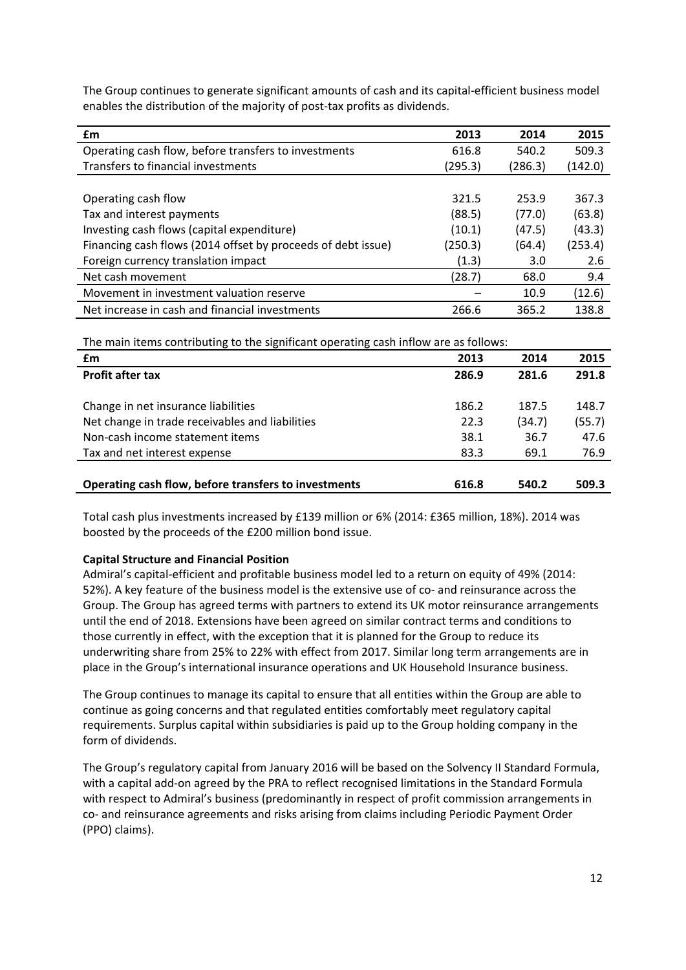| £m                                                           | 2013    | 2014    | 2015    |
|--------------------------------------------------------------|---------|---------|---------|
| Operating cash flow, before transfers to investments         | 616.8   | 540.2   | 509.3   |
| Transfers to financial investments                           | (295.3) | (286.3) | (142.0) |
|                                                              |         |         |         |
| Operating cash flow                                          | 321.5   | 253.9   | 367.3   |
| Tax and interest payments                                    | (88.5)  | (77.0)  | (63.8)  |
| Investing cash flows (capital expenditure)                   | (10.1)  | (47.5)  | (43.3)  |
| Financing cash flows (2014 offset by proceeds of debt issue) | (250.3) | (64.4)  | (253.4) |
| Foreign currency translation impact                          | (1.3)   | 3.0     | 2.6     |
| Net cash movement                                            | (28.7)  | 68.0    | 9.4     |
| Movement in investment valuation reserve                     |         | 10.9    | (12.6)  |
| Net increase in cash and financial investments               | 266.6   | 365.2   | 138.8   |

The Group continues to generate significant amounts of cash and its capital‐efficient business model enables the distribution of the majority of post-tax profits as dividends.

The main items contributing to the significant operating cash inflow are as follows:

| £m                                                   | 2013  | 2014   | 2015   |
|------------------------------------------------------|-------|--------|--------|
| <b>Profit after tax</b>                              | 286.9 | 281.6  | 291.8  |
|                                                      |       |        |        |
| Change in net insurance liabilities                  | 186.2 | 187.5  | 148.7  |
| Net change in trade receivables and liabilities      | 22.3  | (34.7) | (55.7) |
| Non-cash income statement items                      | 38.1  | 36.7   | 47.6   |
| Tax and net interest expense                         | 83.3  | 69.1   | 76.9   |
|                                                      |       |        |        |
| Operating cash flow, before transfers to investments | 616.8 | 540.2  | 509.3  |

Total cash plus investments increased by £139 million or 6% (2014: £365 million, 18%). 2014 was boosted by the proceeds of the £200 million bond issue.

## **Capital Structure and Financial Position**

Admiral's capital‐efficient and profitable business model led to a return on equity of 49% (2014: 52%). A key feature of the business model is the extensive use of co‐ and reinsurance across the Group. The Group has agreed terms with partners to extend its UK motor reinsurance arrangements until the end of 2018. Extensions have been agreed on similar contract terms and conditions to those currently in effect, with the exception that it is planned for the Group to reduce its underwriting share from 25% to 22% with effect from 2017. Similar long term arrangements are in place in the Group's international insurance operations and UK Household Insurance business.

The Group continues to manage its capital to ensure that all entities within the Group are able to continue as going concerns and that regulated entities comfortably meet regulatory capital requirements. Surplus capital within subsidiaries is paid up to the Group holding company in the form of dividends.

The Group's regulatory capital from January 2016 will be based on the Solvency II Standard Formula, with a capital add‐on agreed by the PRA to reflect recognised limitations in the Standard Formula with respect to Admiral's business (predominantly in respect of profit commission arrangements in co- and reinsurance agreements and risks arising from claims including Periodic Payment Order (PPO) claims).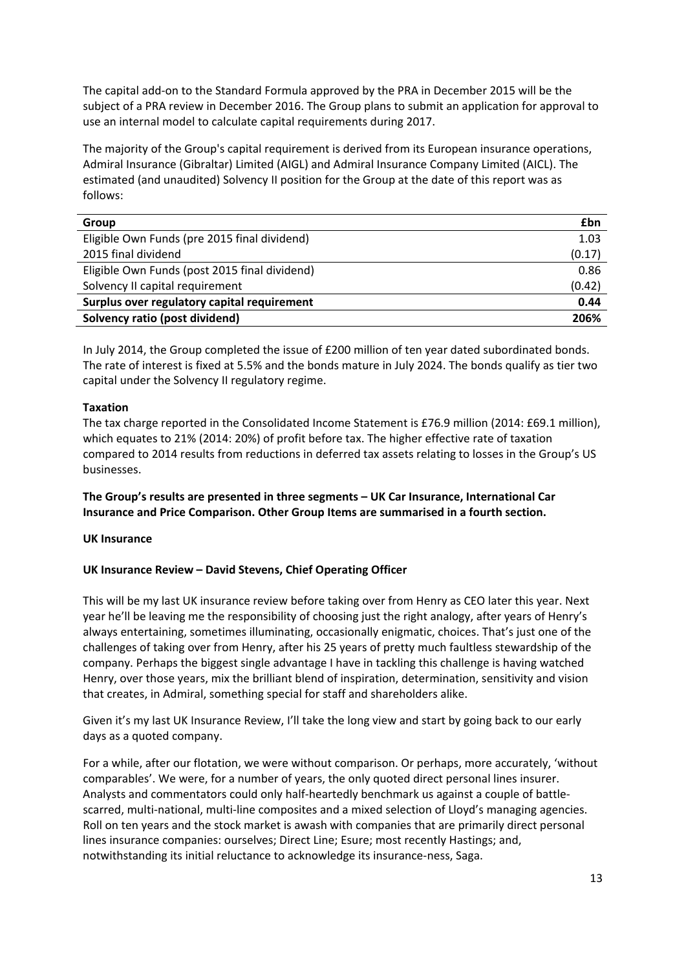The capital add‐on to the Standard Formula approved by the PRA in December 2015 will be the subject of a PRA review in December 2016. The Group plans to submit an application for approval to use an internal model to calculate capital requirements during 2017.

The majority of the Group's capital requirement is derived from its European insurance operations, Admiral Insurance (Gibraltar) Limited (AIGL) and Admiral Insurance Company Limited (AICL). The estimated (and unaudited) Solvency II position for the Group at the date of this report was as follows:

| Group                                         | £bn    |
|-----------------------------------------------|--------|
| Eligible Own Funds (pre 2015 final dividend)  | 1.03   |
| 2015 final dividend                           | (0.17) |
| Eligible Own Funds (post 2015 final dividend) | 0.86   |
| Solvency II capital requirement               | (0.42) |
| Surplus over regulatory capital requirement   | 0.44   |
| Solvency ratio (post dividend)                | 206%   |
|                                               |        |

In July 2014, the Group completed the issue of £200 million of ten year dated subordinated bonds. The rate of interest is fixed at 5.5% and the bonds mature in July 2024. The bonds qualify as tier two capital under the Solvency II regulatory regime.

## **Taxation**

The tax charge reported in the Consolidated Income Statement is £76.9 million (2014: £69.1 million), which equates to 21% (2014: 20%) of profit before tax. The higher effective rate of taxation compared to 2014 results from reductions in deferred tax assets relating to losses in the Group's US businesses.

**The Group's results are presented in three segments – UK Car Insurance, International Car Insurance and Price Comparison. Other Group Items are summarised in a fourth section.**

## **UK Insurance**

## **UK Insurance Review – David Stevens, Chief Operating Officer**

This will be my last UK insurance review before taking over from Henry as CEO later this year. Next year he'll be leaving me the responsibility of choosing just the right analogy, after years of Henry's always entertaining, sometimes illuminating, occasionally enigmatic, choices. That's just one of the challenges of taking over from Henry, after his 25 years of pretty much faultless stewardship of the company. Perhaps the biggest single advantage I have in tackling this challenge is having watched Henry, over those years, mix the brilliant blend of inspiration, determination, sensitivity and vision that creates, in Admiral, something special for staff and shareholders alike.

Given it's my last UK Insurance Review, I'll take the long view and start by going back to our early days as a quoted company.

For a while, after our flotation, we were without comparison. Or perhaps, more accurately, 'without comparables'. We were, for a number of years, the only quoted direct personal lines insurer. Analysts and commentators could only half‐heartedly benchmark us against a couple of battle‐ scarred, multi‐national, multi‐line composites and a mixed selection of Lloyd's managing agencies. Roll on ten years and the stock market is awash with companies that are primarily direct personal lines insurance companies: ourselves; Direct Line; Esure; most recently Hastings; and, notwithstanding its initial reluctance to acknowledge its insurance‐ness, Saga.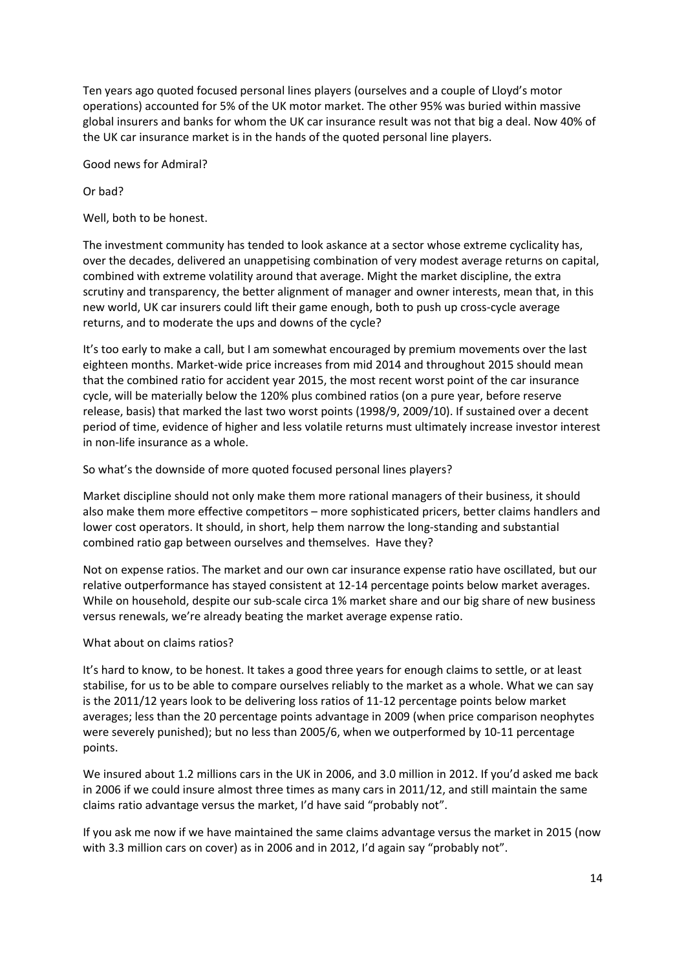Ten years ago quoted focused personal lines players (ourselves and a couple of Lloyd's motor operations) accounted for 5% of the UK motor market. The other 95% was buried within massive global insurers and banks for whom the UK car insurance result was not that big a deal. Now 40% of the UK car insurance market is in the hands of the quoted personal line players.

Good news for Admiral?

Or bad?

Well, both to be honest.

The investment community has tended to look askance at a sector whose extreme cyclicality has, over the decades, delivered an unappetising combination of very modest average returns on capital, combined with extreme volatility around that average. Might the market discipline, the extra scrutiny and transparency, the better alignment of manager and owner interests, mean that, in this new world, UK car insurers could lift their game enough, both to push up cross‐cycle average returns, and to moderate the ups and downs of the cycle?

It's too early to make a call, but I am somewhat encouraged by premium movements over the last eighteen months. Market-wide price increases from mid 2014 and throughout 2015 should mean that the combined ratio for accident year 2015, the most recent worst point of the car insurance cycle, will be materially below the 120% plus combined ratios (on a pure year, before reserve release, basis) that marked the last two worst points (1998/9, 2009/10). If sustained over a decent period of time, evidence of higher and less volatile returns must ultimately increase investor interest in non‐life insurance as a whole.

So what's the downside of more quoted focused personal lines players?

Market discipline should not only make them more rational managers of their business, it should also make them more effective competitors – more sophisticated pricers, better claims handlers and lower cost operators. It should, in short, help them narrow the long-standing and substantial combined ratio gap between ourselves and themselves. Have they?

Not on expense ratios. The market and our own car insurance expense ratio have oscillated, but our relative outperformance has stayed consistent at 12‐14 percentage points below market averages. While on household, despite our sub‐scale circa 1% market share and our big share of new business versus renewals, we're already beating the market average expense ratio.

## What about on claims ratios?

It's hard to know, to be honest. It takes a good three years for enough claims to settle, or at least stabilise, for us to be able to compare ourselves reliably to the market as a whole. What we can say is the 2011/12 years look to be delivering loss ratios of 11‐12 percentage points below market averages; less than the 20 percentage points advantage in 2009 (when price comparison neophytes were severely punished); but no less than 2005/6, when we outperformed by 10‐11 percentage points.

We insured about 1.2 millions cars in the UK in 2006, and 3.0 million in 2012. If you'd asked me back in 2006 if we could insure almost three times as many cars in 2011/12, and still maintain the same claims ratio advantage versus the market, I'd have said "probably not".

If you ask me now if we have maintained the same claims advantage versus the market in 2015 (now with 3.3 million cars on cover) as in 2006 and in 2012, I'd again say "probably not".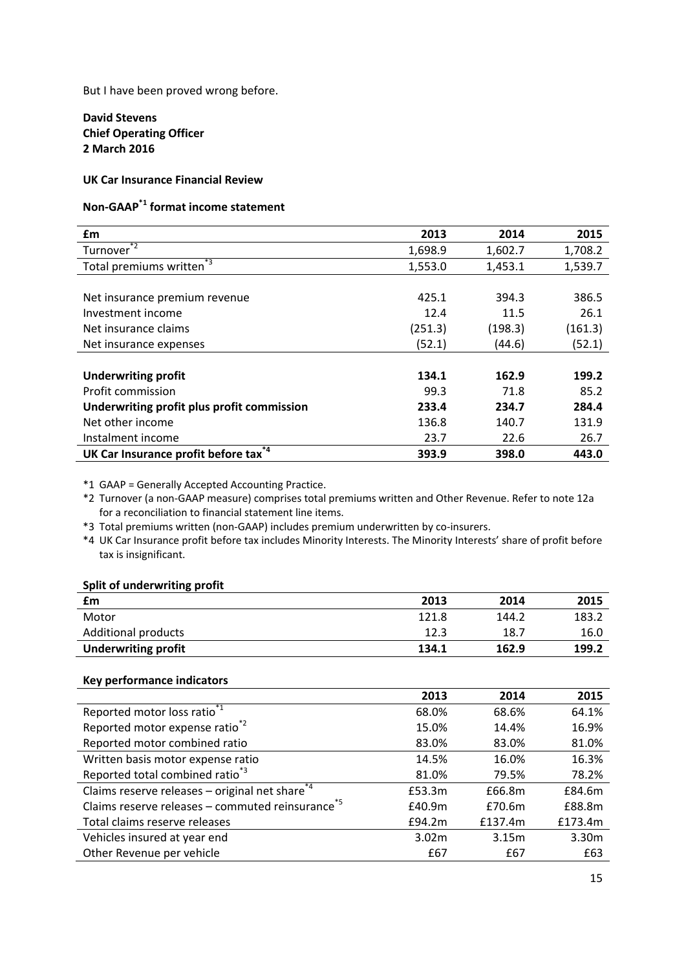But I have been proved wrong before.

## **David Stevens Chief Operating Officer 2 March 2016**

## **UK Car Insurance Financial Review**

# **Non‐GAAP\*1 format income statement**

| £m                                               | 2013    | 2014    | 2015    |
|--------------------------------------------------|---------|---------|---------|
| Turnover <sup>*2</sup>                           | 1,698.9 | 1,602.7 | 1,708.2 |
| Total premiums written <sup>*3</sup>             | 1,553.0 | 1,453.1 | 1,539.7 |
|                                                  |         |         |         |
| Net insurance premium revenue                    | 425.1   | 394.3   | 386.5   |
| Investment income                                | 12.4    | 11.5    | 26.1    |
| Net insurance claims                             | (251.3) | (198.3) | (161.3) |
| Net insurance expenses                           | (52.1)  | (44.6)  | (52.1)  |
|                                                  |         |         |         |
| <b>Underwriting profit</b>                       | 134.1   | 162.9   | 199.2   |
| Profit commission                                | 99.3    | 71.8    | 85.2    |
| Underwriting profit plus profit commission       | 233.4   | 234.7   | 284.4   |
| Net other income                                 | 136.8   | 140.7   | 131.9   |
| Instalment income                                | 23.7    | 22.6    | 26.7    |
| UK Car Insurance profit before tax <sup>74</sup> | 393.9   | 398.0   | 443.0   |

\*1 GAAP = Generally Accepted Accounting Practice.

\*2 Turnover (a non‐GAAP measure) comprises total premiums written and Other Revenue. Refer to note 12a for a reconciliation to financial statement line items.

\*3 Total premiums written (non‐GAAP) includes premium underwritten by co‐insurers.

\*4 UK Car Insurance profit before tax includes Minority Interests. The Minority Interests' share of profit before tax is insignificant.

## **Split of underwriting profit**

| £m                         | 2013  | 2014  | 2015  |
|----------------------------|-------|-------|-------|
| Motor                      | 121.8 | 144.2 | 183.2 |
| <b>Additional products</b> | 12.3  | 18.7  | 16.0  |
| <b>Underwriting profit</b> | 134.1 | 162.9 | 199.2 |

#### **Key performance indicators**

|                                                                         | 2013   | 2014    | 2015    |
|-------------------------------------------------------------------------|--------|---------|---------|
| Reported motor loss ratio <sup>*1</sup>                                 | 68.0%  | 68.6%   | 64.1%   |
| Reported motor expense ratio <sup>*2</sup>                              | 15.0%  | 14.4%   | 16.9%   |
| Reported motor combined ratio                                           | 83.0%  | 83.0%   | 81.0%   |
| Written basis motor expense ratio                                       | 14.5%  | 16.0%   | 16.3%   |
| Reported total combined ratio <sup>*3</sup>                             | 81.0%  | 79.5%   | 78.2%   |
| Claims reserve releases - original net share <sup><math>*4</math></sup> | £53.3m | £66.8m  | £84.6m  |
| Claims reserve releases $-$ commuted reinsurance <sup>*5</sup>          | £40.9m | £70.6m  | £88.8m  |
| Total claims reserve releases                                           | £94.2m | £137.4m | £173.4m |
| Vehicles insured at year end                                            | 3.02m  | 3.15m   | 3.30m   |
| Other Revenue per vehicle                                               | £67    | £67     | £63     |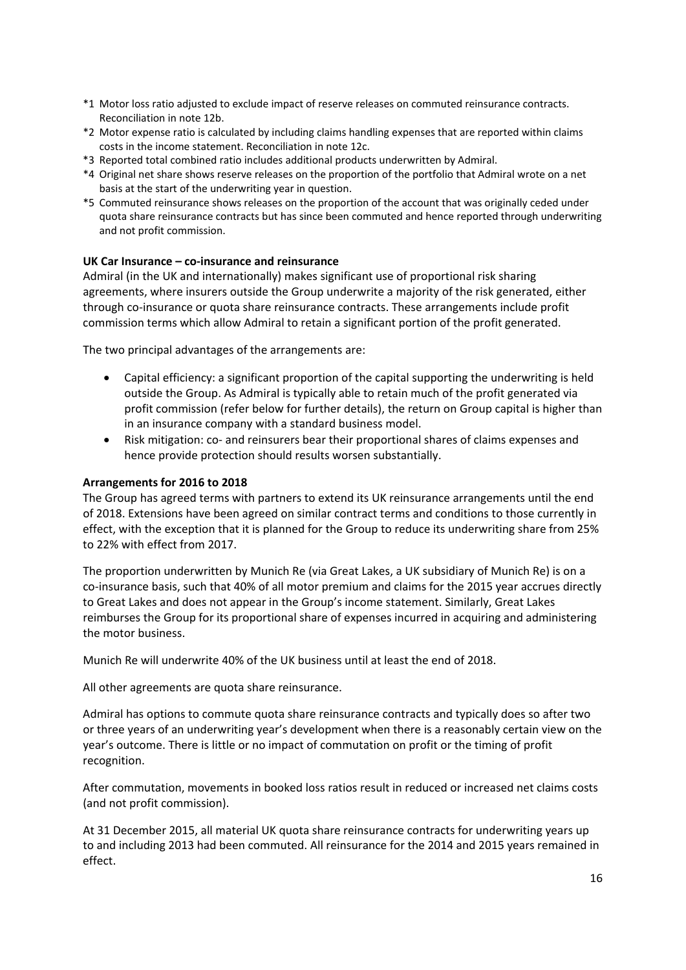- \*1 Motor loss ratio adjusted to exclude impact of reserve releases on commuted reinsurance contracts. Reconciliation in note 12b.
- \*2 Motor expense ratio is calculated by including claims handling expenses that are reported within claims costs in the income statement. Reconciliation in note 12c.
- \*3 Reported total combined ratio includes additional products underwritten by Admiral.
- \*4 Original net share shows reserve releases on the proportion of the portfolio that Admiral wrote on a net basis at the start of the underwriting year in question.
- \*5 Commuted reinsurance shows releases on the proportion of the account that was originally ceded under quota share reinsurance contracts but has since been commuted and hence reported through underwriting and not profit commission.

## **UK Car Insurance – co‐insurance and reinsurance**

Admiral (in the UK and internationally) makes significant use of proportional risk sharing agreements, where insurers outside the Group underwrite a majority of the risk generated, either through co‐insurance or quota share reinsurance contracts. These arrangements include profit commission terms which allow Admiral to retain a significant portion of the profit generated.

The two principal advantages of the arrangements are:

- Capital efficiency: a significant proportion of the capital supporting the underwriting is held outside the Group. As Admiral is typically able to retain much of the profit generated via profit commission (refer below for further details), the return on Group capital is higher than in an insurance company with a standard business model.
- Risk mitigation: co‐ and reinsurers bear their proportional shares of claims expenses and hence provide protection should results worsen substantially.

#### **Arrangements for 2016 to 2018**

The Group has agreed terms with partners to extend its UK reinsurance arrangements until the end of 2018. Extensions have been agreed on similar contract terms and conditions to those currently in effect, with the exception that it is planned for the Group to reduce its underwriting share from 25% to 22% with effect from 2017.

The proportion underwritten by Munich Re (via Great Lakes, a UK subsidiary of Munich Re) is on a co-insurance basis, such that 40% of all motor premium and claims for the 2015 year accrues directly to Great Lakes and does not appear in the Group's income statement. Similarly, Great Lakes reimburses the Group for its proportional share of expenses incurred in acquiring and administering the motor business.

Munich Re will underwrite 40% of the UK business until at least the end of 2018.

All other agreements are quota share reinsurance.

Admiral has options to commute quota share reinsurance contracts and typically does so after two or three years of an underwriting year's development when there is a reasonably certain view on the year's outcome. There is little or no impact of commutation on profit or the timing of profit recognition.

After commutation, movements in booked loss ratios result in reduced or increased net claims costs (and not profit commission).

At 31 December 2015, all material UK quota share reinsurance contracts for underwriting years up to and including 2013 had been commuted. All reinsurance for the 2014 and 2015 years remained in effect.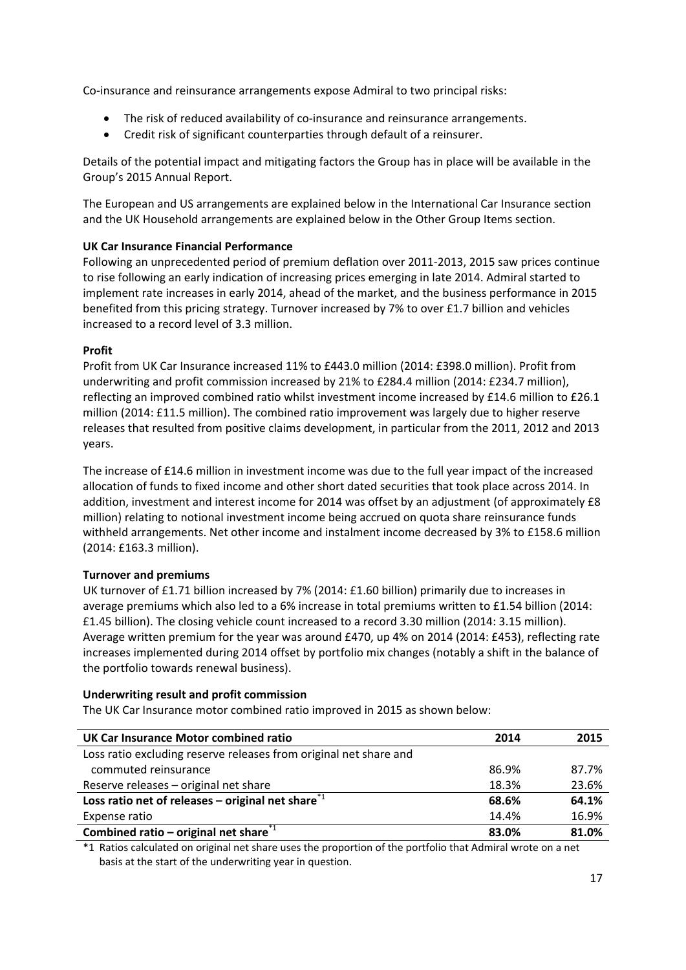Co‐insurance and reinsurance arrangements expose Admiral to two principal risks:

- The risk of reduced availability of co-insurance and reinsurance arrangements.
- Credit risk of significant counterparties through default of a reinsurer.

Details of the potential impact and mitigating factors the Group has in place will be available in the Group's 2015 Annual Report.

The European and US arrangements are explained below in the International Car Insurance section and the UK Household arrangements are explained below in the Other Group Items section.

## **UK Car Insurance Financial Performance**

Following an unprecedented period of premium deflation over 2011‐2013, 2015 saw prices continue to rise following an early indication of increasing prices emerging in late 2014. Admiral started to implement rate increases in early 2014, ahead of the market, and the business performance in 2015 benefited from this pricing strategy. Turnover increased by 7% to over £1.7 billion and vehicles increased to a record level of 3.3 million.

## **Profit**

Profit from UK Car Insurance increased 11% to £443.0 million (2014: £398.0 million). Profit from underwriting and profit commission increased by 21% to £284.4 million (2014: £234.7 million), reflecting an improved combined ratio whilst investment income increased by £14.6 million to £26.1 million (2014: £11.5 million). The combined ratio improvement was largely due to higher reserve releases that resulted from positive claims development, in particular from the 2011, 2012 and 2013 years.

The increase of £14.6 million in investment income was due to the full year impact of the increased allocation of funds to fixed income and other short dated securities that took place across 2014. In addition, investment and interest income for 2014 was offset by an adjustment (of approximately £8 million) relating to notional investment income being accrued on quota share reinsurance funds withheld arrangements. Net other income and instalment income decreased by 3% to £158.6 million (2014: £163.3 million).

## **Turnover and premiums**

UK turnover of £1.71 billion increased by 7% (2014: £1.60 billion) primarily due to increases in average premiums which also led to a 6% increase in total premiums written to £1.54 billion (2014: £1.45 billion). The closing vehicle count increased to a record 3.30 million (2014: 3.15 million). Average written premium for the year was around £470, up 4% on 2014 (2014: £453), reflecting rate increases implemented during 2014 offset by portfolio mix changes (notably a shift in the balance of the portfolio towards renewal business).

## **Underwriting result and profit commission**

The UK Car Insurance motor combined ratio improved in 2015 as shown below:

| UK Car Insurance Motor combined ratio                                      | 2014  | 2015  |
|----------------------------------------------------------------------------|-------|-------|
| Loss ratio excluding reserve releases from original net share and          |       |       |
| commuted reinsurance                                                       | 86.9% | 87.7% |
| Reserve releases - original net share                                      | 18.3% | 23.6% |
| Loss ratio net of releases – original net share <sup><math>*1</math></sup> | 68.6% | 64.1% |
| Expense ratio                                                              | 14.4% | 16.9% |
| Combined ratio – original net share $i1$                                   | 83.0% | 81.0% |
|                                                                            |       |       |

\*1 Ratios calculated on original net share uses the proportion of the portfolio that Admiral wrote on a net basis at the start of the underwriting year in question.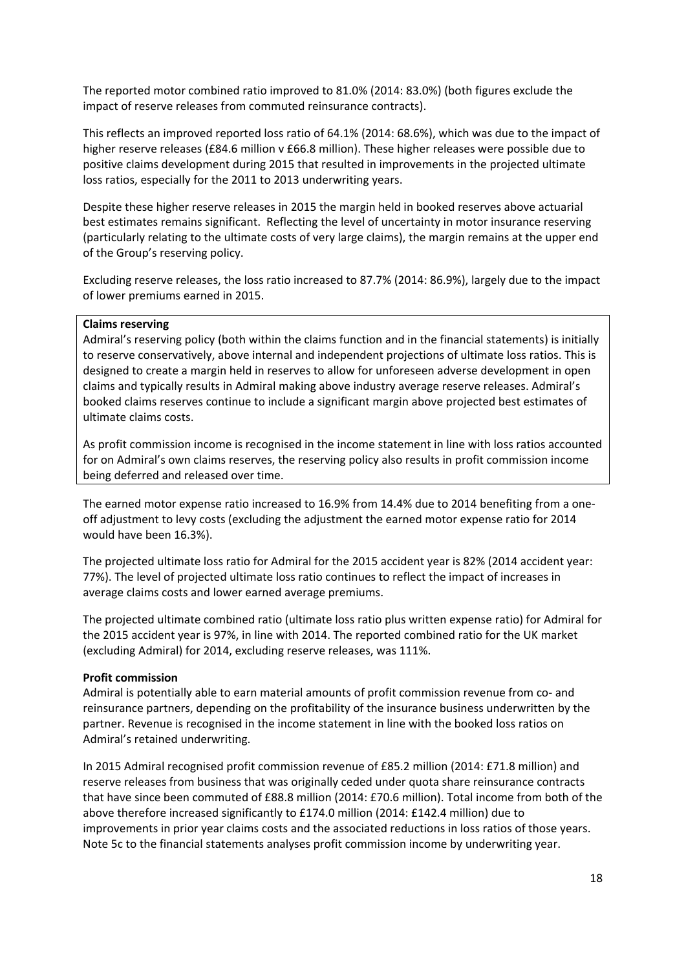The reported motor combined ratio improved to 81.0% (2014: 83.0%) (both figures exclude the impact of reserve releases from commuted reinsurance contracts).

This reflects an improved reported loss ratio of 64.1% (2014: 68.6%), which was due to the impact of higher reserve releases (£84.6 million v £66.8 million). These higher releases were possible due to positive claims development during 2015 that resulted in improvements in the projected ultimate loss ratios, especially for the 2011 to 2013 underwriting years.

Despite these higher reserve releases in 2015 the margin held in booked reserves above actuarial best estimates remains significant. Reflecting the level of uncertainty in motor insurance reserving (particularly relating to the ultimate costs of very large claims), the margin remains at the upper end of the Group's reserving policy.

Excluding reserve releases, the loss ratio increased to 87.7% (2014: 86.9%), largely due to the impact of lower premiums earned in 2015.

#### **Claims reserving**

Admiral's reserving policy (both within the claims function and in the financial statements) is initially to reserve conservatively, above internal and independent projections of ultimate loss ratios. This is designed to create a margin held in reserves to allow for unforeseen adverse development in open claims and typically results in Admiral making above industry average reserve releases. Admiral's booked claims reserves continue to include a significant margin above projected best estimates of ultimate claims costs.

As profit commission income is recognised in the income statement in line with loss ratios accounted for on Admiral's own claims reserves, the reserving policy also results in profit commission income being deferred and released over time.

The earned motor expense ratio increased to 16.9% from 14.4% due to 2014 benefiting from a one‐ off adjustment to levy costs (excluding the adjustment the earned motor expense ratio for 2014 would have been 16.3%).

The projected ultimate loss ratio for Admiral for the 2015 accident year is 82% (2014 accident year: 77%). The level of projected ultimate loss ratio continues to reflect the impact of increases in average claims costs and lower earned average premiums.

The projected ultimate combined ratio (ultimate loss ratio plus written expense ratio) for Admiral for the 2015 accident year is 97%, in line with 2014. The reported combined ratio for the UK market (excluding Admiral) for 2014, excluding reserve releases, was 111%.

#### **Profit commission**

Admiral is potentially able to earn material amounts of profit commission revenue from co‐ and reinsurance partners, depending on the profitability of the insurance business underwritten by the partner. Revenue is recognised in the income statement in line with the booked loss ratios on Admiral's retained underwriting.

In 2015 Admiral recognised profit commission revenue of £85.2 million (2014: £71.8 million) and reserve releases from business that was originally ceded under quota share reinsurance contracts that have since been commuted of £88.8 million (2014: £70.6 million). Total income from both of the above therefore increased significantly to £174.0 million (2014: £142.4 million) due to improvements in prior year claims costs and the associated reductions in loss ratios of those years. Note 5c to the financial statements analyses profit commission income by underwriting year.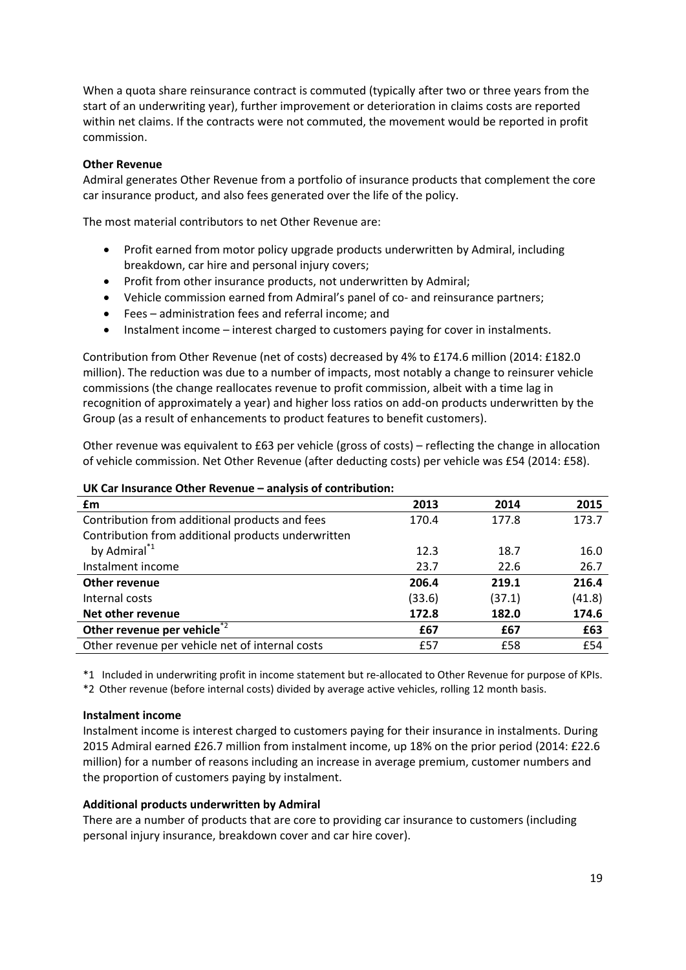When a quota share reinsurance contract is commuted (typically after two or three years from the start of an underwriting year), further improvement or deterioration in claims costs are reported within net claims. If the contracts were not commuted, the movement would be reported in profit commission.

#### **Other Revenue**

Admiral generates Other Revenue from a portfolio of insurance products that complement the core car insurance product, and also fees generated over the life of the policy.

The most material contributors to net Other Revenue are:

- Profit earned from motor policy upgrade products underwritten by Admiral, including breakdown, car hire and personal injury covers;
- Profit from other insurance products, not underwritten by Admiral;
- Vehicle commission earned from Admiral's panel of co- and reinsurance partners;
- Fees administration fees and referral income; and
- Instalment income interest charged to customers paying for cover in instalments.

Contribution from Other Revenue (net of costs) decreased by 4% to £174.6 million (2014: £182.0 million). The reduction was due to a number of impacts, most notably a change to reinsurer vehicle commissions (the change reallocates revenue to profit commission, albeit with a time lag in recognition of approximately a year) and higher loss ratios on add‐on products underwritten by the Group (as a result of enhancements to product features to benefit customers).

Other revenue was equivalent to £63 per vehicle (gross of costs) – reflecting the change in allocation of vehicle commission. Net Other Revenue (after deducting costs) per vehicle was £54 (2014: £58).

| £m                                                 | 2013   | 2014   | 2015   |
|----------------------------------------------------|--------|--------|--------|
| Contribution from additional products and fees     | 170.4  | 177.8  | 173.7  |
| Contribution from additional products underwritten |        |        |        |
| by Admiral <sup>*1</sup>                           | 12.3   | 18.7   | 16.0   |
| Instalment income                                  | 23.7   | 22.6   | 26.7   |
| <b>Other revenue</b>                               | 206.4  | 219.1  | 216.4  |
| Internal costs                                     | (33.6) | (37.1) | (41.8) |
| Net other revenue                                  | 172.8  | 182.0  | 174.6  |
| Other revenue per vehicle <sup>*2</sup>            | £67    | £67    | £63    |
| Other revenue per vehicle net of internal costs    | £57    | £58    | £54    |

#### **UK Car Insurance Other Revenue – analysis of contribution:**

\*1 Included in underwriting profit in income statement but re‐allocated to Other Revenue for purpose of KPIs. \*2 Other revenue (before internal costs) divided by average active vehicles, rolling 12 month basis.

#### **Instalment income**

Instalment income is interest charged to customers paying for their insurance in instalments. During 2015 Admiral earned £26.7 million from instalment income, up 18% on the prior period (2014: £22.6 million) for a number of reasons including an increase in average premium, customer numbers and the proportion of customers paying by instalment.

## **Additional products underwritten by Admiral**

There are a number of products that are core to providing car insurance to customers (including personal injury insurance, breakdown cover and car hire cover).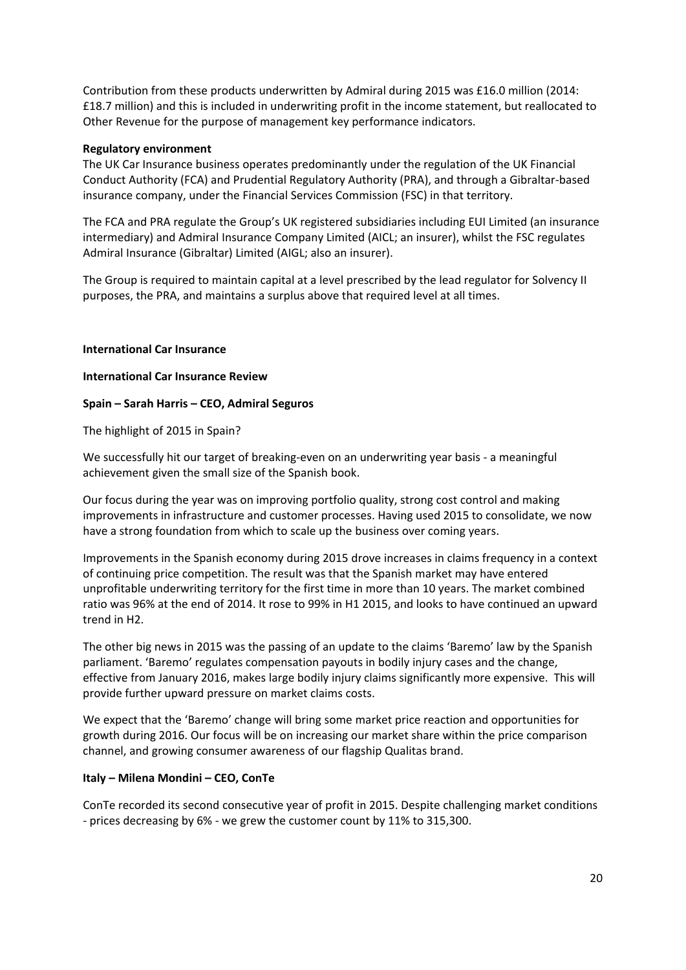Contribution from these products underwritten by Admiral during 2015 was £16.0 million (2014: £18.7 million) and this is included in underwriting profit in the income statement, but reallocated to Other Revenue for the purpose of management key performance indicators.

## **Regulatory environment**

The UK Car Insurance business operates predominantly under the regulation of the UK Financial Conduct Authority (FCA) and Prudential Regulatory Authority (PRA), and through a Gibraltar‐based insurance company, under the Financial Services Commission (FSC) in that territory.

The FCA and PRA regulate the Group's UK registered subsidiaries including EUI Limited (an insurance intermediary) and Admiral Insurance Company Limited (AICL; an insurer), whilst the FSC regulates Admiral Insurance (Gibraltar) Limited (AIGL; also an insurer).

The Group is required to maintain capital at a level prescribed by the lead regulator for Solvency II purposes, the PRA, and maintains a surplus above that required level at all times.

## **International Car Insurance**

## **International Car Insurance Review**

## **Spain – Sarah Harris – CEO, Admiral Seguros**

The highlight of 2015 in Spain?

We successfully hit our target of breaking-even on an underwriting year basis - a meaningful achievement given the small size of the Spanish book.

Our focus during the year was on improving portfolio quality, strong cost control and making improvements in infrastructure and customer processes. Having used 2015 to consolidate, we now have a strong foundation from which to scale up the business over coming years.

Improvements in the Spanish economy during 2015 drove increases in claims frequency in a context of continuing price competition. The result was that the Spanish market may have entered unprofitable underwriting territory for the first time in more than 10 years. The market combined ratio was 96% at the end of 2014. It rose to 99% in H1 2015, and looks to have continued an upward trend in H2.

The other big news in 2015 was the passing of an update to the claims 'Baremo' law by the Spanish parliament. 'Baremo' regulates compensation payouts in bodily injury cases and the change, effective from January 2016, makes large bodily injury claims significantly more expensive. This will provide further upward pressure on market claims costs.

We expect that the 'Baremo' change will bring some market price reaction and opportunities for growth during 2016. Our focus will be on increasing our market share within the price comparison channel, and growing consumer awareness of our flagship Qualitas brand.

## **Italy – Milena Mondini – CEO, ConTe**

ConTe recorded its second consecutive year of profit in 2015. Despite challenging market conditions ‐ prices decreasing by 6% ‐ we grew the customer count by 11% to 315,300.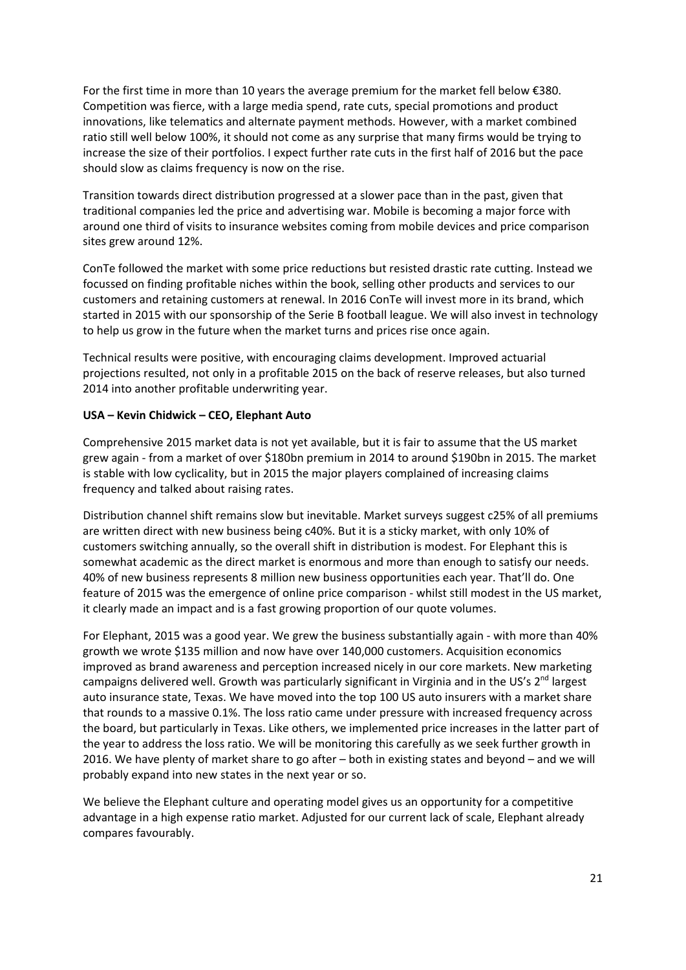For the first time in more than 10 years the average premium for the market fell below €380. Competition was fierce, with a large media spend, rate cuts, special promotions and product innovations, like telematics and alternate payment methods. However, with a market combined ratio still well below 100%, it should not come as any surprise that many firms would be trying to increase the size of their portfolios. I expect further rate cuts in the first half of 2016 but the pace should slow as claims frequency is now on the rise.

Transition towards direct distribution progressed at a slower pace than in the past, given that traditional companies led the price and advertising war. Mobile is becoming a major force with around one third of visits to insurance websites coming from mobile devices and price comparison sites grew around 12%.

ConTe followed the market with some price reductions but resisted drastic rate cutting. Instead we focussed on finding profitable niches within the book, selling other products and services to our customers and retaining customers at renewal. In 2016 ConTe will invest more in its brand, which started in 2015 with our sponsorship of the Serie B football league. We will also invest in technology to help us grow in the future when the market turns and prices rise once again.

Technical results were positive, with encouraging claims development. Improved actuarial projections resulted, not only in a profitable 2015 on the back of reserve releases, but also turned 2014 into another profitable underwriting year.

## **USA – Kevin Chidwick – CEO, Elephant Auto**

Comprehensive 2015 market data is not yet available, but it is fair to assume that the US market grew again ‐ from a market of over \$180bn premium in 2014 to around \$190bn in 2015. The market is stable with low cyclicality, but in 2015 the major players complained of increasing claims frequency and talked about raising rates.

Distribution channel shift remains slow but inevitable. Market surveys suggest c25% of all premiums are written direct with new business being c40%. But it is a sticky market, with only 10% of customers switching annually, so the overall shift in distribution is modest. For Elephant this is somewhat academic as the direct market is enormous and more than enough to satisfy our needs. 40% of new business represents 8 million new business opportunities each year. That'll do. One feature of 2015 was the emergence of online price comparison - whilst still modest in the US market, it clearly made an impact and is a fast growing proportion of our quote volumes.

For Elephant, 2015 was a good year. We grew the business substantially again - with more than 40% growth we wrote \$135 million and now have over 140,000 customers. Acquisition economics improved as brand awareness and perception increased nicely in our core markets. New marketing campaigns delivered well. Growth was particularly significant in Virginia and in the US's  $2^{nd}$  largest auto insurance state, Texas. We have moved into the top 100 US auto insurers with a market share that rounds to a massive 0.1%. The loss ratio came under pressure with increased frequency across the board, but particularly in Texas. Like others, we implemented price increases in the latter part of the year to address the loss ratio. We will be monitoring this carefully as we seek further growth in 2016. We have plenty of market share to go after – both in existing states and beyond – and we will probably expand into new states in the next year or so.

We believe the Elephant culture and operating model gives us an opportunity for a competitive advantage in a high expense ratio market. Adjusted for our current lack of scale, Elephant already compares favourably.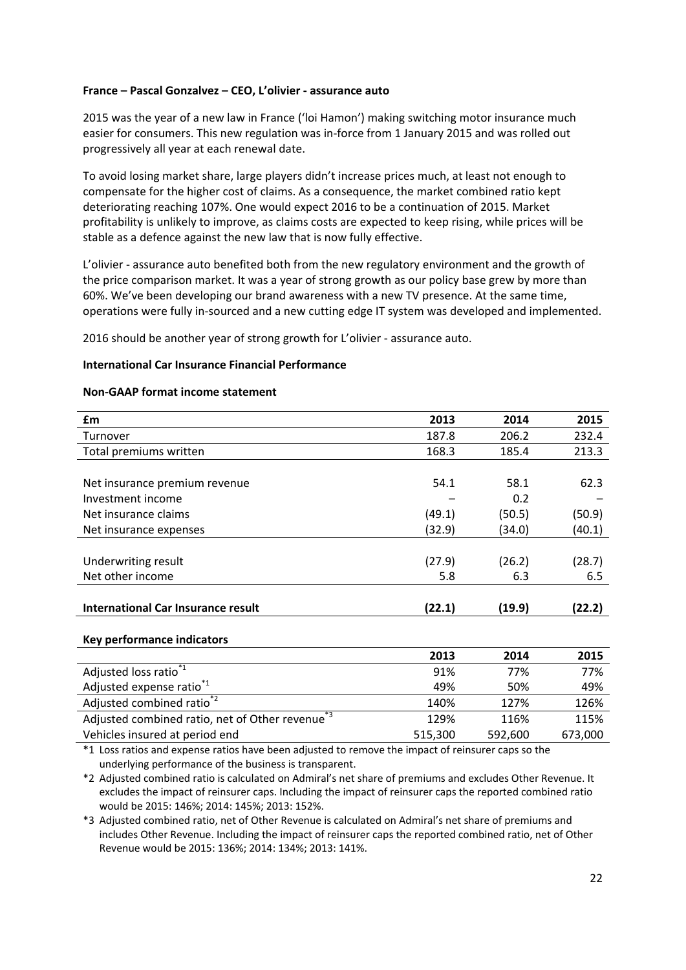### **France – Pascal Gonzalvez – CEO, L'olivier ‐ assurance auto**

2015 was the year of a new law in France ('loi Hamon') making switching motor insurance much easier for consumers. This new regulation was in-force from 1 January 2015 and was rolled out progressively all year at each renewal date.

To avoid losing market share, large players didn't increase prices much, at least not enough to compensate for the higher cost of claims. As a consequence, the market combined ratio kept deteriorating reaching 107%. One would expect 2016 to be a continuation of 2015. Market profitability is unlikely to improve, as claims costs are expected to keep rising, while prices will be stable as a defence against the new law that is now fully effective.

L'olivier ‐ assurance auto benefited both from the new regulatory environment and the growth of the price comparison market. It was a year of strong growth as our policy base grew by more than 60%. We've been developing our brand awareness with a new TV presence. At the same time, operations were fully in‐sourced and a new cutting edge IT system was developed and implemented.

2016 should be another year of strong growth for L'olivier ‐ assurance auto.

#### **International Car Insurance Financial Performance**

#### **Non‐GAAP format income statement**

| £m                                 | 2013   | 2014   | 2015   |
|------------------------------------|--------|--------|--------|
| Turnover                           | 187.8  | 206.2  | 232.4  |
| Total premiums written             | 168.3  | 185.4  | 213.3  |
|                                    |        |        |        |
| Net insurance premium revenue      | 54.1   | 58.1   | 62.3   |
| Investment income                  |        | 0.2    |        |
| Net insurance claims               | (49.1) | (50.5) | (50.9) |
| Net insurance expenses             | (32.9) | (34.0) | (40.1) |
|                                    |        |        |        |
| Underwriting result                | (27.9) | (26.2) | (28.7) |
| Net other income                   | 5.8    | 6.3    | 6.5    |
|                                    |        |        |        |
| International Car Insurance result | (22.1) | (19.9) | (22.2) |

#### **Key performance indicators**

|                                                             | 2013    | 2014    | 2015    |
|-------------------------------------------------------------|---------|---------|---------|
| Adjusted loss ratio <sup>*1</sup>                           | 91%     | 77%     | 77%     |
| Adjusted expense ratio <sup>1</sup>                         | 49%     | 50%     | 49%     |
| Adjusted combined ratio <sup>*2</sup>                       | 140%    | 127%    | 126%    |
| Adjusted combined ratio, net of Other revenue <sup>*3</sup> | 129%    | 116%    | 115%    |
| Vehicles insured at period end                              | 515,300 | 592,600 | 673,000 |

\*1 Loss ratios and expense ratios have been adjusted to remove the impact of reinsurer caps so the underlying performance of the business is transparent.

\*2 Adjusted combined ratio is calculated on Admiral's net share of premiums and excludes Other Revenue. It excludes the impact of reinsurer caps. Including the impact of reinsurer caps the reported combined ratio would be 2015: 146%; 2014: 145%; 2013: 152%.

\*3 Adjusted combined ratio, net of Other Revenue is calculated on Admiral's net share of premiums and includes Other Revenue. Including the impact of reinsurer caps the reported combined ratio, net of Other Revenue would be 2015: 136%; 2014: 134%; 2013: 141%.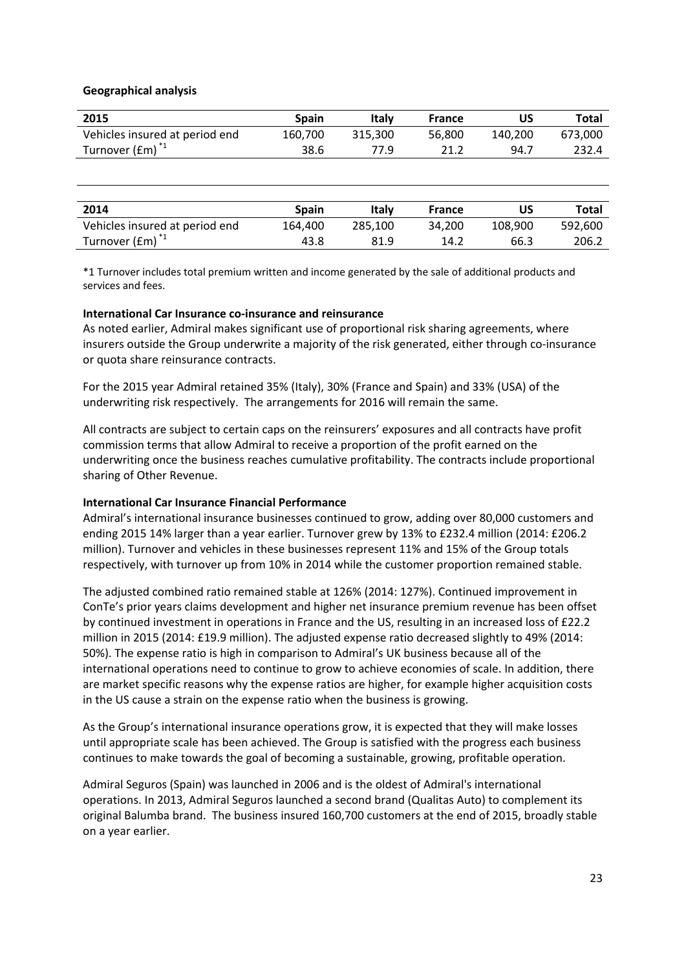## **Geographical analysis**

| 2015                                         | Spain   | Italv   | France |         | Total   |
|----------------------------------------------|---------|---------|--------|---------|---------|
| Vehicles insured at period end               | 160.700 | 315.300 | 56.800 | 140.200 | 673.000 |
| Turnover $f$ (Em) <sup><math>*</math>1</sup> | 38.6    | 77.9    | 21.2   | 94.7    | 232.4   |

| 2014                           | <b>Spain</b> | Italv   | <b>France</b> |         | Total   |
|--------------------------------|--------------|---------|---------------|---------|---------|
| Vehicles insured at period end | 164.400      | 285.100 | 34.200        | 108.900 | 592.600 |
| Turnover $(fm)^{1}$            | 43.8         | 81.9    | 14.2          | 66.3    | 206.2   |
|                                |              |         |               |         |         |

\*1 Turnover includes total premium written and income generated by the sale of additional products and services and fees.

## **International Car Insurance co‐insurance and reinsurance**

As noted earlier, Admiral makes significant use of proportional risk sharing agreements, where insurers outside the Group underwrite a majority of the risk generated, either through co‐insurance or quota share reinsurance contracts.

For the 2015 year Admiral retained 35% (Italy), 30% (France and Spain) and 33% (USA) of the underwriting risk respectively. The arrangements for 2016 will remain the same.

All contracts are subject to certain caps on the reinsurers' exposures and all contracts have profit commission terms that allow Admiral to receive a proportion of the profit earned on the underwriting once the business reaches cumulative profitability. The contracts include proportional sharing of Other Revenue.

## **International Car Insurance Financial Performance**

Admiral's international insurance businesses continued to grow, adding over 80,000 customers and ending 2015 14% larger than a year earlier. Turnover grew by 13% to £232.4 million (2014: £206.2 million). Turnover and vehicles in these businesses represent 11% and 15% of the Group totals respectively, with turnover up from 10% in 2014 while the customer proportion remained stable.

The adjusted combined ratio remained stable at 126% (2014: 127%). Continued improvement in ConTe's prior years claims development and higher net insurance premium revenue has been offset by continued investment in operations in France and the US, resulting in an increased loss of £22.2 million in 2015 (2014: £19.9 million). The adjusted expense ratio decreased slightly to 49% (2014: 50%). The expense ratio is high in comparison to Admiral's UK business because all of the international operations need to continue to grow to achieve economies of scale. In addition, there are market specific reasons why the expense ratios are higher, for example higher acquisition costs in the US cause a strain on the expense ratio when the business is growing.

As the Group's international insurance operations grow, it is expected that they will make losses until appropriate scale has been achieved. The Group is satisfied with the progress each business continues to make towards the goal of becoming a sustainable, growing, profitable operation.

Admiral Seguros (Spain) was launched in 2006 and is the oldest of Admiral's international operations. In 2013, Admiral Seguros launched a second brand (Qualitas Auto) to complement its original Balumba brand. The business insured 160,700 customers at the end of 2015, broadly stable on a year earlier.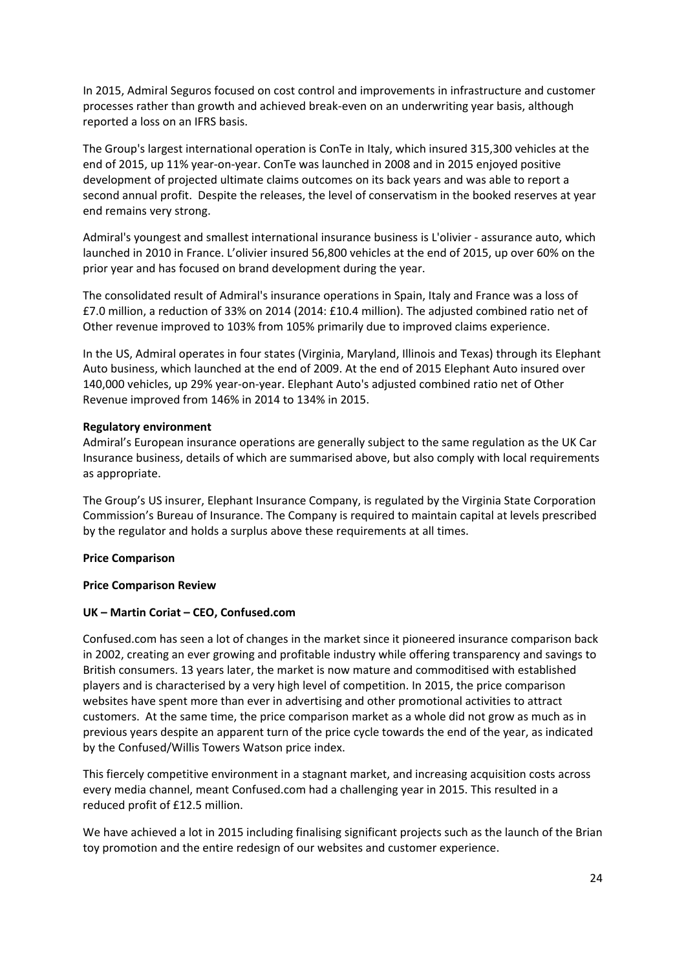In 2015, Admiral Seguros focused on cost control and improvements in infrastructure and customer processes rather than growth and achieved break‐even on an underwriting year basis, although reported a loss on an IFRS basis.

The Group's largest international operation is ConTe in Italy, which insured 315,300 vehicles at the end of 2015, up 11% year‐on‐year. ConTe was launched in 2008 and in 2015 enjoyed positive development of projected ultimate claims outcomes on its back years and was able to report a second annual profit. Despite the releases, the level of conservatism in the booked reserves at year end remains very strong.

Admiral's youngest and smallest international insurance business is L'olivier ‐ assurance auto, which launched in 2010 in France. L'olivier insured 56,800 vehicles at the end of 2015, up over 60% on the prior year and has focused on brand development during the year.

The consolidated result of Admiral's insurance operations in Spain, Italy and France was a loss of £7.0 million, a reduction of 33% on 2014 (2014: £10.4 million). The adjusted combined ratio net of Other revenue improved to 103% from 105% primarily due to improved claims experience.

In the US, Admiral operates in four states (Virginia, Maryland, Illinois and Texas) through its Elephant Auto business, which launched at the end of 2009. At the end of 2015 Elephant Auto insured over 140,000 vehicles, up 29% year‐on‐year. Elephant Auto's adjusted combined ratio net of Other Revenue improved from 146% in 2014 to 134% in 2015.

## **Regulatory environment**

Admiral's European insurance operations are generally subject to the same regulation as the UK Car Insurance business, details of which are summarised above, but also comply with local requirements as appropriate.

The Group's US insurer, Elephant Insurance Company, is regulated by the Virginia State Corporation Commission's Bureau of Insurance. The Company is required to maintain capital at levels prescribed by the regulator and holds a surplus above these requirements at all times.

## **Price Comparison**

## **Price Comparison Review**

## **UK – Martin Coriat – CEO, Confused.com**

Confused.com has seen a lot of changes in the market since it pioneered insurance comparison back in 2002, creating an ever growing and profitable industry while offering transparency and savings to British consumers. 13 years later, the market is now mature and commoditised with established players and is characterised by a very high level of competition. In 2015, the price comparison websites have spent more than ever in advertising and other promotional activities to attract customers. At the same time, the price comparison market as a whole did not grow as much as in previous years despite an apparent turn of the price cycle towards the end of the year, as indicated by the Confused/Willis Towers Watson price index.

This fiercely competitive environment in a stagnant market, and increasing acquisition costs across every media channel, meant Confused.com had a challenging year in 2015. This resulted in a reduced profit of £12.5 million.

We have achieved a lot in 2015 including finalising significant projects such as the launch of the Brian toy promotion and the entire redesign of our websites and customer experience.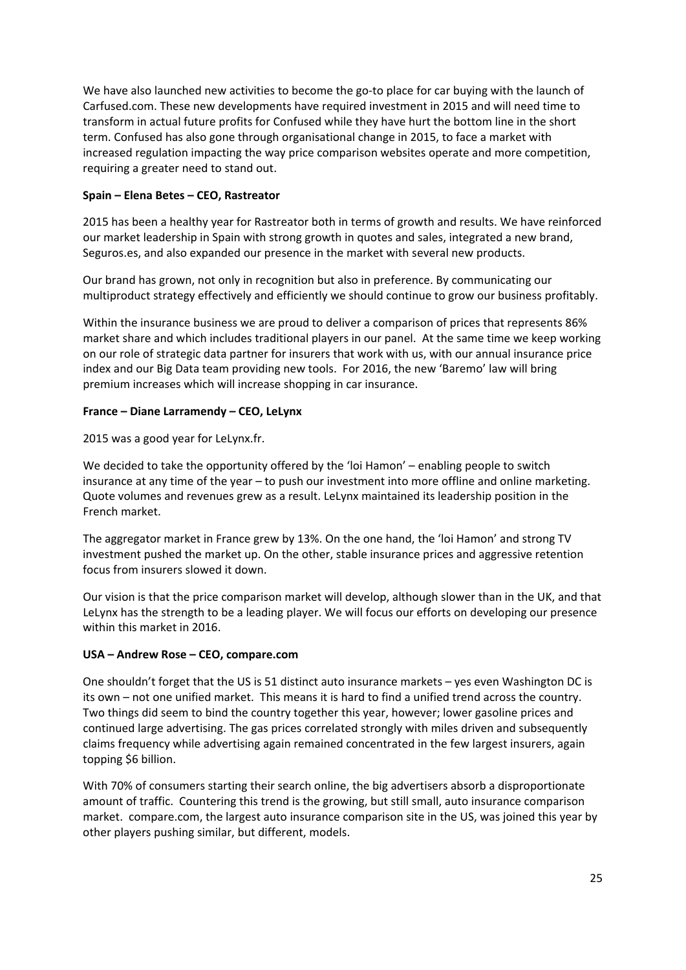We have also launched new activities to become the go-to place for car buying with the launch of Carfused.com. These new developments have required investment in 2015 and will need time to transform in actual future profits for Confused while they have hurt the bottom line in the short term. Confused has also gone through organisational change in 2015, to face a market with increased regulation impacting the way price comparison websites operate and more competition, requiring a greater need to stand out.

## **Spain – Elena Betes – CEO, Rastreator**

2015 has been a healthy year for Rastreator both in terms of growth and results. We have reinforced our market leadership in Spain with strong growth in quotes and sales, integrated a new brand, Seguros.es, and also expanded our presence in the market with several new products.

Our brand has grown, not only in recognition but also in preference. By communicating our multiproduct strategy effectively and efficiently we should continue to grow our business profitably.

Within the insurance business we are proud to deliver a comparison of prices that represents 86% market share and which includes traditional players in our panel. At the same time we keep working on our role of strategic data partner for insurers that work with us, with our annual insurance price index and our Big Data team providing new tools. For 2016, the new 'Baremo' law will bring premium increases which will increase shopping in car insurance.

## **France – Diane Larramendy – CEO, LeLynx**

2015 was a good year for LeLynx.fr.

We decided to take the opportunity offered by the 'loi Hamon' – enabling people to switch insurance at any time of the year – to push our investment into more offline and online marketing. Quote volumes and revenues grew as a result. LeLynx maintained its leadership position in the French market.

The aggregator market in France grew by 13%. On the one hand, the 'loi Hamon' and strong TV investment pushed the market up. On the other, stable insurance prices and aggressive retention focus from insurers slowed it down.

Our vision is that the price comparison market will develop, although slower than in the UK, and that LeLynx has the strength to be a leading player. We will focus our efforts on developing our presence within this market in 2016.

# **USA – Andrew Rose – CEO, compare.com**

One shouldn't forget that the US is 51 distinct auto insurance markets – yes even Washington DC is its own – not one unified market. This means it is hard to find a unified trend across the country. Two things did seem to bind the country together this year, however; lower gasoline prices and continued large advertising. The gas prices correlated strongly with miles driven and subsequently claims frequency while advertising again remained concentrated in the few largest insurers, again topping \$6 billion.

With 70% of consumers starting their search online, the big advertisers absorb a disproportionate amount of traffic. Countering this trend is the growing, but still small, auto insurance comparison market. compare.com, the largest auto insurance comparison site in the US, was joined this year by other players pushing similar, but different, models.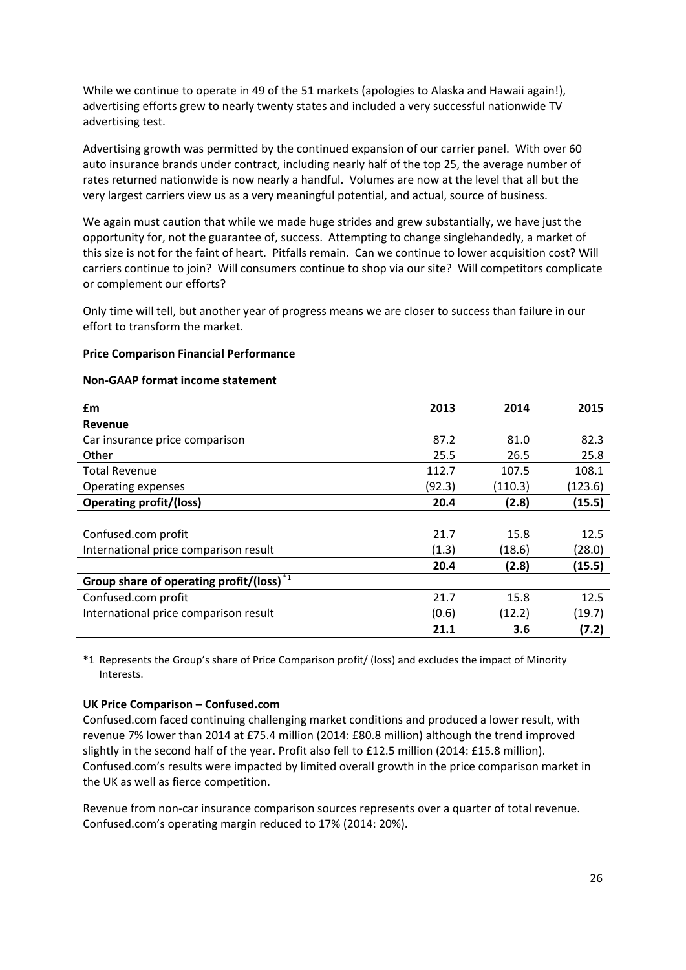While we continue to operate in 49 of the 51 markets (apologies to Alaska and Hawaii again!), advertising efforts grew to nearly twenty states and included a very successful nationwide TV advertising test.

Advertising growth was permitted by the continued expansion of our carrier panel. With over 60 auto insurance brands under contract, including nearly half of the top 25, the average number of rates returned nationwide is now nearly a handful. Volumes are now at the level that all but the very largest carriers view us as a very meaningful potential, and actual, source of business.

We again must caution that while we made huge strides and grew substantially, we have just the opportunity for, not the guarantee of, success. Attempting to change singlehandedly, a market of this size is not for the faint of heart. Pitfalls remain. Can we continue to lower acquisition cost? Will carriers continue to join? Will consumers continue to shop via our site? Will competitors complicate or complement our efforts?

Only time will tell, but another year of progress means we are closer to success than failure in our effort to transform the market.

#### **Price Comparison Financial Performance**

#### **Non‐GAAP format income statement**

| £m                                          | 2013   | 2014    | 2015    |
|---------------------------------------------|--------|---------|---------|
| Revenue                                     |        |         |         |
| Car insurance price comparison              | 87.2   | 81.0    | 82.3    |
| Other                                       | 25.5   | 26.5    | 25.8    |
| <b>Total Revenue</b>                        | 112.7  | 107.5   | 108.1   |
| Operating expenses                          | (92.3) | (110.3) | (123.6) |
| <b>Operating profit/(loss)</b>              | 20.4   | (2.8)   | (15.5)  |
|                                             |        |         |         |
| Confused.com profit                         | 21.7   | 15.8    | 12.5    |
| International price comparison result       | (1.3)  | (18.6)  | (28.0)  |
|                                             | 20.4   | (2.8)   | (15.5)  |
| Group share of operating profit/(loss) $*1$ |        |         |         |
| Confused.com profit                         | 21.7   | 15.8    | 12.5    |
| International price comparison result       | (0.6)  | (12.2)  | (19.7)  |
|                                             | 21.1   | 3.6     | (7.2)   |

\*1 Represents the Group's share of Price Comparison profit/ (loss) and excludes the impact of Minority Interests.

## **UK Price Comparison – Confused.com**

Confused.com faced continuing challenging market conditions and produced a lower result, with revenue 7% lower than 2014 at £75.4 million (2014: £80.8 million) although the trend improved slightly in the second half of the year. Profit also fell to £12.5 million (2014: £15.8 million). Confused.com's results were impacted by limited overall growth in the price comparison market in the UK as well as fierce competition.

Revenue from non-car insurance comparison sources represents over a quarter of total revenue. Confused.com's operating margin reduced to 17% (2014: 20%).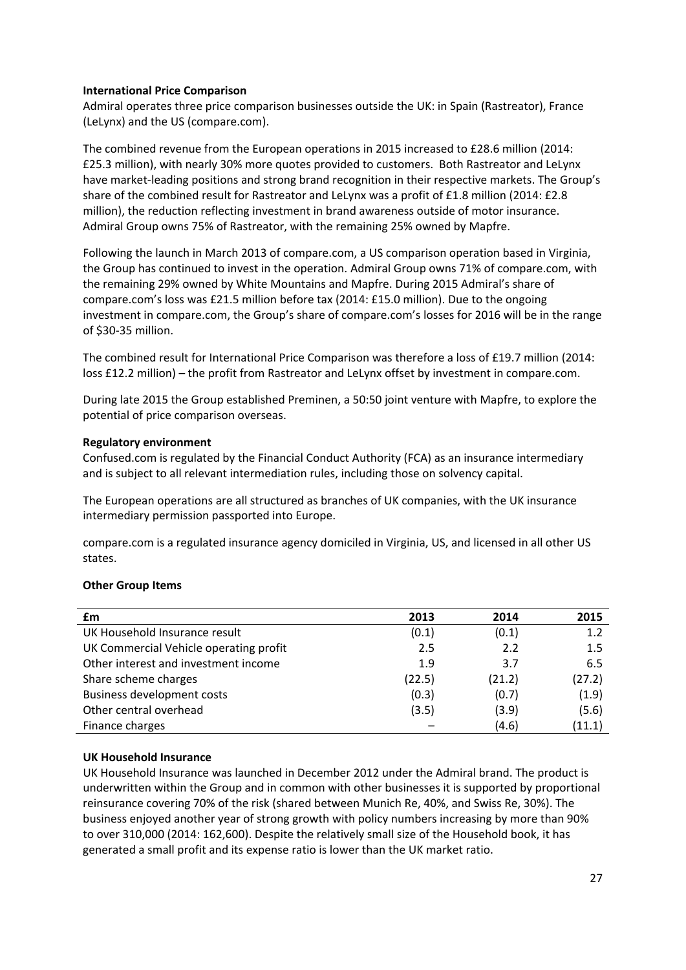## **International Price Comparison**

Admiral operates three price comparison businesses outside the UK: in Spain (Rastreator), France (LeLynx) and the US (compare.com).

The combined revenue from the European operations in 2015 increased to £28.6 million (2014: £25.3 million), with nearly 30% more quotes provided to customers. Both Rastreator and LeLynx have market-leading positions and strong brand recognition in their respective markets. The Group's share of the combined result for Rastreator and LeLynx was a profit of £1.8 million (2014: £2.8 million), the reduction reflecting investment in brand awareness outside of motor insurance. Admiral Group owns 75% of Rastreator, with the remaining 25% owned by Mapfre.

Following the launch in March 2013 of compare.com, a US comparison operation based in Virginia, the Group has continued to invest in the operation. Admiral Group owns 71% of compare.com, with the remaining 29% owned by White Mountains and Mapfre. During 2015 Admiral's share of compare.com's loss was £21.5 million before tax (2014: £15.0 million). Due to the ongoing investment in compare.com, the Group's share of compare.com's losses for 2016 will be in the range of \$30‐35 million.

The combined result for International Price Comparison was therefore a loss of £19.7 million (2014: loss £12.2 million) – the profit from Rastreator and LeLynx offset by investment in compare.com.

During late 2015 the Group established Preminen, a 50:50 joint venture with Mapfre, to explore the potential of price comparison overseas.

## **Regulatory environment**

Confused.com is regulated by the Financial Conduct Authority (FCA) as an insurance intermediary and is subject to all relevant intermediation rules, including those on solvency capital.

The European operations are all structured as branches of UK companies, with the UK insurance intermediary permission passported into Europe.

compare.com is a regulated insurance agency domiciled in Virginia, US, and licensed in all other US states.

## **Other Group Items**

| £m                                     | 2013   | 2014   | 2015   |
|----------------------------------------|--------|--------|--------|
| UK Household Insurance result          | (0.1)  | (0.1)  | 1.2    |
| UK Commercial Vehicle operating profit | 2.5    | 2.2    | 1.5    |
| Other interest and investment income   | 1.9    | 3.7    | 6.5    |
| Share scheme charges                   | (22.5) | (21.2) | (27.2) |
| <b>Business development costs</b>      | (0.3)  | (0.7)  | (1.9)  |
| Other central overhead                 | (3.5)  | (3.9)  | (5.6)  |
| Finance charges                        |        | (4.6)  | (11.1) |

## **UK Household Insurance**

UK Household Insurance was launched in December 2012 under the Admiral brand. The product is underwritten within the Group and in common with other businesses it is supported by proportional reinsurance covering 70% of the risk (shared between Munich Re, 40%, and Swiss Re, 30%). The business enjoyed another year of strong growth with policy numbers increasing by more than 90% to over 310,000 (2014: 162,600). Despite the relatively small size of the Household book, it has generated a small profit and its expense ratio is lower than the UK market ratio.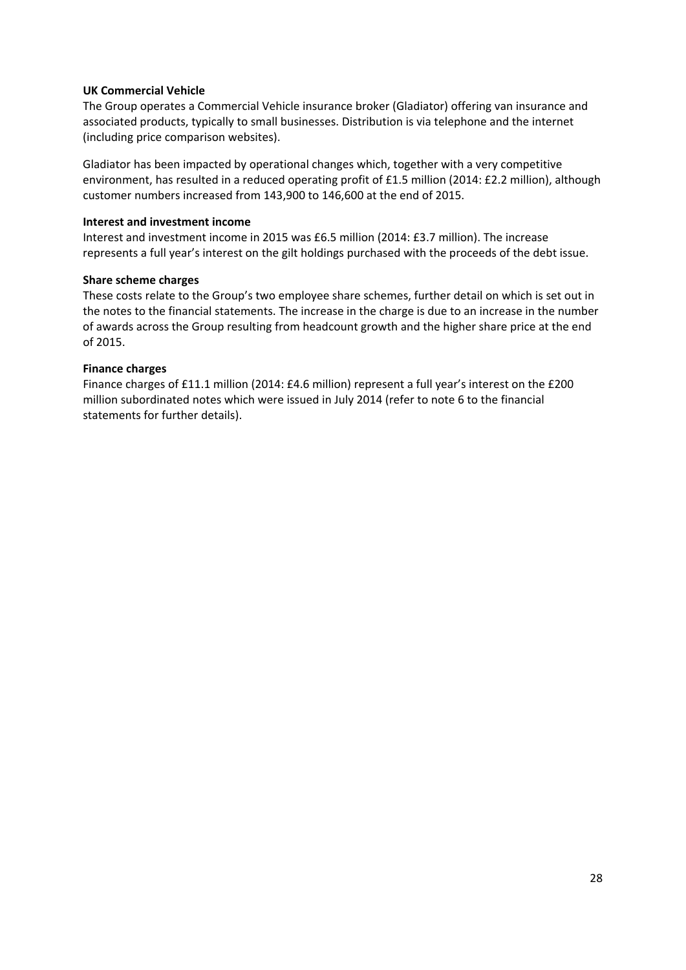## **UK Commercial Vehicle**

The Group operates a Commercial Vehicle insurance broker (Gladiator) offering van insurance and associated products, typically to small businesses. Distribution is via telephone and the internet (including price comparison websites).

Gladiator has been impacted by operational changes which, together with a very competitive environment, has resulted in a reduced operating profit of £1.5 million (2014: £2.2 million), although customer numbers increased from 143,900 to 146,600 at the end of 2015.

## **Interest and investment income**

Interest and investment income in 2015 was £6.5 million (2014: £3.7 million). The increase represents a full year's interest on the gilt holdings purchased with the proceeds of the debt issue.

## **Share scheme charges**

These costs relate to the Group's two employee share schemes, further detail on which is set out in the notes to the financial statements. The increase in the charge is due to an increase in the number of awards across the Group resulting from headcount growth and the higher share price at the end of 2015.

## **Finance charges**

Finance charges of £11.1 million (2014: £4.6 million) represent a full year's interest on the £200 million subordinated notes which were issued in July 2014 (refer to note 6 to the financial statements for further details).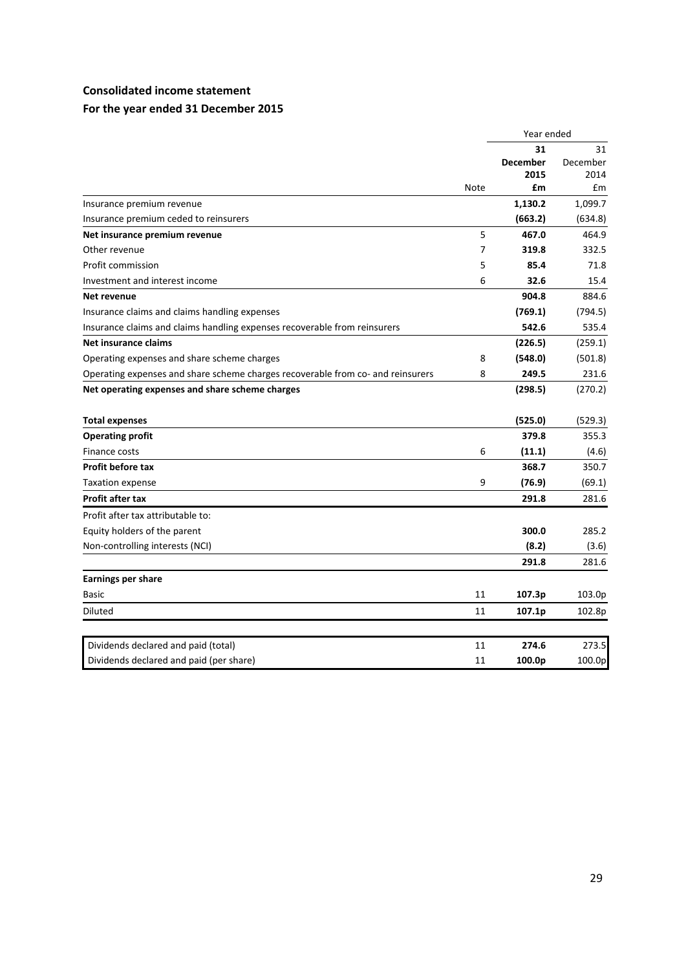## **Consolidated income statement**

# **For the year ended 31 December 2015**

|    | Year ended                      |                                                                             |
|----|---------------------------------|-----------------------------------------------------------------------------|
|    | 31                              | 31                                                                          |
|    | <b>December</b>                 | December                                                                    |
|    |                                 | 2014<br>£m                                                                  |
|    |                                 |                                                                             |
|    |                                 | 1,099.7                                                                     |
|    |                                 | (634.8)                                                                     |
|    |                                 | 464.9                                                                       |
|    |                                 | 332.5                                                                       |
|    |                                 | 71.8                                                                        |
|    |                                 | 15.4                                                                        |
|    |                                 | 884.6                                                                       |
|    | (769.1)                         | (794.5)                                                                     |
|    | 542.6                           | 535.4                                                                       |
|    | (226.5)                         | (259.1)                                                                     |
| 8  | (548.0)                         | (501.8)                                                                     |
| 8  | 249.5                           | 231.6                                                                       |
|    | (298.5)                         | (270.2)                                                                     |
|    | (525.0)                         | (529.3)                                                                     |
|    | 379.8                           | 355.3                                                                       |
| 6  | (11.1)                          | (4.6)                                                                       |
|    | 368.7                           | 350.7                                                                       |
| 9  | (76.9)                          | (69.1)                                                                      |
|    | 291.8                           | 281.6                                                                       |
|    |                                 |                                                                             |
|    | 300.0                           | 285.2                                                                       |
|    | (8.2)                           | (3.6)                                                                       |
|    | 291.8                           | 281.6                                                                       |
|    |                                 |                                                                             |
| 11 | 107.3p                          | 103.0p                                                                      |
| 11 | 107.1p                          | 102.8p                                                                      |
| 11 | 274.6                           | 273.5                                                                       |
| 11 | 100.0p                          | 100.0p                                                                      |
|    | <b>Note</b><br>5<br>7<br>5<br>6 | 2015<br>£m<br>1,130.2<br>(663.2)<br>467.0<br>319.8<br>85.4<br>32.6<br>904.8 |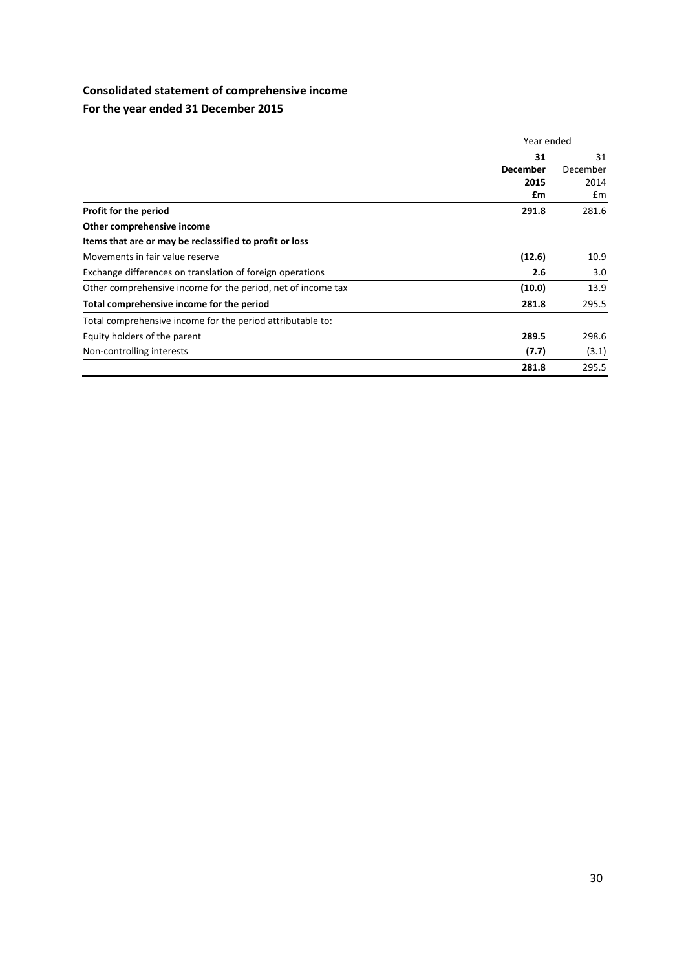# **Consolidated statement of comprehensive income**

# **For the year ended 31 December 2015**

|                                                              | Year ended      |                |
|--------------------------------------------------------------|-----------------|----------------|
|                                                              | 31              | 31<br>December |
|                                                              | <b>December</b> |                |
|                                                              | 2015            | 2014           |
|                                                              | £m              | £m             |
| Profit for the period                                        | 291.8           | 281.6          |
| Other comprehensive income                                   |                 |                |
| Items that are or may be reclassified to profit or loss      |                 |                |
| Movements in fair value reserve                              | (12.6)          | 10.9           |
| Exchange differences on translation of foreign operations    | 2.6             | 3.0            |
| Other comprehensive income for the period, net of income tax | (10.0)          | 13.9           |
| Total comprehensive income for the period                    | 281.8           | 295.5          |
| Total comprehensive income for the period attributable to:   |                 |                |
| Equity holders of the parent                                 | 289.5           | 298.6          |
| Non-controlling interests                                    | (7.7)           | (3.1)          |
|                                                              | 281.8           | 295.5          |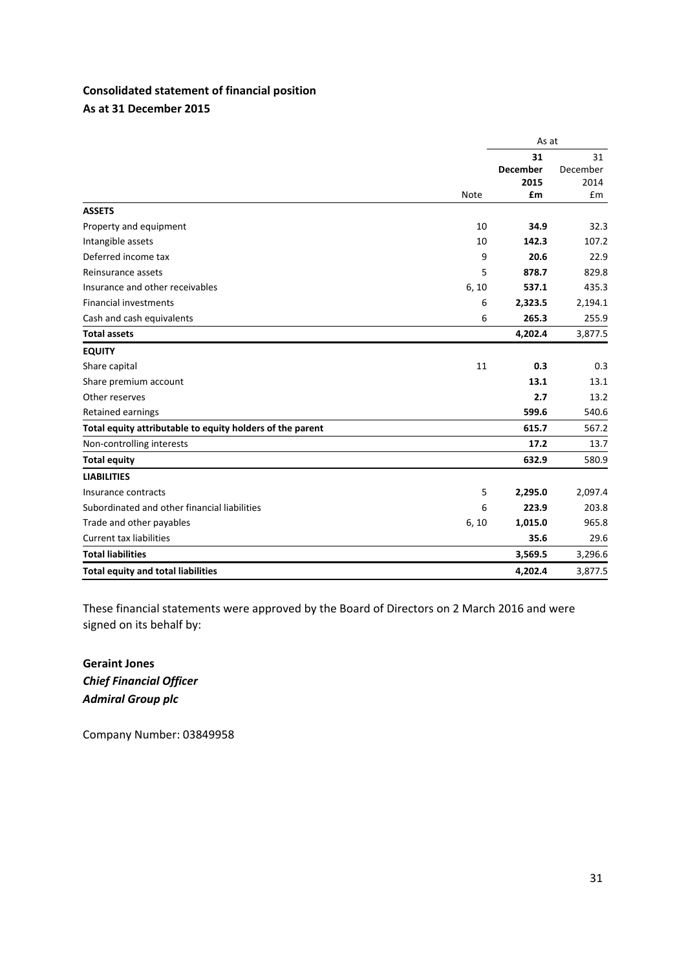# **Consolidated statement of financial position As at 31 December 2015**

|                                                           |             | As at                         |                        |
|-----------------------------------------------------------|-------------|-------------------------------|------------------------|
|                                                           |             | 31<br><b>December</b><br>2015 | 31<br>December<br>2014 |
|                                                           | <b>Note</b> | £m                            | £m                     |
| <b>ASSETS</b>                                             |             |                               |                        |
| Property and equipment                                    | 10          | 34.9                          | 32.3                   |
| Intangible assets                                         | 10          | 142.3                         | 107.2                  |
| Deferred income tax                                       | 9           | 20.6                          | 22.9                   |
| Reinsurance assets                                        | 5           | 878.7                         | 829.8                  |
| Insurance and other receivables                           | 6, 10       | 537.1                         | 435.3                  |
| <b>Financial investments</b>                              | 6           | 2,323.5                       | 2,194.1                |
| Cash and cash equivalents                                 | 6           | 265.3                         | 255.9                  |
| <b>Total assets</b>                                       |             | 4,202.4                       | 3,877.5                |
| <b>EQUITY</b>                                             |             |                               |                        |
| Share capital                                             | 11          | 0.3                           | 0.3                    |
| Share premium account                                     |             | 13.1                          | 13.1                   |
| Other reserves                                            |             | 2.7                           | 13.2                   |
| <b>Retained earnings</b>                                  |             | 599.6                         | 540.6                  |
| Total equity attributable to equity holders of the parent |             | 615.7                         | 567.2                  |
| Non-controlling interests                                 |             | 17.2                          | 13.7                   |
| <b>Total equity</b>                                       |             | 632.9                         | 580.9                  |
| <b>LIABILITIES</b>                                        |             |                               |                        |
| Insurance contracts                                       | 5           | 2,295.0                       | 2,097.4                |
| Subordinated and other financial liabilities              | 6           | 223.9                         | 203.8                  |
| Trade and other payables                                  | 6, 10       | 1,015.0                       | 965.8                  |
| <b>Current tax liabilities</b>                            |             | 35.6                          | 29.6                   |
| <b>Total liabilities</b>                                  |             | 3,569.5                       | 3,296.6                |
| <b>Total equity and total liabilities</b>                 |             | 4,202.4                       | 3,877.5                |

These financial statements were approved by the Board of Directors on 2 March 2016 and were signed on its behalf by:

**Geraint Jones** *Chief Financial Officer Admiral Group plc*

Company Number: 03849958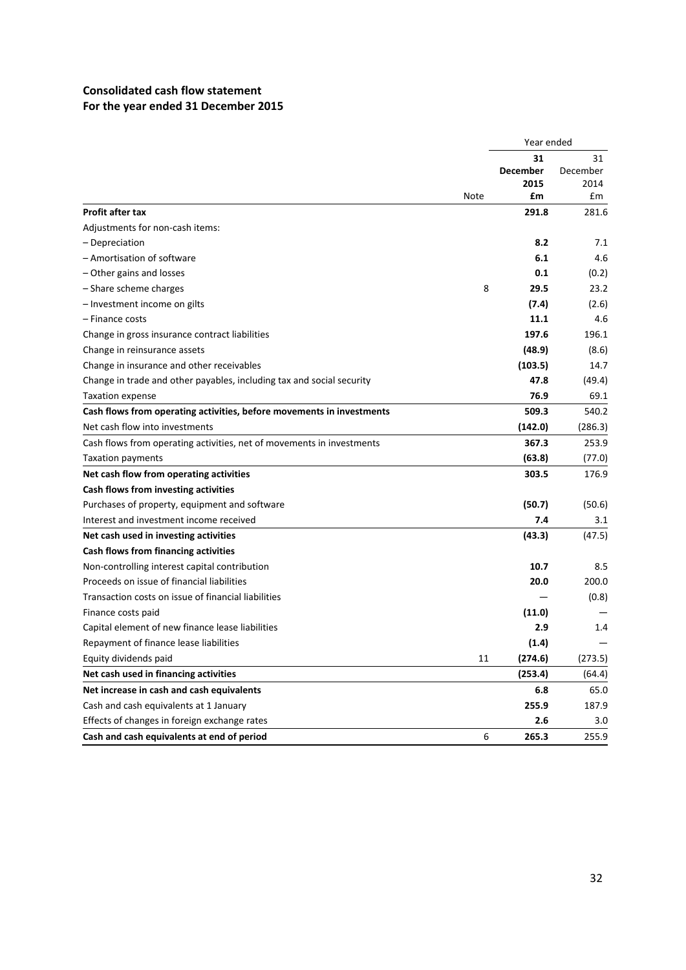# **Consolidated cash flow statement For the year ended 31 December 2015**

|                                                                       |      | Year ended      |          |
|-----------------------------------------------------------------------|------|-----------------|----------|
|                                                                       |      | 31              | 31       |
|                                                                       |      | <b>December</b> | December |
|                                                                       |      | 2015            | 2014     |
|                                                                       | Note | £m              | £m       |
| <b>Profit after tax</b>                                               |      | 291.8           | 281.6    |
| Adjustments for non-cash items:                                       |      |                 |          |
| - Depreciation                                                        |      | 8.2             | 7.1      |
| - Amortisation of software                                            |      | 6.1             | 4.6      |
| - Other gains and losses                                              |      | 0.1             | (0.2)    |
| - Share scheme charges                                                | 8    | 29.5            | 23.2     |
| - Investment income on gilts                                          |      | (7.4)           | (2.6)    |
| – Finance costs                                                       |      | 11.1            | 4.6      |
| Change in gross insurance contract liabilities                        |      | 197.6           | 196.1    |
| Change in reinsurance assets                                          |      | (48.9)          | (8.6)    |
| Change in insurance and other receivables                             |      | (103.5)         | 14.7     |
| Change in trade and other payables, including tax and social security |      | 47.8            | (49.4)   |
| <b>Taxation expense</b>                                               |      | 76.9            | 69.1     |
| Cash flows from operating activities, before movements in investments |      | 509.3           | 540.2    |
| Net cash flow into investments                                        |      | (142.0)         | (286.3)  |
| Cash flows from operating activities, net of movements in investments |      | 367.3           | 253.9    |
| Taxation payments                                                     |      | (63.8)          | (77.0)   |
| Net cash flow from operating activities                               |      | 303.5           | 176.9    |
| Cash flows from investing activities                                  |      |                 |          |
| Purchases of property, equipment and software                         |      | (50.7)          | (50.6)   |
| Interest and investment income received                               |      | 7.4             | 3.1      |
| Net cash used in investing activities                                 |      | (43.3)          | (47.5)   |
| Cash flows from financing activities                                  |      |                 |          |
| Non-controlling interest capital contribution                         |      | 10.7            | 8.5      |
| Proceeds on issue of financial liabilities                            |      | 20.0            | 200.0    |
| Transaction costs on issue of financial liabilities                   |      |                 | (0.8)    |
| Finance costs paid                                                    |      | (11.0)          |          |
| Capital element of new finance lease liabilities                      |      | 2.9             | 1.4      |
| Repayment of finance lease liabilities                                |      | (1.4)           |          |
| Equity dividends paid                                                 | 11   | (274.6)         | (273.5)  |
| Net cash used in financing activities                                 |      | (253.4)         | (64.4)   |
| Net increase in cash and cash equivalents                             |      | 6.8             | 65.0     |
| Cash and cash equivalents at 1 January                                |      | 255.9           | 187.9    |
| Effects of changes in foreign exchange rates                          |      | 2.6             | 3.0      |
| Cash and cash equivalents at end of period                            | 6    | 265.3           | 255.9    |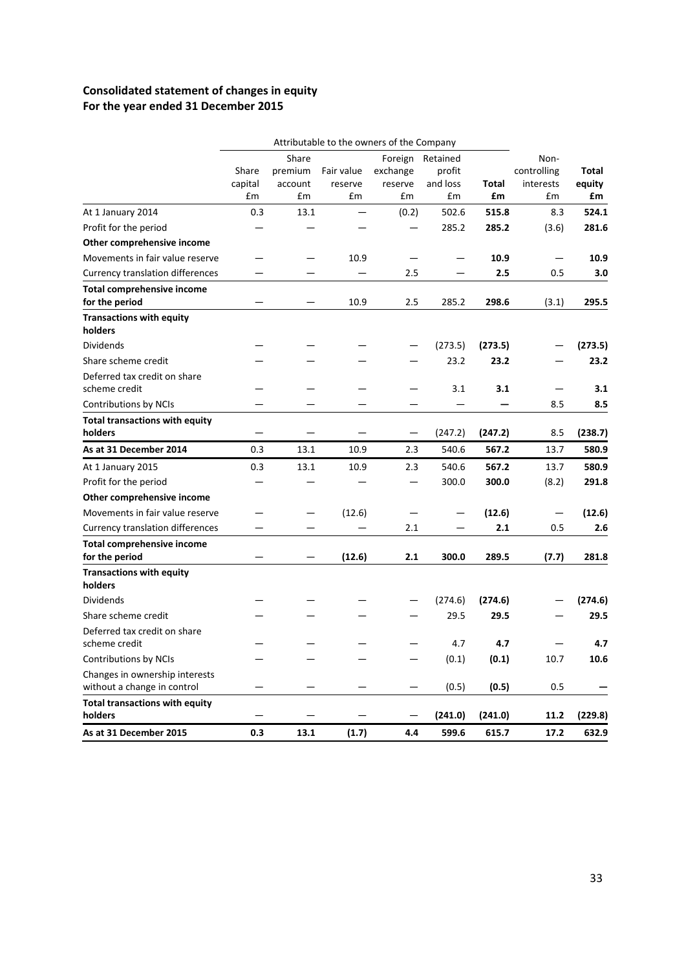# **Consolidated statement of changes in equity For the year ended 31 December 2015**

|                                                               |                  |                             | Attributable to the owners of the Company |                                |                                |              |                                  |                        |
|---------------------------------------------------------------|------------------|-----------------------------|-------------------------------------------|--------------------------------|--------------------------------|--------------|----------------------------------|------------------------|
|                                                               | Share<br>capital | Share<br>premium<br>account | Fair value<br>reserve                     | Foreign<br>exchange<br>reserve | Retained<br>profit<br>and loss | <b>Total</b> | Non-<br>controlling<br>interests | <b>Total</b><br>equity |
|                                                               | £m               | £m                          | £m                                        | £m                             | £m                             | £m           | £m                               | £m                     |
| At 1 January 2014                                             | 0.3              | 13.1                        |                                           | (0.2)                          | 502.6                          | 515.8        | 8.3                              | 524.1                  |
| Profit for the period                                         |                  |                             |                                           |                                | 285.2                          | 285.2        | (3.6)                            | 281.6                  |
| Other comprehensive income                                    |                  |                             |                                           |                                |                                |              |                                  |                        |
| Movements in fair value reserve                               |                  |                             | 10.9                                      |                                |                                | 10.9         |                                  | 10.9                   |
| <b>Currency translation differences</b>                       |                  |                             |                                           | 2.5                            |                                | 2.5          | 0.5                              | 3.0                    |
| <b>Total comprehensive income</b><br>for the period           |                  |                             | 10.9                                      | 2.5                            | 285.2                          | 298.6        | (3.1)                            | 295.5                  |
| <b>Transactions with equity</b><br>holders                    |                  |                             |                                           |                                |                                |              |                                  |                        |
| <b>Dividends</b>                                              |                  |                             |                                           |                                | (273.5)                        | (273.5)      |                                  | (273.5)                |
| Share scheme credit                                           |                  |                             |                                           |                                | 23.2                           | 23.2         |                                  | 23.2                   |
| Deferred tax credit on share<br>scheme credit                 |                  |                             |                                           |                                | 3.1                            | 3.1          |                                  | 3.1                    |
| Contributions by NCIs                                         |                  |                             |                                           |                                |                                |              | 8.5                              | 8.5                    |
| <b>Total transactions with equity</b><br>holders              |                  |                             |                                           |                                | (247.2)                        | (247.2)      | 8.5                              | (238.7)                |
| As at 31 December 2014                                        | 0.3              | 13.1                        | 10.9                                      | 2.3                            | 540.6                          | 567.2        | 13.7                             | 580.9                  |
| At 1 January 2015                                             | 0.3              | 13.1                        | 10.9                                      | 2.3                            | 540.6                          | 567.2        | 13.7                             | 580.9                  |
| Profit for the period                                         |                  |                             |                                           |                                | 300.0                          | 300.0        | (8.2)                            | 291.8                  |
| Other comprehensive income                                    |                  |                             |                                           |                                |                                |              |                                  |                        |
| Movements in fair value reserve                               |                  |                             | (12.6)                                    |                                |                                | (12.6)       |                                  | (12.6)                 |
| Currency translation differences                              |                  |                             |                                           | 2.1                            |                                | 2.1          | 0.5                              | 2.6                    |
| <b>Total comprehensive income</b><br>for the period           |                  |                             | (12.6)                                    | 2.1                            | 300.0                          | 289.5        | (7.7)                            | 281.8                  |
| <b>Transactions with equity</b><br>holders                    |                  |                             |                                           |                                |                                |              |                                  |                        |
| Dividends                                                     |                  |                             |                                           |                                | (274.6)                        | (274.6)      |                                  | (274.6)                |
| Share scheme credit                                           |                  |                             |                                           |                                | 29.5                           | 29.5         |                                  | 29.5                   |
| Deferred tax credit on share                                  |                  |                             |                                           |                                |                                |              |                                  |                        |
| scheme credit                                                 |                  |                             |                                           |                                | 4.7                            | 4.7          |                                  | 4.7                    |
| Contributions by NCIs                                         |                  |                             |                                           |                                | (0.1)                          | (0.1)        | 10.7                             | 10.6                   |
| Changes in ownership interests<br>without a change in control |                  |                             |                                           |                                | (0.5)                          | (0.5)        | 0.5                              |                        |
| <b>Total transactions with equity</b><br>holders              |                  |                             |                                           |                                | (241.0)                        | (241.0)      | 11.2                             | (229.8)                |
| As at 31 December 2015                                        | 0.3              | 13.1                        | (1.7)                                     | 4.4                            | 599.6                          | 615.7        | 17.2                             | 632.9                  |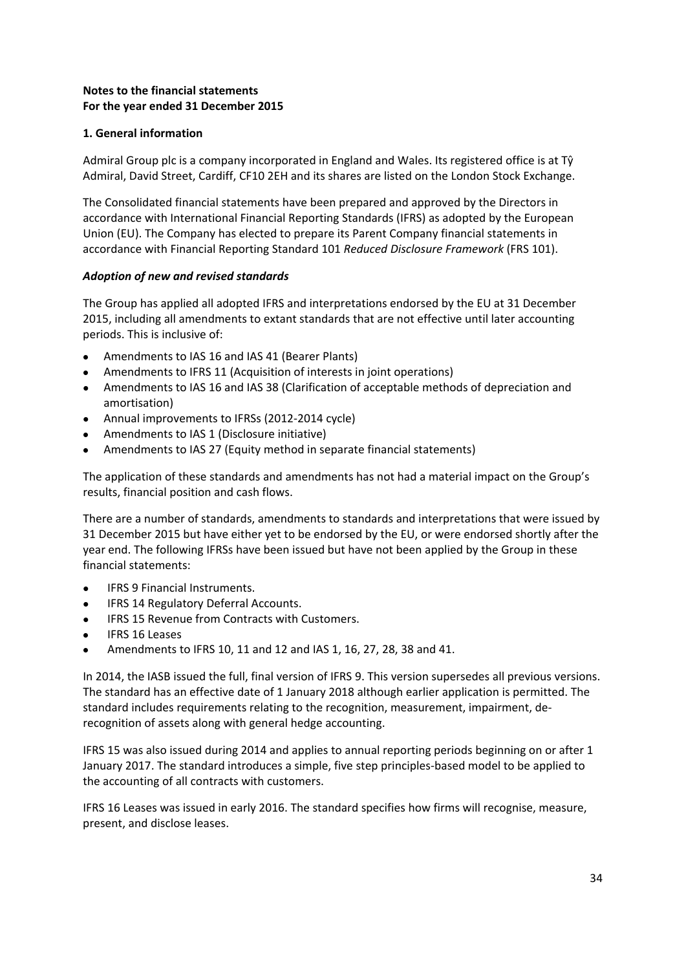# **Notes to the financial statements For the year ended 31 December 2015**

## **1. General information**

Admiral Group plc is a company incorporated in England and Wales. Its registered office is at  $T\hat{y}$ Admiral, David Street, Cardiff, CF10 2EH and its shares are listed on the London Stock Exchange.

The Consolidated financial statements have been prepared and approved by the Directors in accordance with International Financial Reporting Standards (IFRS) as adopted by the European Union (EU). The Company has elected to prepare its Parent Company financial statements in accordance with Financial Reporting Standard 101 *Reduced Disclosure Framework* (FRS 101).

## *Adoption of new and revised standards*

The Group has applied all adopted IFRS and interpretations endorsed by the EU at 31 December 2015, including all amendments to extant standards that are not effective until later accounting periods. This is inclusive of:

- Amendments to IAS 16 and IAS 41 (Bearer Plants)
- Amendments to IFRS 11 (Acquisition of interests in joint operations)
- Amendments to IAS 16 and IAS 38 (Clarification of acceptable methods of depreciation and amortisation)
- Annual improvements to IFRSs (2012‐2014 cycle)
- Amendments to IAS 1 (Disclosure initiative)
- Amendments to IAS 27 (Equity method in separate financial statements)

The application of these standards and amendments has not had a material impact on the Group's results, financial position and cash flows.

There are a number of standards, amendments to standards and interpretations that were issued by 31 December 2015 but have either yet to be endorsed by the EU, or were endorsed shortly after the year end. The following IFRSs have been issued but have not been applied by the Group in these financial statements:

- IFRS 9 Financial Instruments.
- **•** IFRS 14 Regulatory Deferral Accounts.
- IFRS 15 Revenue from Contracts with Customers.
- IFRS 16 Leases
- Amendments to IFRS 10, 11 and 12 and IAS 1, 16, 27, 28, 38 and 41.

In 2014, the IASB issued the full, final version of IFRS 9. This version supersedes all previous versions. The standard has an effective date of 1 January 2018 although earlier application is permitted. The standard includes requirements relating to the recognition, measurement, impairment, de‐ recognition of assets along with general hedge accounting.

IFRS 15 was also issued during 2014 and applies to annual reporting periods beginning on or after 1 January 2017. The standard introduces a simple, five step principles‐based model to be applied to the accounting of all contracts with customers.

IFRS 16 Leases was issued in early 2016. The standard specifies how firms will recognise, measure, present, and disclose leases.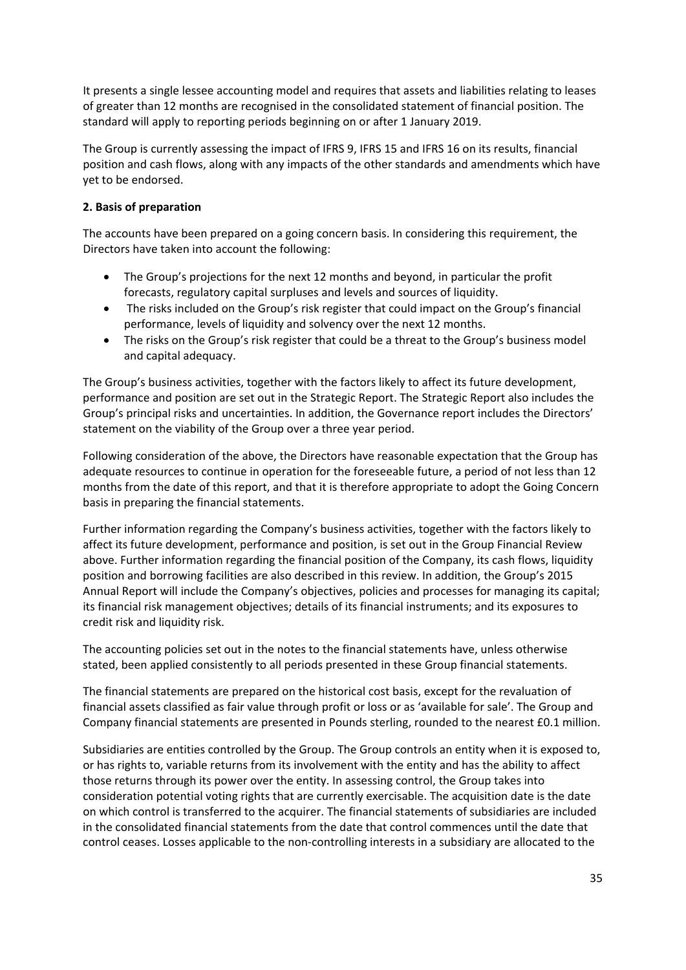It presents a single lessee accounting model and requires that assets and liabilities relating to leases of greater than 12 months are recognised in the consolidated statement of financial position. The standard will apply to reporting periods beginning on or after 1 January 2019.

The Group is currently assessing the impact of IFRS 9, IFRS 15 and IFRS 16 on its results, financial position and cash flows, along with any impacts of the other standards and amendments which have yet to be endorsed.

# **2. Basis of preparation**

The accounts have been prepared on a going concern basis. In considering this requirement, the Directors have taken into account the following:

- The Group's projections for the next 12 months and beyond, in particular the profit forecasts, regulatory capital surpluses and levels and sources of liquidity.
- The risks included on the Group's risk register that could impact on the Group's financial performance, levels of liquidity and solvency over the next 12 months.
- The risks on the Group's risk register that could be a threat to the Group's business model and capital adequacy.

The Group's business activities, together with the factors likely to affect its future development, performance and position are set out in the Strategic Report. The Strategic Report also includes the Group's principal risks and uncertainties. In addition, the Governance report includes the Directors' statement on the viability of the Group over a three year period.

Following consideration of the above, the Directors have reasonable expectation that the Group has adequate resources to continue in operation for the foreseeable future, a period of not less than 12 months from the date of this report, and that it is therefore appropriate to adopt the Going Concern basis in preparing the financial statements.

Further information regarding the Company's business activities, together with the factors likely to affect its future development, performance and position, is set out in the Group Financial Review above. Further information regarding the financial position of the Company, its cash flows, liquidity position and borrowing facilities are also described in this review. In addition, the Group's 2015 Annual Report will include the Company's objectives, policies and processes for managing its capital; its financial risk management objectives; details of its financial instruments; and its exposures to credit risk and liquidity risk.

The accounting policies set out in the notes to the financial statements have, unless otherwise stated, been applied consistently to all periods presented in these Group financial statements.

The financial statements are prepared on the historical cost basis, except for the revaluation of financial assets classified as fair value through profit or loss or as 'available for sale'. The Group and Company financial statements are presented in Pounds sterling, rounded to the nearest £0.1 million.

Subsidiaries are entities controlled by the Group. The Group controls an entity when it is exposed to, or has rights to, variable returns from its involvement with the entity and has the ability to affect those returns through its power over the entity. In assessing control, the Group takes into consideration potential voting rights that are currently exercisable. The acquisition date is the date on which control is transferred to the acquirer. The financial statements of subsidiaries are included in the consolidated financial statements from the date that control commences until the date that control ceases. Losses applicable to the non‐controlling interests in a subsidiary are allocated to the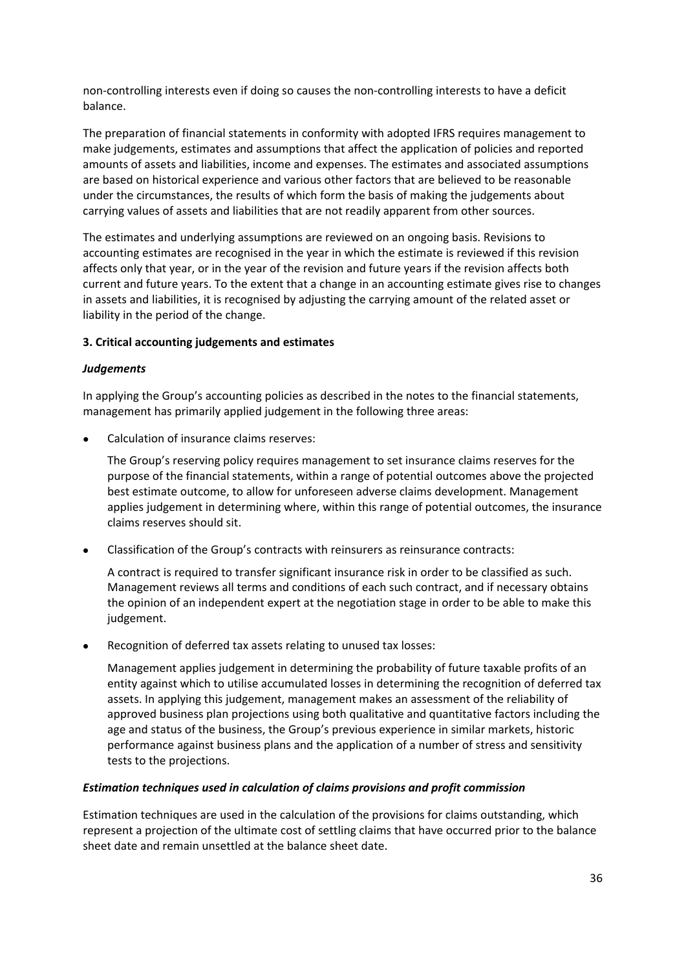non‐controlling interests even if doing so causes the non‐controlling interests to have a deficit balance.

The preparation of financial statements in conformity with adopted IFRS requires management to make judgements, estimates and assumptions that affect the application of policies and reported amounts of assets and liabilities, income and expenses. The estimates and associated assumptions are based on historical experience and various other factors that are believed to be reasonable under the circumstances, the results of which form the basis of making the judgements about carrying values of assets and liabilities that are not readily apparent from other sources.

The estimates and underlying assumptions are reviewed on an ongoing basis. Revisions to accounting estimates are recognised in the year in which the estimate is reviewed if this revision affects only that year, or in the year of the revision and future years if the revision affects both current and future years. To the extent that a change in an accounting estimate gives rise to changes in assets and liabilities, it is recognised by adjusting the carrying amount of the related asset or liability in the period of the change.

## **3. Critical accounting judgements and estimates**

## *Judgements*

In applying the Group's accounting policies as described in the notes to the financial statements, management has primarily applied judgement in the following three areas:

Calculation of insurance claims reserves:

The Group's reserving policy requires management to set insurance claims reserves for the purpose of the financial statements, within a range of potential outcomes above the projected best estimate outcome, to allow for unforeseen adverse claims development. Management applies judgement in determining where, within this range of potential outcomes, the insurance claims reserves should sit.

Classification of the Group's contracts with reinsurers as reinsurance contracts:

A contract is required to transfer significant insurance risk in order to be classified as such. Management reviews all terms and conditions of each such contract, and if necessary obtains the opinion of an independent expert at the negotiation stage in order to be able to make this judgement.

Recognition of deferred tax assets relating to unused tax losses:

Management applies judgement in determining the probability of future taxable profits of an entity against which to utilise accumulated losses in determining the recognition of deferred tax assets. In applying this judgement, management makes an assessment of the reliability of approved business plan projections using both qualitative and quantitative factors including the age and status of the business, the Group's previous experience in similar markets, historic performance against business plans and the application of a number of stress and sensitivity tests to the projections.

## *Estimation techniques used in calculation of claims provisions and profit commission*

Estimation techniques are used in the calculation of the provisions for claims outstanding, which represent a projection of the ultimate cost of settling claims that have occurred prior to the balance sheet date and remain unsettled at the balance sheet date.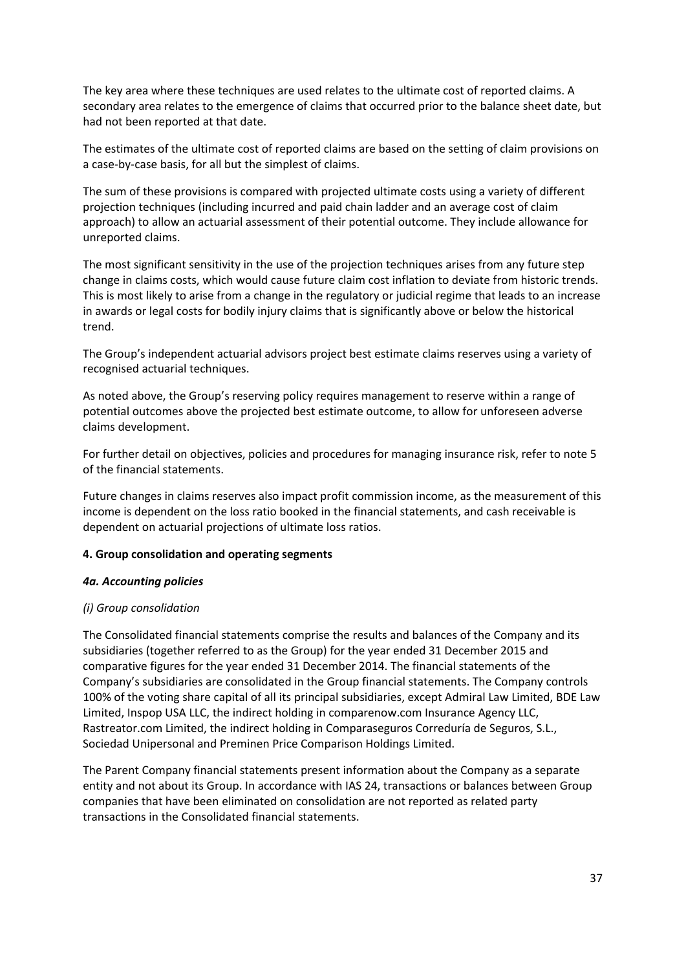The key area where these techniques are used relates to the ultimate cost of reported claims. A secondary area relates to the emergence of claims that occurred prior to the balance sheet date, but had not been reported at that date.

The estimates of the ultimate cost of reported claims are based on the setting of claim provisions on a case‐by‐case basis, for all but the simplest of claims.

The sum of these provisions is compared with projected ultimate costs using a variety of different projection techniques (including incurred and paid chain ladder and an average cost of claim approach) to allow an actuarial assessment of their potential outcome. They include allowance for unreported claims.

The most significant sensitivity in the use of the projection techniques arises from any future step change in claims costs, which would cause future claim cost inflation to deviate from historic trends. This is most likely to arise from a change in the regulatory or judicial regime that leads to an increase in awards or legal costs for bodily injury claims that is significantly above or below the historical trend.

The Group's independent actuarial advisors project best estimate claims reserves using a variety of recognised actuarial techniques.

As noted above, the Group's reserving policy requires management to reserve within a range of potential outcomes above the projected best estimate outcome, to allow for unforeseen adverse claims development.

For further detail on objectives, policies and procedures for managing insurance risk, refer to note 5 of the financial statements.

Future changes in claims reserves also impact profit commission income, as the measurement of this income is dependent on the loss ratio booked in the financial statements, and cash receivable is dependent on actuarial projections of ultimate loss ratios.

### **4. Group consolidation and operating segments**

#### *4a. Accounting policies*

### *(i) Group consolidation*

The Consolidated financial statements comprise the results and balances of the Company and its subsidiaries (together referred to as the Group) for the year ended 31 December 2015 and comparative figures for the year ended 31 December 2014. The financial statements of the Company's subsidiaries are consolidated in the Group financial statements. The Company controls 100% of the voting share capital of all its principal subsidiaries, except Admiral Law Limited, BDE Law Limited, Inspop USA LLC, the indirect holding in comparenow.com Insurance Agency LLC, Rastreator.com Limited, the indirect holding in Comparaseguros Correduría de Seguros, S.L., Sociedad Unipersonal and Preminen Price Comparison Holdings Limited.

The Parent Company financial statements present information about the Company as a separate entity and not about its Group. In accordance with IAS 24, transactions or balances between Group companies that have been eliminated on consolidation are not reported as related party transactions in the Consolidated financial statements.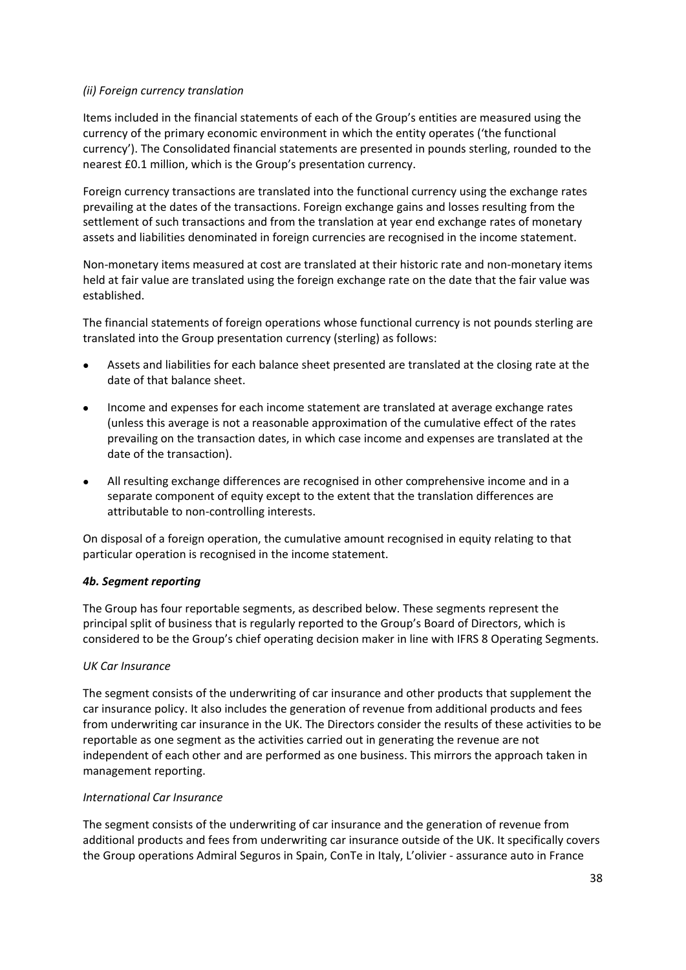# *(ii) Foreign currency translation*

Items included in the financial statements of each of the Group's entities are measured using the currency of the primary economic environment in which the entity operates ('the functional currency'). The Consolidated financial statements are presented in pounds sterling, rounded to the nearest £0.1 million, which is the Group's presentation currency.

Foreign currency transactions are translated into the functional currency using the exchange rates prevailing at the dates of the transactions. Foreign exchange gains and losses resulting from the settlement of such transactions and from the translation at year end exchange rates of monetary assets and liabilities denominated in foreign currencies are recognised in the income statement.

Non-monetary items measured at cost are translated at their historic rate and non-monetary items held at fair value are translated using the foreign exchange rate on the date that the fair value was established.

The financial statements of foreign operations whose functional currency is not pounds sterling are translated into the Group presentation currency (sterling) as follows:

- Assets and liabilities for each balance sheet presented are translated at the closing rate at the date of that balance sheet.
- Income and expenses for each income statement are translated at average exchange rates (unless this average is not a reasonable approximation of the cumulative effect of the rates prevailing on the transaction dates, in which case income and expenses are translated at the date of the transaction).
- All resulting exchange differences are recognised in other comprehensive income and in a separate component of equity except to the extent that the translation differences are attributable to non‐controlling interests.

On disposal of a foreign operation, the cumulative amount recognised in equity relating to that particular operation is recognised in the income statement.

### *4b. Segment reporting*

The Group has four reportable segments, as described below. These segments represent the principal split of business that is regularly reported to the Group's Board of Directors, which is considered to be the Group's chief operating decision maker in line with IFRS 8 Operating Segments.

### *UK Car Insurance*

The segment consists of the underwriting of car insurance and other products that supplement the car insurance policy. It also includes the generation of revenue from additional products and fees from underwriting car insurance in the UK. The Directors consider the results of these activities to be reportable as one segment as the activities carried out in generating the revenue are not independent of each other and are performed as one business. This mirrors the approach taken in management reporting.

### *International Car Insurance*

The segment consists of the underwriting of car insurance and the generation of revenue from additional products and fees from underwriting car insurance outside of the UK. It specifically covers the Group operations Admiral Seguros in Spain, ConTe in Italy, L'olivier ‐ assurance auto in France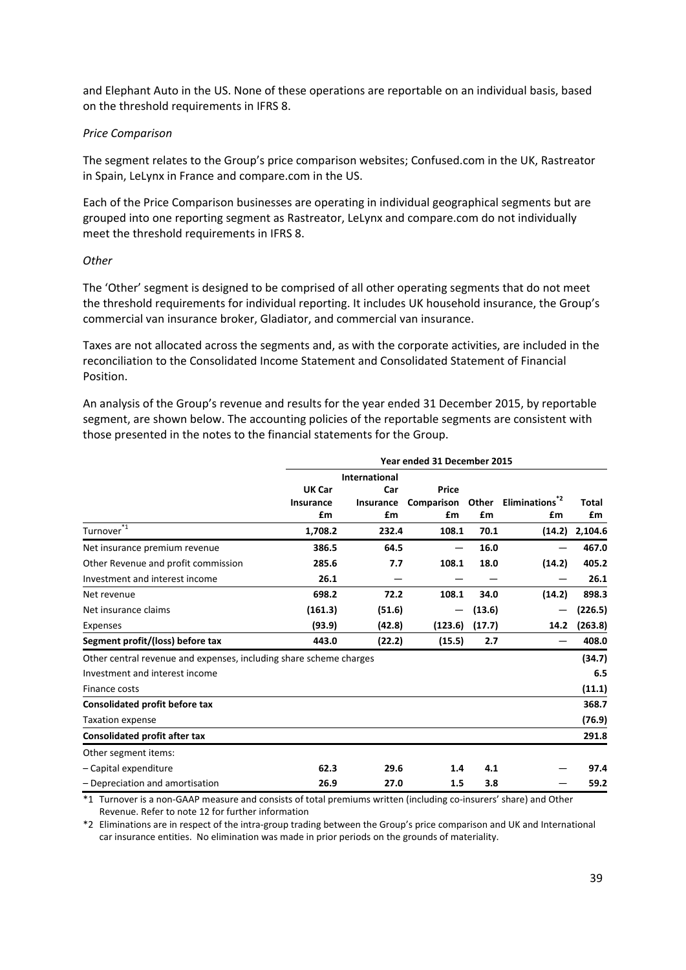and Elephant Auto in the US. None of these operations are reportable on an individual basis, based on the threshold requirements in IFRS 8.

#### *Price Comparison*

The segment relates to the Group's price comparison websites; Confused.com in the UK, Rastreator in Spain, LeLynx in France and compare.com in the US.

Each of the Price Comparison businesses are operating in individual geographical segments but are grouped into one reporting segment as Rastreator, LeLynx and compare.com do not individually meet the threshold requirements in IFRS 8.

#### *Other*

The 'Other' segment is designed to be comprised of all other operating segments that do not meet the threshold requirements for individual reporting. It includes UK household insurance, the Group's commercial van insurance broker, Gladiator, and commercial van insurance.

Taxes are not allocated across the segments and, as with the corporate activities, are included in the reconciliation to the Consolidated Income Statement and Consolidated Statement of Financial Position.

An analysis of the Group's revenue and results for the year ended 31 December 2015, by reportable segment, are shown below. The accounting policies of the reportable segments are consistent with those presented in the notes to the financial statements for the Group.

|                                                                    | Year ended 31 December 2015 |                  |                 |        |                     |         |  |  |
|--------------------------------------------------------------------|-----------------------------|------------------|-----------------|--------|---------------------|---------|--|--|
|                                                                    |                             | International    |                 |        |                     |         |  |  |
|                                                                    | <b>UK Car</b>               | Car              | Price           |        |                     |         |  |  |
|                                                                    | <b>Insurance</b>            | <b>Insurance</b> | Comparison      | Other  | <b>Eliminations</b> | Total   |  |  |
|                                                                    | £m                          | £m               | £m              | £m     | £m                  | £m      |  |  |
| $*_{1}$<br>Turnover                                                | 1,708.2                     | 232.4            | 108.1           | 70.1   | (14.2)              | 2,104.6 |  |  |
| Net insurance premium revenue                                      | 386.5                       | 64.5             | $\qquad \qquad$ | 16.0   |                     | 467.0   |  |  |
| Other Revenue and profit commission                                | 285.6                       | 7.7              | 108.1           | 18.0   | (14.2)              | 405.2   |  |  |
| Investment and interest income                                     | 26.1                        |                  |                 |        |                     | 26.1    |  |  |
| Net revenue                                                        | 698.2                       | 72.2             | 108.1           | 34.0   | (14.2)              | 898.3   |  |  |
| Net insurance claims                                               | (161.3)                     | (51.6)           |                 | (13.6) |                     | (226.5) |  |  |
| Expenses                                                           | (93.9)                      | (42.8)           | (123.6)         | (17.7) | 14.2                | (263.8) |  |  |
| Segment profit/(loss) before tax                                   | 443.0                       | (22.2)           | (15.5)          | 2.7    |                     | 408.0   |  |  |
| Other central revenue and expenses, including share scheme charges |                             |                  |                 |        |                     | (34.7)  |  |  |
| Investment and interest income                                     |                             |                  |                 |        |                     | 6.5     |  |  |
| Finance costs                                                      |                             |                  |                 |        |                     | (11.1)  |  |  |
| Consolidated profit before tax                                     |                             |                  |                 |        |                     | 368.7   |  |  |
| <b>Taxation expense</b>                                            |                             |                  |                 |        |                     | (76.9)  |  |  |
| <b>Consolidated profit after tax</b>                               |                             |                  |                 |        |                     | 291.8   |  |  |
| Other segment items:                                               |                             |                  |                 |        |                     |         |  |  |
| - Capital expenditure                                              | 62.3                        | 29.6             | 1.4             | 4.1    |                     | 97.4    |  |  |
| - Depreciation and amortisation                                    | 26.9                        | 27.0             | 1.5             | 3.8    |                     | 59.2    |  |  |
|                                                                    |                             |                  |                 |        |                     |         |  |  |

\*1 Turnover is a non‐GAAP measure and consists of total premiums written (including co‐insurers' share) and Other Revenue. Refer to note 12 for further information

\*2 Eliminations are in respect of the intra‐group trading between the Group's price comparison and UK and International car insurance entities. No elimination was made in prior periods on the grounds of materiality.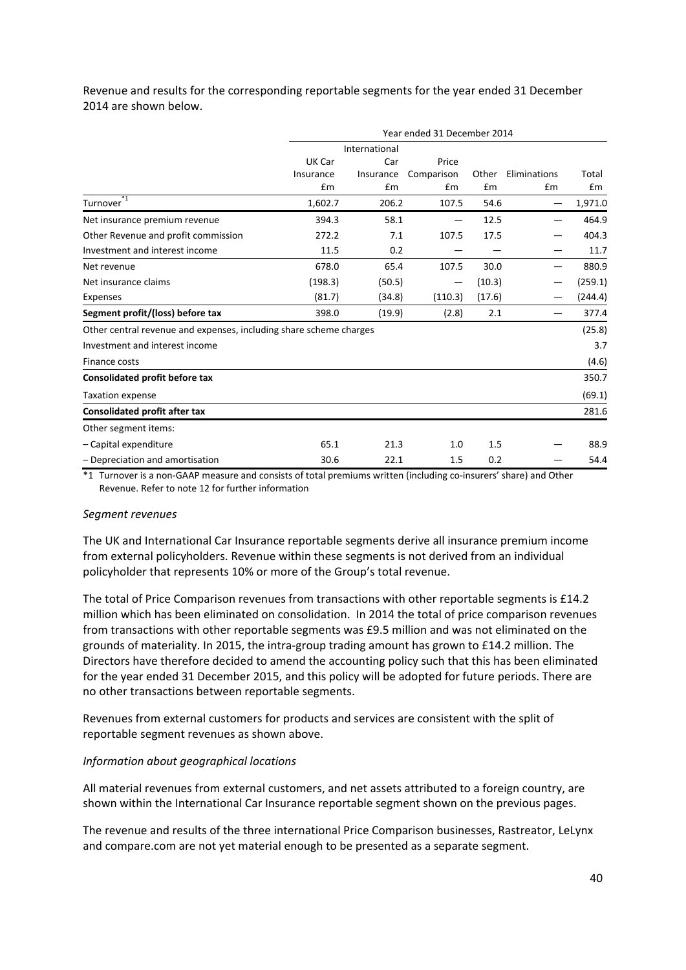Revenue and results for the corresponding reportable segments for the year ended 31 December 2014 are shown below.

|                                                                    | Year ended 31 December 2014 |               |            |        |              |         |  |
|--------------------------------------------------------------------|-----------------------------|---------------|------------|--------|--------------|---------|--|
|                                                                    |                             | International |            |        |              |         |  |
|                                                                    | UK Car                      | Car           | Price      |        |              |         |  |
|                                                                    | Insurance                   | Insurance     | Comparison | Other  | Eliminations | Total   |  |
|                                                                    | £m                          | Em            | £m         | £m     | £m           | £m      |  |
| $*1$<br>Turnover                                                   | 1,602.7                     | 206.2         | 107.5      | 54.6   |              | 1,971.0 |  |
| Net insurance premium revenue                                      | 394.3                       | 58.1          | —          | 12.5   | —            | 464.9   |  |
| Other Revenue and profit commission                                | 272.2                       | 7.1           | 107.5      | 17.5   |              | 404.3   |  |
| Investment and interest income                                     | 11.5                        | 0.2           |            |        |              | 11.7    |  |
| Net revenue                                                        | 678.0                       | 65.4          | 107.5      | 30.0   | —            | 880.9   |  |
| Net insurance claims                                               | (198.3)                     | (50.5)        |            | (10.3) |              | (259.1) |  |
| Expenses                                                           | (81.7)                      | (34.8)        | (110.3)    | (17.6) |              | (244.4) |  |
| Segment profit/(loss) before tax                                   | 398.0                       | (19.9)        | (2.8)      | 2.1    |              | 377.4   |  |
| Other central revenue and expenses, including share scheme charges |                             |               |            |        |              | (25.8)  |  |
| Investment and interest income                                     |                             |               |            |        |              | 3.7     |  |
| Finance costs                                                      |                             |               |            |        |              | (4.6)   |  |
| Consolidated profit before tax                                     |                             |               |            |        |              | 350.7   |  |
| <b>Taxation expense</b>                                            |                             |               |            |        |              | (69.1)  |  |
| <b>Consolidated profit after tax</b>                               |                             |               |            |        |              | 281.6   |  |
| Other segment items:                                               |                             |               |            |        |              |         |  |
| - Capital expenditure                                              | 65.1                        | 21.3          | 1.0        | 1.5    |              | 88.9    |  |
| - Depreciation and amortisation                                    | 30.6                        | 22.1          | 1.5        | 0.2    |              | 54.4    |  |

\*1 Turnover is a non‐GAAP measure and consists of total premiums written (including co‐insurers' share) and Other Revenue. Refer to note 12 for further information

#### *Segment revenues*

The UK and International Car Insurance reportable segments derive all insurance premium income from external policyholders. Revenue within these segments is not derived from an individual policyholder that represents 10% or more of the Group's total revenue.

The total of Price Comparison revenues from transactions with other reportable segments is £14.2 million which has been eliminated on consolidation. In 2014 the total of price comparison revenues from transactions with other reportable segments was £9.5 million and was not eliminated on the grounds of materiality. In 2015, the intra‐group trading amount has grown to £14.2 million. The Directors have therefore decided to amend the accounting policy such that this has been eliminated for the year ended 31 December 2015, and this policy will be adopted for future periods. There are no other transactions between reportable segments.

Revenues from external customers for products and services are consistent with the split of reportable segment revenues as shown above.

### *Information about geographical locations*

All material revenues from external customers, and net assets attributed to a foreign country, are shown within the International Car Insurance reportable segment shown on the previous pages.

The revenue and results of the three international Price Comparison businesses, Rastreator, LeLynx and compare.com are not yet material enough to be presented as a separate segment.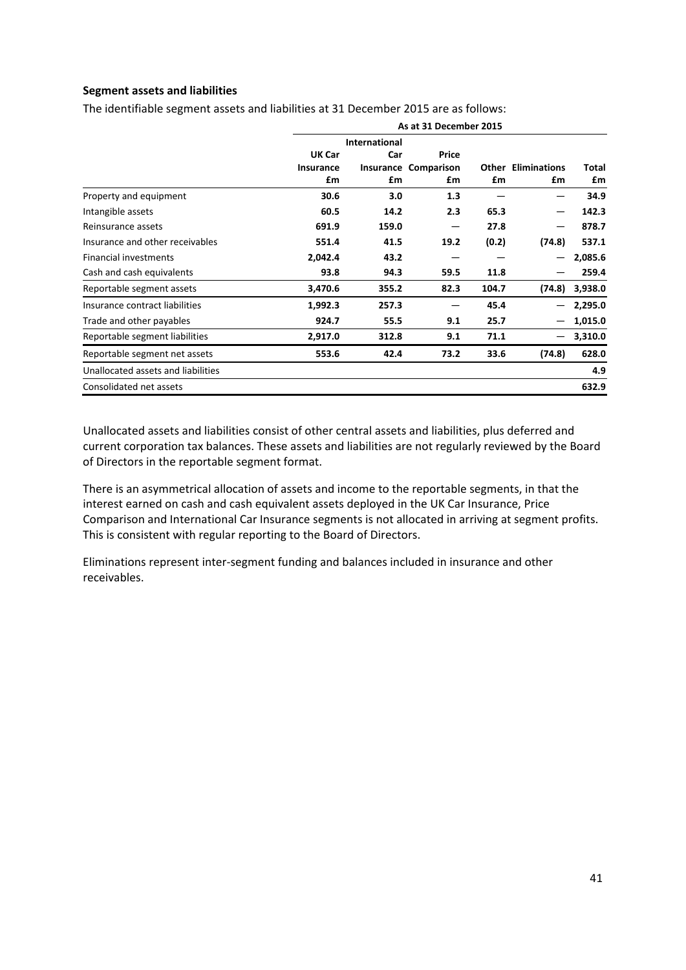# **Segment assets and liabilities**

The identifiable segment assets and liabilities at 31 December 2015 are as follows:

|                                    | As at 31 December 2015 |       |                             |       |                           |         |  |  |
|------------------------------------|------------------------|-------|-----------------------------|-------|---------------------------|---------|--|--|
|                                    | <b>International</b>   |       |                             |       |                           |         |  |  |
|                                    | UK Car                 | Car   | Price                       |       |                           |         |  |  |
|                                    | <b>Insurance</b>       |       | <b>Insurance Comparison</b> |       | <b>Other Eliminations</b> | Total   |  |  |
|                                    | £m                     | £m    | £m                          | £m    | £m                        | £m      |  |  |
| Property and equipment             | 30.6                   | 3.0   | 1.3                         |       |                           | 34.9    |  |  |
| Intangible assets                  | 60.5                   | 14.2  | 2.3                         | 65.3  |                           | 142.3   |  |  |
| Reinsurance assets                 | 691.9                  | 159.0 |                             | 27.8  |                           | 878.7   |  |  |
| Insurance and other receivables    | 551.4                  | 41.5  | 19.2                        | (0.2) | (74.8)                    | 537.1   |  |  |
| <b>Financial investments</b>       | 2,042.4                | 43.2  |                             |       |                           | 2,085.6 |  |  |
| Cash and cash equivalents          | 93.8                   | 94.3  | 59.5                        | 11.8  |                           | 259.4   |  |  |
| Reportable segment assets          | 3,470.6                | 355.2 | 82.3                        | 104.7 | (74.8)                    | 3,938.0 |  |  |
| Insurance contract liabilities     | 1,992.3                | 257.3 |                             | 45.4  |                           | 2,295.0 |  |  |
| Trade and other payables           | 924.7                  | 55.5  | 9.1                         | 25.7  |                           | 1,015.0 |  |  |
| Reportable segment liabilities     | 2,917.0                | 312.8 | 9.1                         | 71.1  |                           | 3,310.0 |  |  |
| Reportable segment net assets      | 553.6                  | 42.4  | 73.2                        | 33.6  | (74.8)                    | 628.0   |  |  |
| Unallocated assets and liabilities |                        |       |                             |       |                           | 4.9     |  |  |
| Consolidated net assets            |                        |       |                             |       |                           | 632.9   |  |  |

Unallocated assets and liabilities consist of other central assets and liabilities, plus deferred and current corporation tax balances. These assets and liabilities are not regularly reviewed by the Board of Directors in the reportable segment format.

There is an asymmetrical allocation of assets and income to the reportable segments, in that the interest earned on cash and cash equivalent assets deployed in the UK Car Insurance, Price Comparison and International Car Insurance segments is not allocated in arriving at segment profits. This is consistent with regular reporting to the Board of Directors.

Eliminations represent inter‐segment funding and balances included in insurance and other receivables.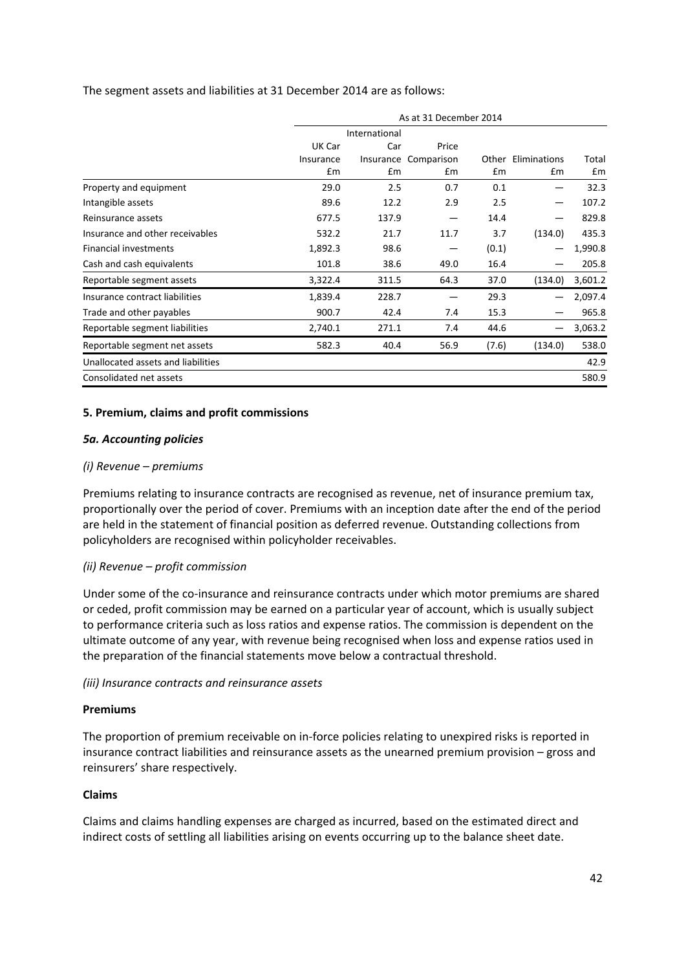### The segment assets and liabilities at 31 December 2014 are as follows:

|                                    | As at 31 December 2014 |               |            |       |                    |         |  |
|------------------------------------|------------------------|---------------|------------|-------|--------------------|---------|--|
|                                    |                        | International |            |       |                    |         |  |
|                                    | UK Car                 | Car           | Price      |       |                    |         |  |
|                                    | Insurance              | Insurance     | Comparison |       | Other Eliminations | Total   |  |
|                                    | £m                     | £m            | £m         | £m    | £m                 | £m      |  |
| Property and equipment             | 29.0                   | 2.5           | 0.7        | 0.1   | -                  | 32.3    |  |
| Intangible assets                  | 89.6                   | 12.2          | 2.9        | 2.5   |                    | 107.2   |  |
| Reinsurance assets                 | 677.5                  | 137.9         |            | 14.4  |                    | 829.8   |  |
| Insurance and other receivables    | 532.2                  | 21.7          | 11.7       | 3.7   | (134.0)            | 435.3   |  |
| <b>Financial investments</b>       | 1,892.3                | 98.6          |            | (0.1) |                    | 1,990.8 |  |
| Cash and cash equivalents          | 101.8                  | 38.6          | 49.0       | 16.4  |                    | 205.8   |  |
| Reportable segment assets          | 3,322.4                | 311.5         | 64.3       | 37.0  | (134.0)            | 3,601.2 |  |
| Insurance contract liabilities     | 1,839.4                | 228.7         |            | 29.3  | —                  | 2,097.4 |  |
| Trade and other payables           | 900.7                  | 42.4          | 7.4        | 15.3  |                    | 965.8   |  |
| Reportable segment liabilities     | 2,740.1                | 271.1         | 7.4        | 44.6  |                    | 3,063.2 |  |
| Reportable segment net assets      | 582.3                  | 40.4          | 56.9       | (7.6) | (134.0)            | 538.0   |  |
| Unallocated assets and liabilities |                        |               |            |       |                    | 42.9    |  |
| Consolidated net assets            |                        |               |            |       |                    | 580.9   |  |

### **5. Premium, claims and profit commissions**

#### *5a. Accounting policies*

#### *(i) Revenue – premiums*

Premiums relating to insurance contracts are recognised as revenue, net of insurance premium tax, proportionally over the period of cover. Premiums with an inception date after the end of the period are held in the statement of financial position as deferred revenue. Outstanding collections from policyholders are recognised within policyholder receivables.

#### *(ii) Revenue – profit commission*

Under some of the co-insurance and reinsurance contracts under which motor premiums are shared or ceded, profit commission may be earned on a particular year of account, which is usually subject to performance criteria such as loss ratios and expense ratios. The commission is dependent on the ultimate outcome of any year, with revenue being recognised when loss and expense ratios used in the preparation of the financial statements move below a contractual threshold.

#### *(iii) Insurance contracts and reinsurance assets*

#### **Premiums**

The proportion of premium receivable on in-force policies relating to unexpired risks is reported in insurance contract liabilities and reinsurance assets as the unearned premium provision – gross and reinsurers' share respectively.

#### **Claims**

Claims and claims handling expenses are charged as incurred, based on the estimated direct and indirect costs of settling all liabilities arising on events occurring up to the balance sheet date.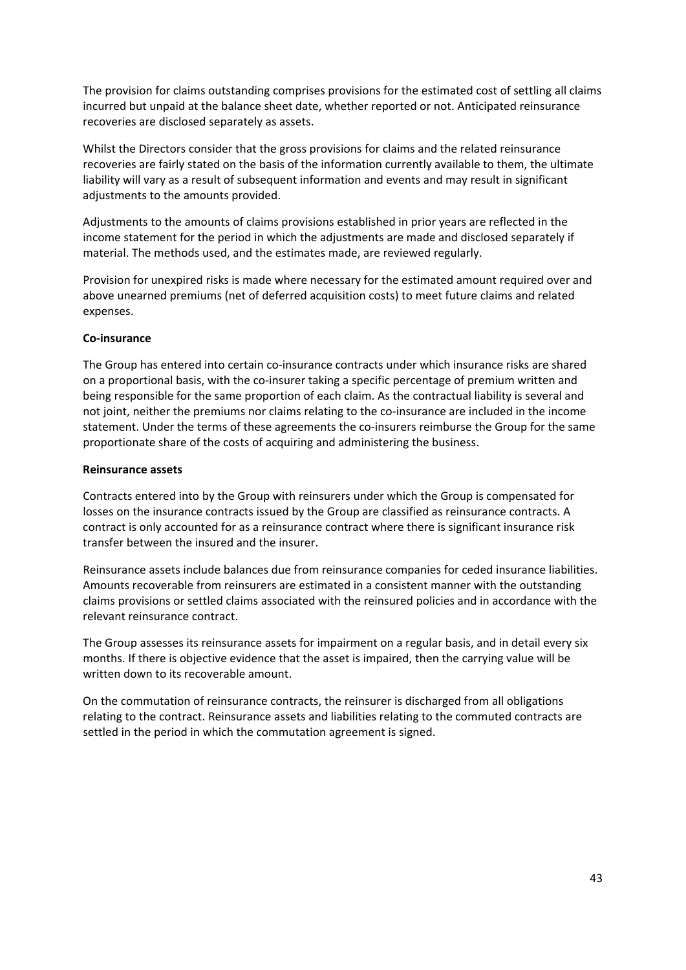The provision for claims outstanding comprises provisions for the estimated cost of settling all claims incurred but unpaid at the balance sheet date, whether reported or not. Anticipated reinsurance recoveries are disclosed separately as assets.

Whilst the Directors consider that the gross provisions for claims and the related reinsurance recoveries are fairly stated on the basis of the information currently available to them, the ultimate liability will vary as a result of subsequent information and events and may result in significant adjustments to the amounts provided.

Adjustments to the amounts of claims provisions established in prior years are reflected in the income statement for the period in which the adjustments are made and disclosed separately if material. The methods used, and the estimates made, are reviewed regularly.

Provision for unexpired risks is made where necessary for the estimated amount required over and above unearned premiums (net of deferred acquisition costs) to meet future claims and related expenses.

### **Co‐insurance**

The Group has entered into certain co‐insurance contracts under which insurance risks are shared on a proportional basis, with the co-insurer taking a specific percentage of premium written and being responsible for the same proportion of each claim. As the contractual liability is several and not joint, neither the premiums nor claims relating to the co-insurance are included in the income statement. Under the terms of these agreements the co-insurers reimburse the Group for the same proportionate share of the costs of acquiring and administering the business.

### **Reinsurance assets**

Contracts entered into by the Group with reinsurers under which the Group is compensated for losses on the insurance contracts issued by the Group are classified as reinsurance contracts. A contract is only accounted for as a reinsurance contract where there is significant insurance risk transfer between the insured and the insurer.

Reinsurance assets include balances due from reinsurance companies for ceded insurance liabilities. Amounts recoverable from reinsurers are estimated in a consistent manner with the outstanding claims provisions or settled claims associated with the reinsured policies and in accordance with the relevant reinsurance contract.

The Group assesses its reinsurance assets for impairment on a regular basis, and in detail every six months. If there is objective evidence that the asset is impaired, then the carrying value will be written down to its recoverable amount.

On the commutation of reinsurance contracts, the reinsurer is discharged from all obligations relating to the contract. Reinsurance assets and liabilities relating to the commuted contracts are settled in the period in which the commutation agreement is signed.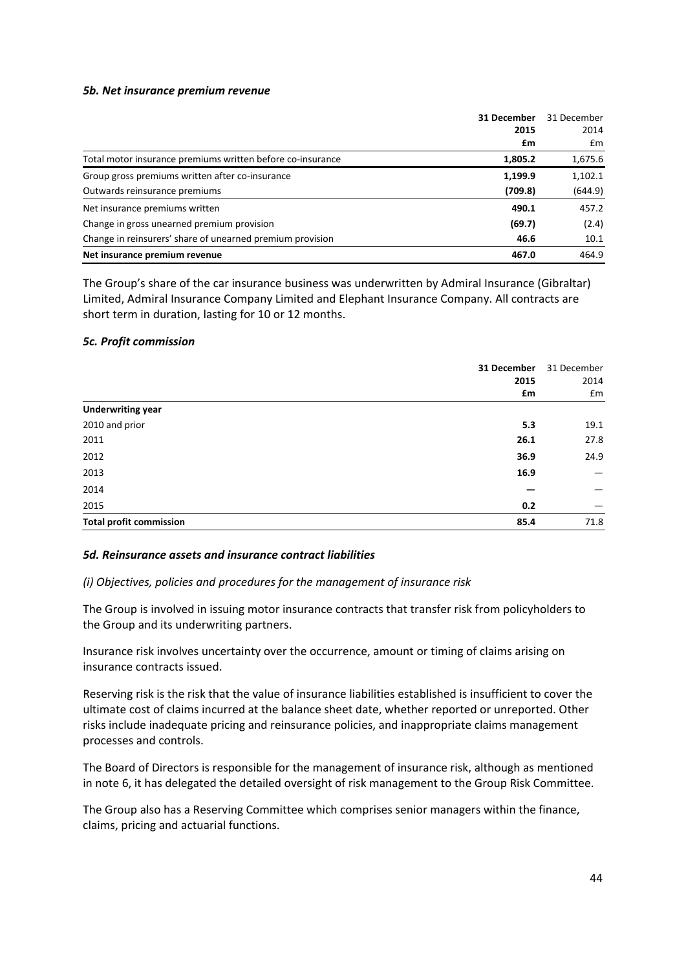#### *5b. Net insurance premium revenue*

|                                                            | 31 December | 31 December |
|------------------------------------------------------------|-------------|-------------|
|                                                            | 2015        | 2014        |
|                                                            | £m          | £m          |
| Total motor insurance premiums written before co-insurance | 1,805.2     | 1,675.6     |
| Group gross premiums written after co-insurance            | 1,199.9     | 1,102.1     |
| Outwards reinsurance premiums                              | (709.8)     | (644.9)     |
| Net insurance premiums written                             | 490.1       | 457.2       |
| Change in gross unearned premium provision                 | (69.7)      | (2.4)       |
| Change in reinsurers' share of unearned premium provision  | 46.6        | 10.1        |
| Net insurance premium revenue                              | 467.0       | 464.9       |

The Group's share of the car insurance business was underwritten by Admiral Insurance (Gibraltar) Limited, Admiral Insurance Company Limited and Elephant Insurance Company. All contracts are short term in duration, lasting for 10 or 12 months.

#### *5c. Profit commission*

|                                | 31 December | 31 December |
|--------------------------------|-------------|-------------|
|                                | 2015        | 2014        |
|                                | £m          | £m          |
| <b>Underwriting year</b>       |             |             |
| 2010 and prior                 | 5.3         | 19.1        |
| 2011                           | 26.1        | 27.8        |
| 2012                           | 36.9        | 24.9        |
| 2013                           | 16.9        |             |
| 2014                           |             |             |
| 2015                           | 0.2         | –           |
| <b>Total profit commission</b> | 85.4        | 71.8        |

#### *5d. Reinsurance assets and insurance contract liabilities*

#### *(i) Objectives, policies and procedures for the management of insurance risk*

The Group is involved in issuing motor insurance contracts that transfer risk from policyholders to the Group and its underwriting partners.

Insurance risk involves uncertainty over the occurrence, amount or timing of claims arising on insurance contracts issued.

Reserving risk is the risk that the value of insurance liabilities established is insufficient to cover the ultimate cost of claims incurred at the balance sheet date, whether reported or unreported. Other risks include inadequate pricing and reinsurance policies, and inappropriate claims management processes and controls.

The Board of Directors is responsible for the management of insurance risk, although as mentioned in note 6, it has delegated the detailed oversight of risk management to the Group Risk Committee.

The Group also has a Reserving Committee which comprises senior managers within the finance, claims, pricing and actuarial functions.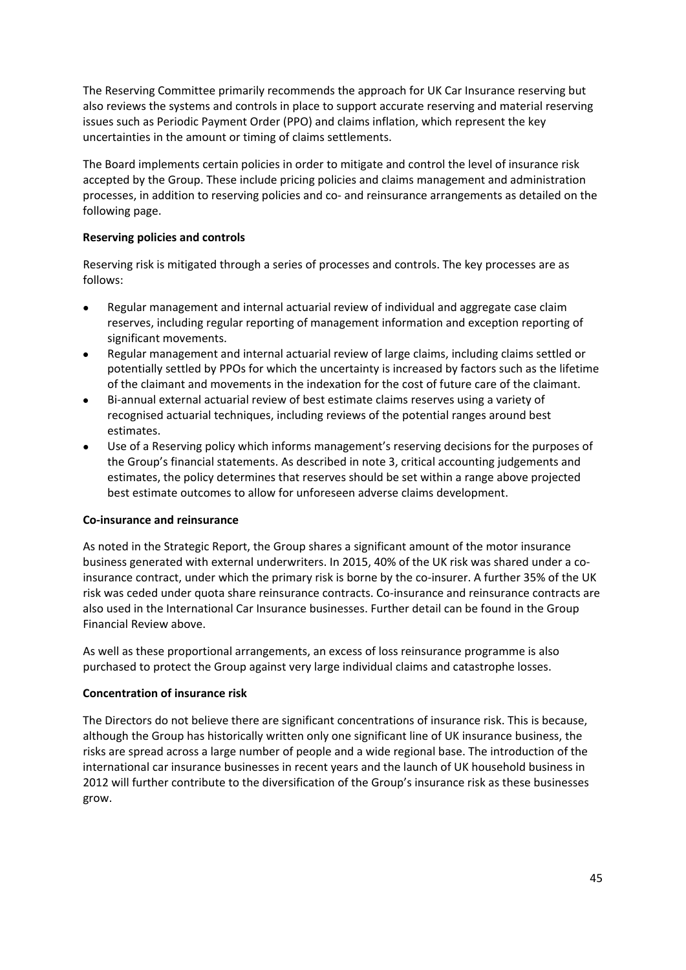The Reserving Committee primarily recommends the approach for UK Car Insurance reserving but also reviews the systems and controls in place to support accurate reserving and material reserving issues such as Periodic Payment Order (PPO) and claims inflation, which represent the key uncertainties in the amount or timing of claims settlements.

The Board implements certain policies in order to mitigate and control the level of insurance risk accepted by the Group. These include pricing policies and claims management and administration processes, in addition to reserving policies and co‐ and reinsurance arrangements as detailed on the following page.

### **Reserving policies and controls**

Reserving risk is mitigated through a series of processes and controls. The key processes are as follows:

- Regular management and internal actuarial review of individual and aggregate case claim reserves, including regular reporting of management information and exception reporting of significant movements.
- Regular management and internal actuarial review of large claims, including claims settled or potentially settled by PPOs for which the uncertainty is increased by factors such as the lifetime of the claimant and movements in the indexation for the cost of future care of the claimant.
- Bi-annual external actuarial review of best estimate claims reserves using a variety of recognised actuarial techniques, including reviews of the potential ranges around best estimates.
- Use of a Reserving policy which informs management's reserving decisions for the purposes of the Group's financial statements. As described in note 3, critical accounting judgements and estimates, the policy determines that reserves should be set within a range above projected best estimate outcomes to allow for unforeseen adverse claims development.

### **Co‐insurance and reinsurance**

As noted in the Strategic Report, the Group shares a significant amount of the motor insurance business generated with external underwriters. In 2015, 40% of the UK risk was shared under a co‐ insurance contract, under which the primary risk is borne by the co-insurer. A further 35% of the UK risk was ceded under quota share reinsurance contracts. Co‐insurance and reinsurance contracts are also used in the International Car Insurance businesses. Further detail can be found in the Group Financial Review above.

As well as these proportional arrangements, an excess of loss reinsurance programme is also purchased to protect the Group against very large individual claims and catastrophe losses.

### **Concentration of insurance risk**

The Directors do not believe there are significant concentrations of insurance risk. This is because, although the Group has historically written only one significant line of UK insurance business, the risks are spread across a large number of people and a wide regional base. The introduction of the international car insurance businesses in recent years and the launch of UK household business in 2012 will further contribute to the diversification of the Group's insurance risk as these businesses grow.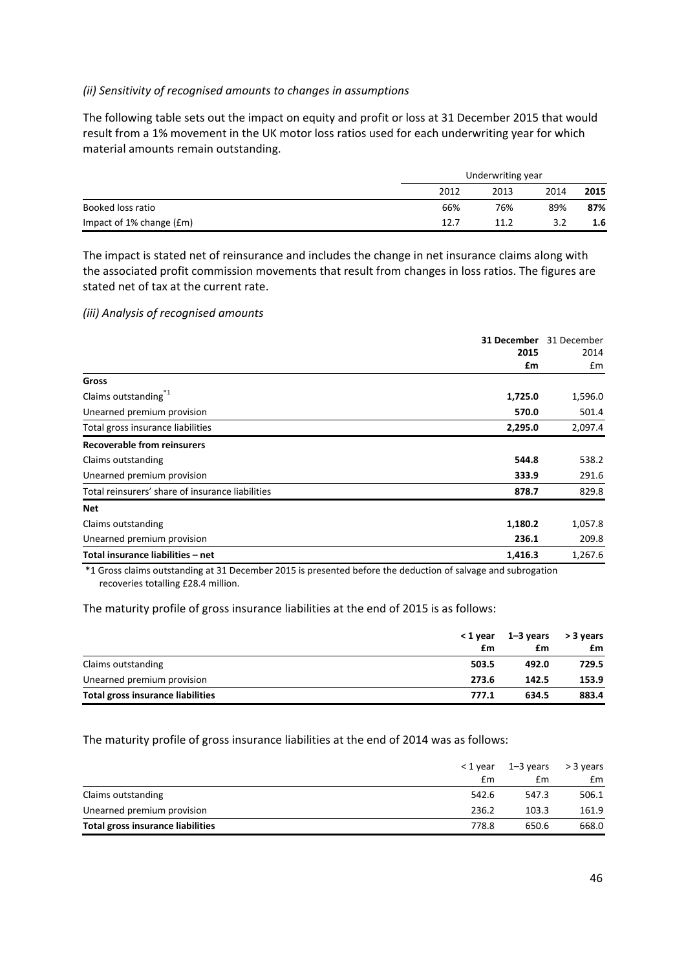### *(ii) Sensitivity of recognised amounts to changes in assumptions*

The following table sets out the impact on equity and profit or loss at 31 December 2015 that would result from a 1% movement in the UK motor loss ratios used for each underwriting year for which material amounts remain outstanding.

|                          | Underwriting year |      |      |      |  |
|--------------------------|-------------------|------|------|------|--|
|                          | 2012              | 2013 | 2014 | 2015 |  |
| Booked loss ratio        | 66%               | 76%  | 89%  | 87%  |  |
| Impact of 1% change (£m) | 12.7              | 11.2 | 3.2  | 1.6  |  |

The impact is stated net of reinsurance and includes the change in net insurance claims along with the associated profit commission movements that result from changes in loss ratios. The figures are stated net of tax at the current rate.

### *(iii) Analysis of recognised amounts*

|                                                  | 31 December | 31 December |
|--------------------------------------------------|-------------|-------------|
|                                                  | 2015        | 2014        |
|                                                  | £m          | £m          |
| Gross                                            |             |             |
| Claims outstanding <sup>*1</sup>                 | 1,725.0     | 1,596.0     |
| Unearned premium provision                       | 570.0       | 501.4       |
| Total gross insurance liabilities                | 2,295.0     | 2,097.4     |
| <b>Recoverable from reinsurers</b>               |             |             |
| Claims outstanding                               | 544.8       | 538.2       |
| Unearned premium provision                       | 333.9       | 291.6       |
| Total reinsurers' share of insurance liabilities | 878.7       | 829.8       |
| <b>Net</b>                                       |             |             |
| Claims outstanding                               | 1,180.2     | 1,057.8     |
| Unearned premium provision                       | 236.1       | 209.8       |
| Total insurance liabilities - net                | 1,416.3     | 1,267.6     |

\*1 Gross claims outstanding at 31 December 2015 is presented before the deduction of salvage and subrogation recoveries totalling £28.4 million.

The maturity profile of gross insurance liabilities at the end of 2015 is as follows:

|                                   | < 1 year<br>£m | 1–3 vears<br>£m | > 3 years<br>£m |
|-----------------------------------|----------------|-----------------|-----------------|
| Claims outstanding                | 503.5          | 492.0           | 729.5           |
| Unearned premium provision        | 273.6          | 142.5           | 153.9           |
| Total gross insurance liabilities | 777.1          | 634.5           | 883.4           |

### The maturity profile of gross insurance liabilities at the end of 2014 was as follows:

|                                   | < 1 year | 1–3 vears | > 3 years |
|-----------------------------------|----------|-----------|-----------|
|                                   | £m       | £m        | £m        |
| Claims outstanding                | 542.6    | 547.3     | 506.1     |
| Unearned premium provision        | 236.2    | 103.3     | 161.9     |
| Total gross insurance liabilities | 778.8    | 650.6     | 668.0     |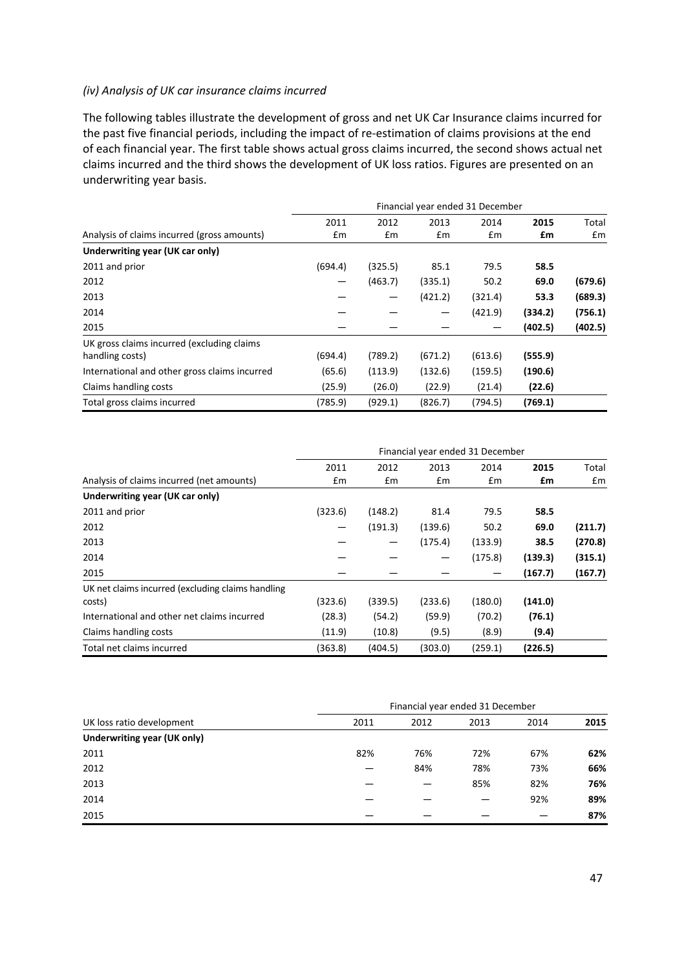### *(iv) Analysis of UK car insurance claims incurred*

The following tables illustrate the development of gross and net UK Car Insurance claims incurred for the past five financial periods, including the impact of re‐estimation of claims provisions at the end of each financial year. The first table shows actual gross claims incurred, the second shows actual net claims incurred and the third shows the development of UK loss ratios. Figures are presented on an underwriting year basis.

|                                               | Financial year ended 31 December |         |         |         |         |         |
|-----------------------------------------------|----------------------------------|---------|---------|---------|---------|---------|
|                                               | 2011                             | 2012    | 2013    | 2014    | 2015    | Total   |
| Analysis of claims incurred (gross amounts)   | Em                               | Em      | £m      | Em      | £m      | £m      |
| Underwriting year (UK car only)               |                                  |         |         |         |         |         |
| 2011 and prior                                | (694.4)                          | (325.5) | 85.1    | 79.5    | 58.5    |         |
| 2012                                          |                                  | (463.7) | (335.1) | 50.2    | 69.0    | (679.6) |
| 2013                                          |                                  |         | (421.2) | (321.4) | 53.3    | (689.3) |
| 2014                                          |                                  |         |         | (421.9) | (334.2) | (756.1) |
| 2015                                          |                                  |         |         |         | (402.5) | (402.5) |
| UK gross claims incurred (excluding claims    |                                  |         |         |         |         |         |
| handling costs)                               | (694.4)                          | (789.2) | (671.2) | (613.6) | (555.9) |         |
| International and other gross claims incurred | (65.6)                           | (113.9) | (132.6) | (159.5) | (190.6) |         |
| Claims handling costs                         | (25.9)                           | (26.0)  | (22.9)  | (21.4)  | (22.6)  |         |
| Total gross claims incurred                   | (785.9)                          | (929.1) | (826.7) | (794.5) | (769.1) |         |

|                                                   | Financial year ended 31 December |         |         |         |         |         |
|---------------------------------------------------|----------------------------------|---------|---------|---------|---------|---------|
|                                                   | 2011                             | 2012    | 2013    | 2014    | 2015    | Total   |
| Analysis of claims incurred (net amounts)         | Em                               | Em      | £m      | £m      | £m      | £m      |
| Underwriting year (UK car only)                   |                                  |         |         |         |         |         |
| 2011 and prior                                    | (323.6)                          | (148.2) | 81.4    | 79.5    | 58.5    |         |
| 2012                                              |                                  | (191.3) | (139.6) | 50.2    | 69.0    | (211.7) |
| 2013                                              |                                  |         | (175.4) | (133.9) | 38.5    | (270.8) |
| 2014                                              |                                  |         |         | (175.8) | (139.3) | (315.1) |
| 2015                                              |                                  |         |         |         | (167.7) | (167.7) |
| UK net claims incurred (excluding claims handling |                                  |         |         |         |         |         |
| costs)                                            | (323.6)                          | (339.5) | (233.6) | (180.0) | (141.0) |         |
| International and other net claims incurred       | (28.3)                           | (54.2)  | (59.9)  | (70.2)  | (76.1)  |         |
| Claims handling costs                             | (11.9)                           | (10.8)  | (9.5)   | (8.9)   | (9.4)   |         |
| Total net claims incurred                         | (363.8)                          | (404.5) | (303.0) | (259.1) | (226.5) |         |

| UK loss ratio development   | Financial year ended 31 December |      |      |      |      |
|-----------------------------|----------------------------------|------|------|------|------|
|                             | 2011                             | 2012 | 2013 | 2014 | 2015 |
| Underwriting year (UK only) |                                  |      |      |      |      |
| 2011                        | 82%                              | 76%  | 72%  | 67%  | 62%  |
| 2012                        |                                  | 84%  | 78%  | 73%  | 66%  |
| 2013                        |                                  |      | 85%  | 82%  | 76%  |
| 2014                        |                                  |      |      | 92%  | 89%  |
| 2015                        |                                  |      |      |      | 87%  |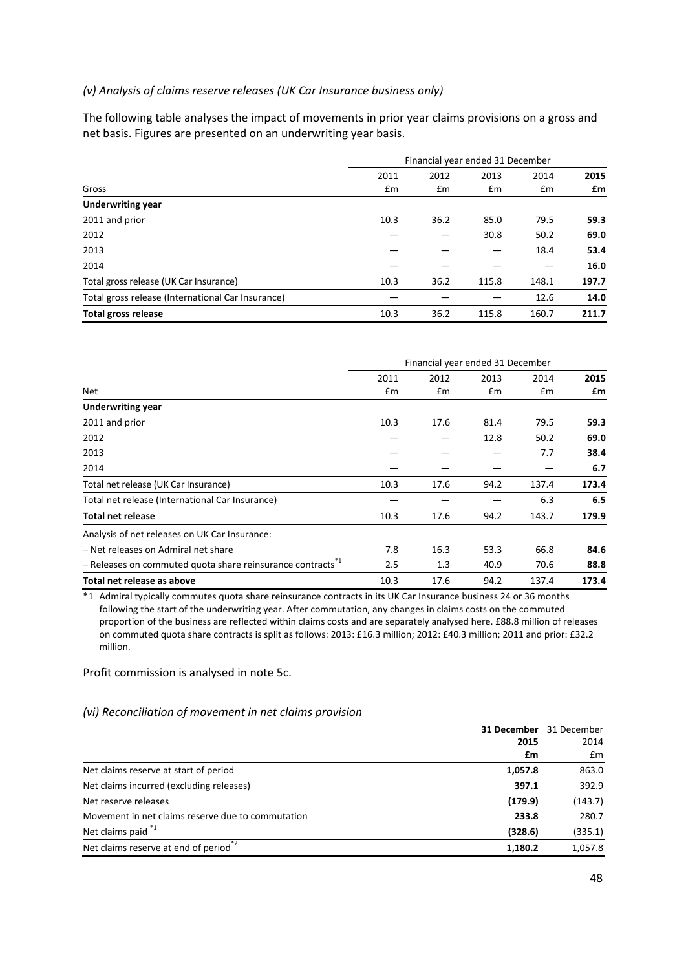### *(v) Analysis of claims reserve releases (UK Car Insurance business only)*

The following table analyses the impact of movements in prior year claims provisions on a gross and net basis. Figures are presented on an underwriting year basis.

|                                                   | Financial year ended 31 December |      |       |       |       |
|---------------------------------------------------|----------------------------------|------|-------|-------|-------|
|                                                   | 2011                             | 2012 | 2013  | 2014  | 2015  |
| Gross                                             | $\mathsf{fm}$                    | £m   | Em    | Em    | £m    |
| <b>Underwriting year</b>                          |                                  |      |       |       |       |
| 2011 and prior                                    | 10.3                             | 36.2 | 85.0  | 79.5  | 59.3  |
| 2012                                              |                                  |      | 30.8  | 50.2  | 69.0  |
| 2013                                              |                                  |      |       | 18.4  | 53.4  |
| 2014                                              |                                  |      |       |       | 16.0  |
| Total gross release (UK Car Insurance)            | 10.3                             | 36.2 | 115.8 | 148.1 | 197.7 |
| Total gross release (International Car Insurance) |                                  |      |       | 12.6  | 14.0  |
| Total gross release                               | 10.3                             | 36.2 | 115.8 | 160.7 | 211.7 |

|                                                                        |      | Financial year ended 31 December |      |       |       |
|------------------------------------------------------------------------|------|----------------------------------|------|-------|-------|
|                                                                        | 2011 | 2012                             | 2013 | 2014  | 2015  |
| <b>Net</b>                                                             | £m   | £m                               | £m   | £m    | £m    |
| <b>Underwriting year</b>                                               |      |                                  |      |       |       |
| 2011 and prior                                                         | 10.3 | 17.6                             | 81.4 | 79.5  | 59.3  |
| 2012                                                                   |      |                                  | 12.8 | 50.2  | 69.0  |
| 2013                                                                   |      |                                  |      | 7.7   | 38.4  |
| 2014                                                                   |      |                                  |      |       | 6.7   |
| Total net release (UK Car Insurance)                                   | 10.3 | 17.6                             | 94.2 | 137.4 | 173.4 |
| Total net release (International Car Insurance)                        |      |                                  |      | 6.3   | 6.5   |
| <b>Total net release</b>                                               | 10.3 | 17.6                             | 94.2 | 143.7 | 179.9 |
| Analysis of net releases on UK Car Insurance:                          |      |                                  |      |       |       |
| – Net releases on Admiral net share                                    | 7.8  | 16.3                             | 53.3 | 66.8  | 84.6  |
| - Releases on commuted quota share reinsurance contracts <sup>*1</sup> | 2.5  | 1.3                              | 40.9 | 70.6  | 88.8  |
| Total net release as above                                             | 10.3 | 17.6                             | 94.2 | 137.4 | 173.4 |

\*1 Admiral typically commutes quota share reinsurance contracts in its UK Car Insurance business 24 or 36 months following the start of the underwriting year. After commutation, any changes in claims costs on the commuted proportion of the business are reflected within claims costs and are separately analysed here. £88.8 million of releases on commuted quota share contracts is split as follows: 2013: £16.3 million; 2012: £40.3 million; 2011 and prior: £32.2 million.

Profit commission is analysed in note 5c.

#### *(vi) Reconciliation of movement in net claims provision*

|                                                              | <b>31 December</b> 31 December |  |
|--------------------------------------------------------------|--------------------------------|--|
| 2015                                                         | 2014                           |  |
| £m                                                           | Em                             |  |
| Net claims reserve at start of period<br>1,057.8             | 863.0                          |  |
| Net claims incurred (excluding releases)<br>397.1            | 392.9                          |  |
| (179.9)<br>Net reserve releases                              | (143.7)                        |  |
| Movement in net claims reserve due to commutation<br>233.8   | 280.7                          |  |
| Net claims paid <sup>*1</sup><br>(328.6)                     | (335.1)                        |  |
| Net claims reserve at end of period <sup>*2</sup><br>1.180.2 | 1,057.8                        |  |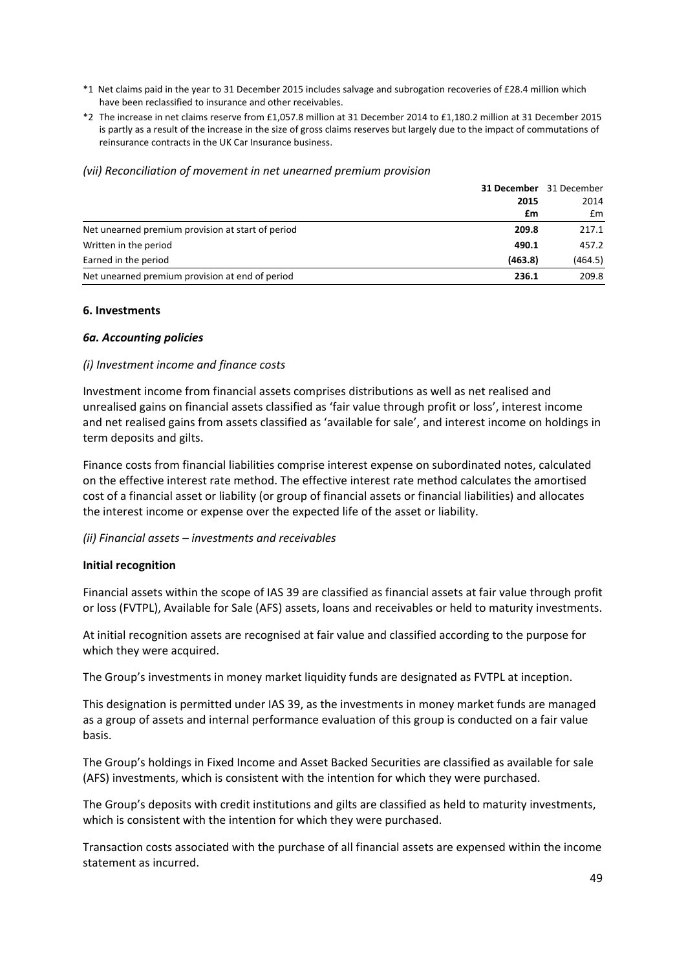- \*1 Net claims paid in the year to 31 December 2015 includes salvage and subrogation recoveries of £28.4 million which have been reclassified to insurance and other receivables.
- \*2 The increase in net claims reserve from £1,057.8 million at 31 December 2014 to £1,180.2 million at 31 December 2015 is partly as a result of the increase in the size of gross claims reserves but largely due to the impact of commutations of reinsurance contracts in the UK Car Insurance business.

#### *(vii) Reconciliation of movement in net unearned premium provision*

|                                                   |         | <b>31 December</b> 31 December |
|---------------------------------------------------|---------|--------------------------------|
|                                                   | 2015    | 2014                           |
|                                                   | £m      | £m                             |
| Net unearned premium provision at start of period | 209.8   | 217.1                          |
| Written in the period                             | 490.1   | 457.2                          |
| Earned in the period                              | (463.8) | (464.5)                        |
| Net unearned premium provision at end of period   | 236.1   | 209.8                          |

#### **6. Investments**

#### *6a. Accounting policies*

#### *(i) Investment income and finance costs*

Investment income from financial assets comprises distributions as well as net realised and unrealised gains on financial assets classified as 'fair value through profit or loss', interest income and net realised gains from assets classified as 'available for sale', and interest income on holdings in term deposits and gilts.

Finance costs from financial liabilities comprise interest expense on subordinated notes, calculated on the effective interest rate method. The effective interest rate method calculates the amortised cost of a financial asset or liability (or group of financial assets or financial liabilities) and allocates the interest income or expense over the expected life of the asset or liability.

### *(ii) Financial assets – investments and receivables*

#### **Initial recognition**

Financial assets within the scope of IAS 39 are classified as financial assets at fair value through profit or loss (FVTPL), Available for Sale (AFS) assets, loans and receivables or held to maturity investments.

At initial recognition assets are recognised at fair value and classified according to the purpose for which they were acquired.

The Group's investments in money market liquidity funds are designated as FVTPL at inception.

This designation is permitted under IAS 39, as the investments in money market funds are managed as a group of assets and internal performance evaluation of this group is conducted on a fair value basis.

The Group's holdings in Fixed Income and Asset Backed Securities are classified as available for sale (AFS) investments, which is consistent with the intention for which they were purchased.

The Group's deposits with credit institutions and gilts are classified as held to maturity investments, which is consistent with the intention for which they were purchased.

Transaction costs associated with the purchase of all financial assets are expensed within the income statement as incurred.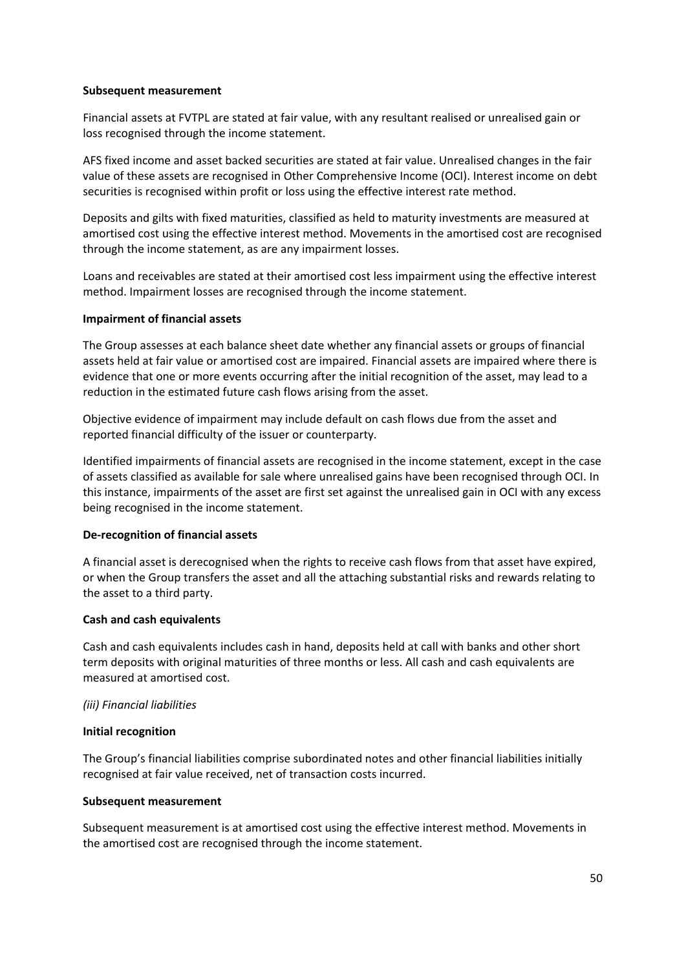### **Subsequent measurement**

Financial assets at FVTPL are stated at fair value, with any resultant realised or unrealised gain or loss recognised through the income statement.

AFS fixed income and asset backed securities are stated at fair value. Unrealised changes in the fair value of these assets are recognised in Other Comprehensive Income (OCI). Interest income on debt securities is recognised within profit or loss using the effective interest rate method.

Deposits and gilts with fixed maturities, classified as held to maturity investments are measured at amortised cost using the effective interest method. Movements in the amortised cost are recognised through the income statement, as are any impairment losses.

Loans and receivables are stated at their amortised cost less impairment using the effective interest method. Impairment losses are recognised through the income statement.

#### **Impairment of financial assets**

The Group assesses at each balance sheet date whether any financial assets or groups of financial assets held at fair value or amortised cost are impaired. Financial assets are impaired where there is evidence that one or more events occurring after the initial recognition of the asset, may lead to a reduction in the estimated future cash flows arising from the asset.

Objective evidence of impairment may include default on cash flows due from the asset and reported financial difficulty of the issuer or counterparty.

Identified impairments of financial assets are recognised in the income statement, except in the case of assets classified as available for sale where unrealised gains have been recognised through OCI. In this instance, impairments of the asset are first set against the unrealised gain in OCI with any excess being recognised in the income statement.

#### **De‐recognition of financial assets**

A financial asset is derecognised when the rights to receive cash flows from that asset have expired, or when the Group transfers the asset and all the attaching substantial risks and rewards relating to the asset to a third party.

#### **Cash and cash equivalents**

Cash and cash equivalents includes cash in hand, deposits held at call with banks and other short term deposits with original maturities of three months or less. All cash and cash equivalents are measured at amortised cost.

#### *(iii) Financial liabilities*

#### **Initial recognition**

The Group's financial liabilities comprise subordinated notes and other financial liabilities initially recognised at fair value received, net of transaction costs incurred.

#### **Subsequent measurement**

Subsequent measurement is at amortised cost using the effective interest method. Movements in the amortised cost are recognised through the income statement.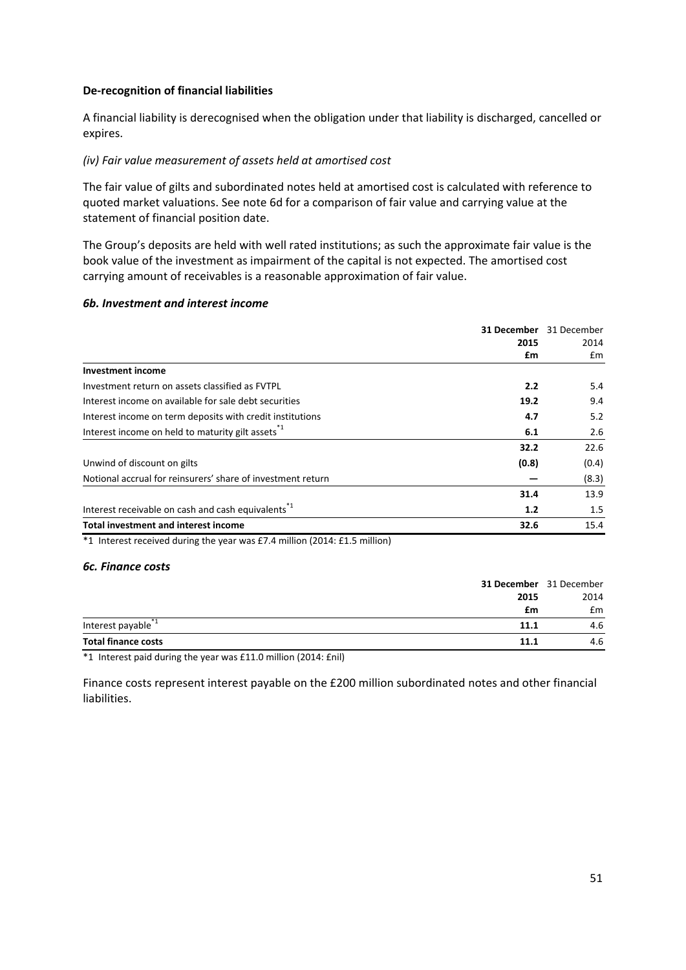### **De‐recognition of financial liabilities**

A financial liability is derecognised when the obligation under that liability is discharged, cancelled or expires.

### *(iv) Fair value measurement of assets held at amortised cost*

The fair value of gilts and subordinated notes held at amortised cost is calculated with reference to quoted market valuations. See note 6d for a comparison of fair value and carrying value at the statement of financial position date.

The Group's deposits are held with well rated institutions; as such the approximate fair value is the book value of the investment as impairment of the capital is not expected. The amortised cost carrying amount of receivables is a reasonable approximation of fair value.

#### *6b. Investment and interest income*

|                                                                | 31 December | 31 December |  |
|----------------------------------------------------------------|-------------|-------------|--|
|                                                                | 2015        | 2014        |  |
|                                                                | £m          | £m          |  |
| <b>Investment income</b>                                       |             |             |  |
| Investment return on assets classified as FVTPL                | 2.2         | 5.4         |  |
| Interest income on available for sale debt securities          | 19.2        | 9.4         |  |
| Interest income on term deposits with credit institutions      | 4.7         | 5.2         |  |
| Interest income on held to maturity gilt assets <sup>*1</sup>  | 6.1         | 2.6         |  |
|                                                                | 32.2        | 22.6        |  |
| Unwind of discount on gilts                                    | (0.8)       | (0.4)       |  |
| Notional accrual for reinsurers' share of investment return    |             | (8.3)       |  |
|                                                                | 31.4        | 13.9        |  |
| Interest receivable on cash and cash equivalents <sup>*1</sup> | 1.2         | 1.5         |  |
| <b>Total investment and interest income</b>                    | 32.6        | 15.4        |  |

 $*1$  Interest received during the year was £7.4 million (2014: £1.5 million)

#### *6c. Finance costs*

| <b>31 December</b> 31 December         |      |
|----------------------------------------|------|
| 2015                                   | 2014 |
| £m                                     | £m   |
| Interest payable <sup>*1</sup><br>11.1 | 4.6  |
| <b>Total finance costs</b><br>11.1     | 4.6  |

\*1 Interest paid during the year was £11.0 million (2014: £nil)

Finance costs represent interest payable on the £200 million subordinated notes and other financial liabilities.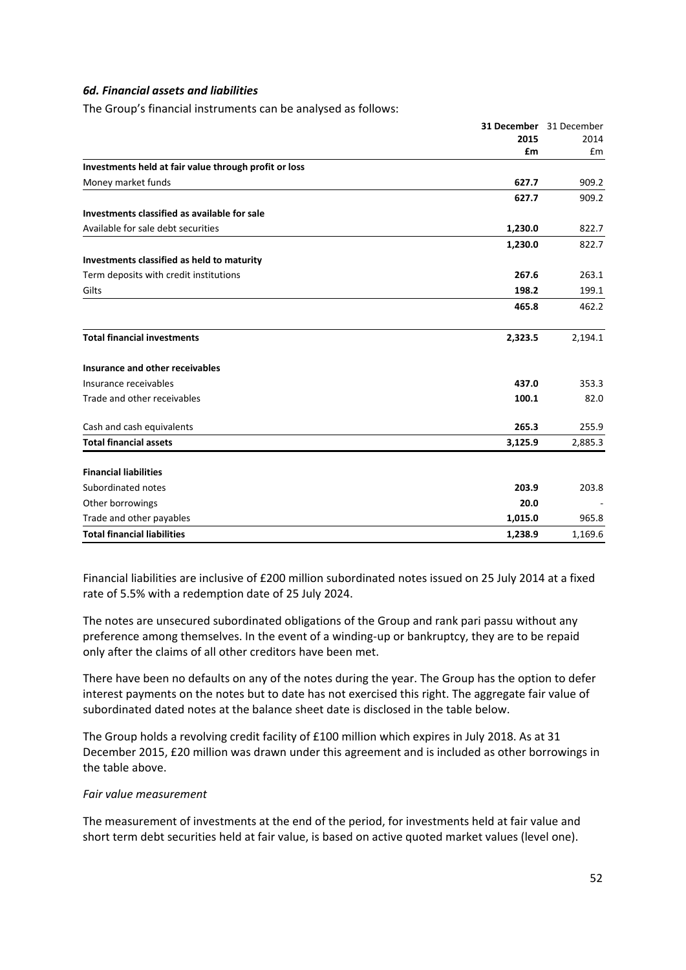### *6d. Financial assets and liabilities*

The Group's financial instruments can be analysed as follows:

|                                                       |         | 31 December 31 December |
|-------------------------------------------------------|---------|-------------------------|
|                                                       | 2015    | 2014                    |
|                                                       | £m      | £m                      |
| Investments held at fair value through profit or loss |         |                         |
| Money market funds                                    | 627.7   | 909.2                   |
|                                                       | 627.7   | 909.2                   |
| Investments classified as available for sale          |         |                         |
| Available for sale debt securities                    | 1,230.0 | 822.7                   |
|                                                       | 1,230.0 | 822.7                   |
| Investments classified as held to maturity            |         |                         |
| Term deposits with credit institutions                | 267.6   | 263.1                   |
| Gilts                                                 | 198.2   | 199.1                   |
|                                                       | 465.8   | 462.2                   |
| <b>Total financial investments</b>                    | 2,323.5 | 2,194.1                 |
| Insurance and other receivables                       |         |                         |
| Insurance receivables                                 | 437.0   | 353.3                   |
| Trade and other receivables                           | 100.1   | 82.0                    |
| Cash and cash equivalents                             | 265.3   | 255.9                   |
| <b>Total financial assets</b>                         | 3,125.9 | 2,885.3                 |
| <b>Financial liabilities</b>                          |         |                         |
| Subordinated notes                                    | 203.9   | 203.8                   |
| Other borrowings                                      | 20.0    |                         |
| Trade and other payables                              | 1,015.0 | 965.8                   |
| <b>Total financial liabilities</b>                    | 1,238.9 | 1,169.6                 |

Financial liabilities are inclusive of £200 million subordinated notes issued on 25 July 2014 at a fixed rate of 5.5% with a redemption date of 25 July 2024.

The notes are unsecured subordinated obligations of the Group and rank pari passu without any preference among themselves. In the event of a winding‐up or bankruptcy, they are to be repaid only after the claims of all other creditors have been met.

There have been no defaults on any of the notes during the year. The Group has the option to defer interest payments on the notes but to date has not exercised this right. The aggregate fair value of subordinated dated notes at the balance sheet date is disclosed in the table below.

The Group holds a revolving credit facility of £100 million which expires in July 2018. As at 31 December 2015, £20 million was drawn under this agreement and is included as other borrowings in the table above.

#### *Fair value measurement*

The measurement of investments at the end of the period, for investments held at fair value and short term debt securities held at fair value, is based on active quoted market values (level one).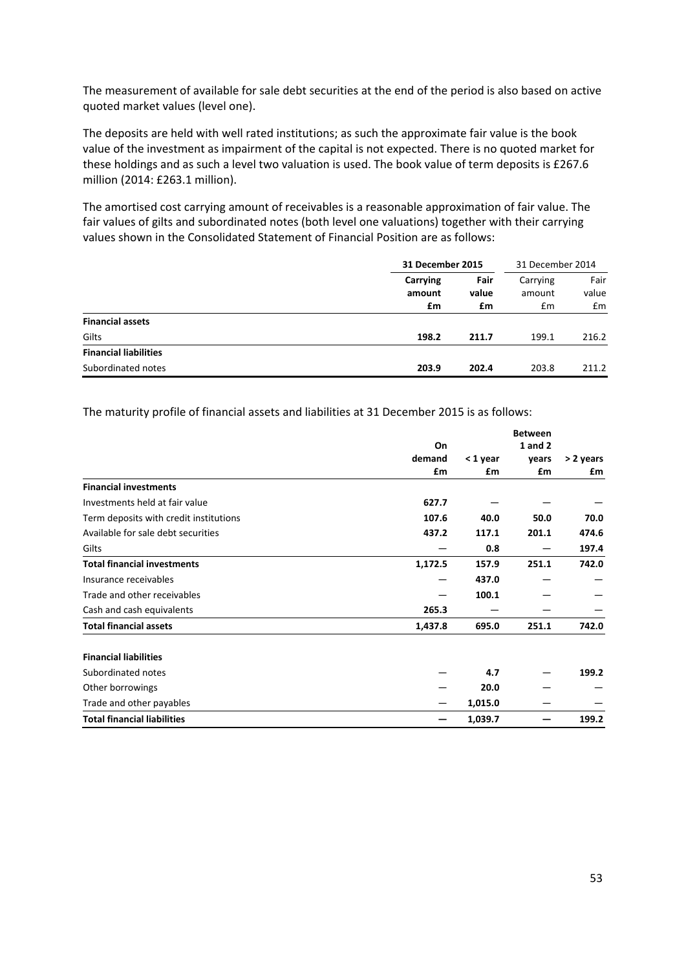The measurement of available for sale debt securities at the end of the period is also based on active quoted market values (level one).

The deposits are held with well rated institutions; as such the approximate fair value is the book value of the investment as impairment of the capital is not expected. There is no quoted market for these holdings and as such a level two valuation is used. The book value of term deposits is £267.6 million (2014: £263.1 million).

The amortised cost carrying amount of receivables is a reasonable approximation of fair value. The fair values of gilts and subordinated notes (both level one valuations) together with their carrying values shown in the Consolidated Statement of Financial Position are as follows:

|                              |                          | 31 December 2015    |                          | 31 December 2014    |  |
|------------------------------|--------------------------|---------------------|--------------------------|---------------------|--|
|                              | Carrying<br>amount<br>£m | Fair<br>value<br>£m | Carrying<br>amount<br>Em | Fair<br>value<br>£m |  |
| <b>Financial assets</b>      |                          |                     |                          |                     |  |
| Gilts                        | 198.2                    | 211.7               | 199.1                    | 216.2               |  |
| <b>Financial liabilities</b> |                          |                     |                          |                     |  |
| Subordinated notes           | 203.9                    | 202.4               | 203.8                    | 211.2               |  |

The maturity profile of financial assets and liabilities at 31 December 2015 is as follows:

|                                        |         | <b>Between</b> |         |           |
|----------------------------------------|---------|----------------|---------|-----------|
|                                        | On      |                | 1 and 2 |           |
|                                        | demand  | < 1 year       | years   | > 2 years |
|                                        | £m      | £m             | £m      | £m        |
| <b>Financial investments</b>           |         |                |         |           |
| Investments held at fair value         | 627.7   |                |         |           |
| Term deposits with credit institutions | 107.6   | 40.0           | 50.0    | 70.0      |
| Available for sale debt securities     | 437.2   | 117.1          | 201.1   | 474.6     |
| Gilts                                  |         | 0.8            |         | 197.4     |
| <b>Total financial investments</b>     | 1,172.5 | 157.9          | 251.1   | 742.0     |
| Insurance receivables                  |         | 437.0          |         |           |
| Trade and other receivables            |         | 100.1          |         |           |
| Cash and cash equivalents              | 265.3   |                |         |           |
| <b>Total financial assets</b>          | 1,437.8 | 695.0          | 251.1   | 742.0     |
| <b>Financial liabilities</b>           |         |                |         |           |
| Subordinated notes                     |         | 4.7            |         | 199.2     |
| Other borrowings                       |         | 20.0           |         |           |
| Trade and other payables               |         | 1,015.0        |         |           |
| <b>Total financial liabilities</b>     |         | 1,039.7        |         | 199.2     |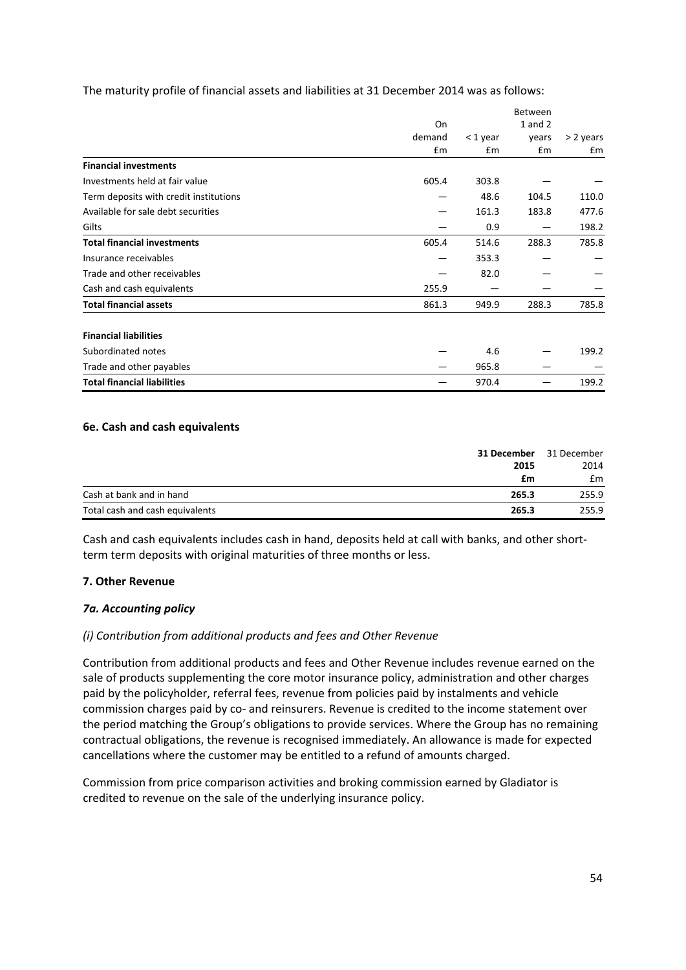The maturity profile of financial assets and liabilities at 31 December 2014 was as follows:

|                                        |               | Between    |             |           |
|----------------------------------------|---------------|------------|-------------|-----------|
|                                        | On            |            | $1$ and $2$ |           |
|                                        | demand        | $<$ 1 year | years       | > 2 years |
|                                        | $\mathsf{fm}$ | £m         | £m          | £m        |
| <b>Financial investments</b>           |               |            |             |           |
| Investments held at fair value         | 605.4         | 303.8      |             |           |
| Term deposits with credit institutions |               | 48.6       | 104.5       | 110.0     |
| Available for sale debt securities     |               | 161.3      | 183.8       | 477.6     |
| Gilts                                  |               | 0.9        |             | 198.2     |
| <b>Total financial investments</b>     | 605.4         | 514.6      | 288.3       | 785.8     |
| Insurance receivables                  |               | 353.3      |             |           |
| Trade and other receivables            |               | 82.0       |             |           |
| Cash and cash equivalents              | 255.9         |            |             |           |
| <b>Total financial assets</b>          | 861.3         | 949.9      | 288.3       | 785.8     |
| <b>Financial liabilities</b>           |               |            |             |           |
| Subordinated notes                     |               | 4.6        |             | 199.2     |
| Trade and other payables               |               | 965.8      |             |           |
| <b>Total financial liabilities</b>     |               | 970.4      |             | 199.2     |

### **6e. Cash and cash equivalents**

|                                 | 31 December | 31 December |
|---------------------------------|-------------|-------------|
|                                 | 2015        | 2014        |
|                                 | £m          | £m          |
| Cash at bank and in hand        | 265.3       | 255.9       |
| Total cash and cash equivalents | 265.3       | 255.9       |

Cash and cash equivalents includes cash in hand, deposits held at call with banks, and other short‐ term term deposits with original maturities of three months or less.

### **7. Other Revenue**

### *7a. Accounting policy*

### *(i) Contribution from additional products and fees and Other Revenue*

Contribution from additional products and fees and Other Revenue includes revenue earned on the sale of products supplementing the core motor insurance policy, administration and other charges paid by the policyholder, referral fees, revenue from policies paid by instalments and vehicle commission charges paid by co‐ and reinsurers. Revenue is credited to the income statement over the period matching the Group's obligations to provide services. Where the Group has no remaining contractual obligations, the revenue is recognised immediately. An allowance is made for expected cancellations where the customer may be entitled to a refund of amounts charged.

Commission from price comparison activities and broking commission earned by Gladiator is credited to revenue on the sale of the underlying insurance policy.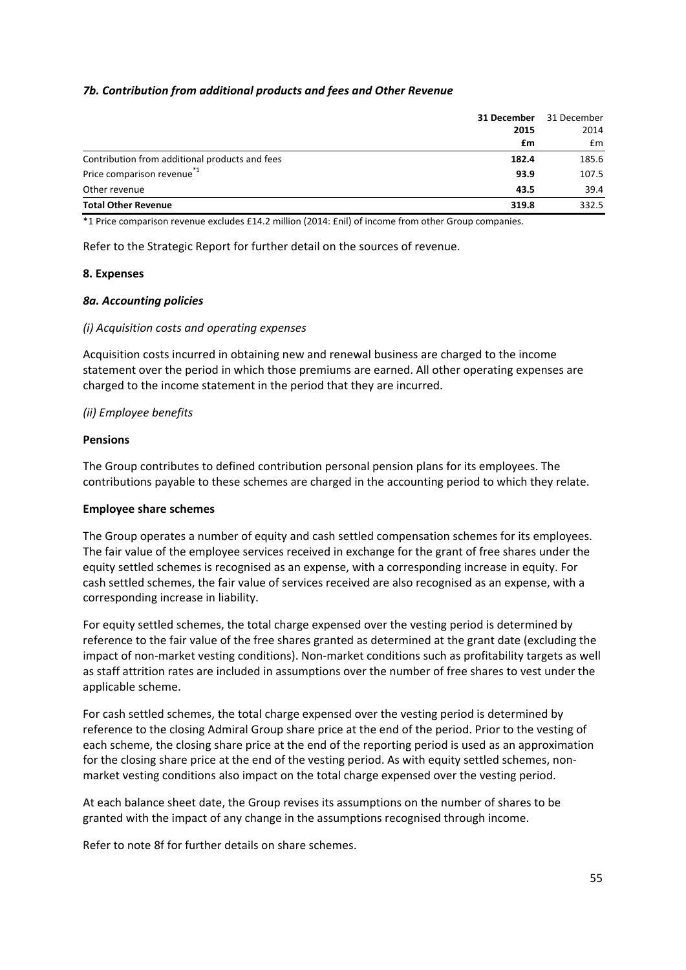### *7b. Contribution from additional products and fees and Other Revenue*

|                                                | 31 December | 31 December |  |
|------------------------------------------------|-------------|-------------|--|
|                                                | 2015        | 2014        |  |
|                                                | £m          | £m          |  |
| Contribution from additional products and fees | 182.4       | 185.6       |  |
| Price comparison revenue <sup>*1</sup>         | 93.9        | 107.5       |  |
| Other revenue                                  | 43.5        | 39.4        |  |
| <b>Total Other Revenue</b>                     | 319.8       | 332.5       |  |

\*1 Price comparison revenue excludes £14.2 million (2014: £nil) of income from other Group companies.

Refer to the Strategic Report for further detail on the sources of revenue.

### **8. Expenses**

### *8a. Accounting policies*

### *(i) Acquisition costs and operating expenses*

Acquisition costs incurred in obtaining new and renewal business are charged to the income statement over the period in which those premiums are earned. All other operating expenses are charged to the income statement in the period that they are incurred.

#### *(ii) Employee benefits*

#### **Pensions**

The Group contributes to defined contribution personal pension plans for its employees. The contributions payable to these schemes are charged in the accounting period to which they relate.

### **Employee share schemes**

The Group operates a number of equity and cash settled compensation schemes for its employees. The fair value of the employee services received in exchange for the grant of free shares under the equity settled schemes is recognised as an expense, with a corresponding increase in equity. For cash settled schemes, the fair value of services received are also recognised as an expense, with a corresponding increase in liability.

For equity settled schemes, the total charge expensed over the vesting period is determined by reference to the fair value of the free shares granted as determined at the grant date (excluding the impact of non‐market vesting conditions). Non‐market conditions such as profitability targets as well as staff attrition rates are included in assumptions over the number of free shares to vest under the applicable scheme.

For cash settled schemes, the total charge expensed over the vesting period is determined by reference to the closing Admiral Group share price at the end of the period. Prior to the vesting of each scheme, the closing share price at the end of the reporting period is used as an approximation for the closing share price at the end of the vesting period. As with equity settled schemes, nonmarket vesting conditions also impact on the total charge expensed over the vesting period.

At each balance sheet date, the Group revises its assumptions on the number of shares to be granted with the impact of any change in the assumptions recognised through income.

Refer to note 8f for further details on share schemes.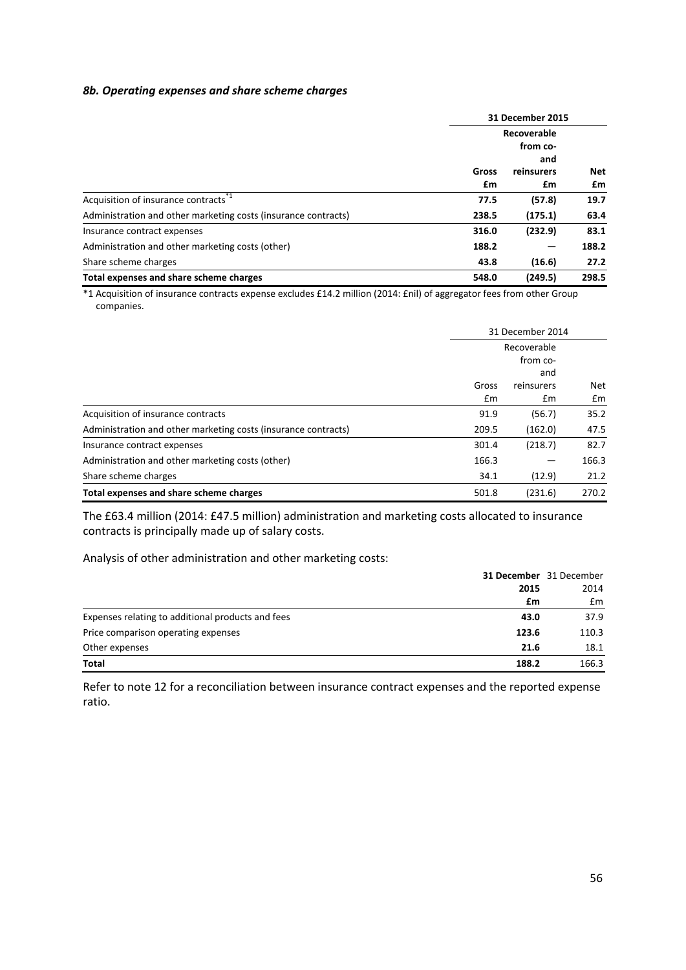#### *8b. Operating expenses and share scheme charges*

|                                                                | 31 December 2015        |            |       |
|----------------------------------------------------------------|-------------------------|------------|-------|
|                                                                | Recoverable<br>from co- |            |       |
|                                                                |                         |            |       |
|                                                                | and                     |            |       |
|                                                                | Gross                   | reinsurers | Net   |
|                                                                | £m                      | £m         | £m    |
| Acquisition of insurance contracts <sup>*1</sup>               | 77.5                    | (57.8)     | 19.7  |
| Administration and other marketing costs (insurance contracts) | 238.5                   | (175.1)    | 63.4  |
| Insurance contract expenses                                    | 316.0                   | (232.9)    | 83.1  |
| Administration and other marketing costs (other)               | 188.2                   |            | 188.2 |
| Share scheme charges                                           | 43.8                    | (16.6)     | 27.2  |
| Total expenses and share scheme charges                        | 548.0                   | (249.5)    | 298.5 |

\*1 Acquisition of insurance contracts expense excludes £14.2 million (2014: £nil) of aggregator fees from other Group companies.

|                                                                | 31 December 2014<br>Recoverable |            |       |
|----------------------------------------------------------------|---------------------------------|------------|-------|
|                                                                |                                 |            |       |
|                                                                |                                 | from co-   |       |
|                                                                |                                 | and        |       |
|                                                                | Gross                           | reinsurers | Net   |
|                                                                | Em                              | £m         | £m    |
| Acquisition of insurance contracts                             | 91.9                            | (56.7)     | 35.2  |
| Administration and other marketing costs (insurance contracts) | 209.5                           | (162.0)    | 47.5  |
| Insurance contract expenses                                    | 301.4                           | (218.7)    | 82.7  |
| Administration and other marketing costs (other)               | 166.3                           |            | 166.3 |
| Share scheme charges                                           | 34.1                            | (12.9)     | 21.2  |
| Total expenses and share scheme charges                        | 501.8                           | (231.6)    | 270.2 |

The £63.4 million (2014: £47.5 million) administration and marketing costs allocated to insurance contracts is principally made up of salary costs.

Analysis of other administration and other marketing costs:

|                                                           | <b>31 December</b> 31 December |
|-----------------------------------------------------------|--------------------------------|
| 2015                                                      | 2014                           |
| £m                                                        | £m                             |
| Expenses relating to additional products and fees<br>43.0 | 37.9                           |
| Price comparison operating expenses<br>123.6              | 110.3                          |
| Other expenses<br>21.6                                    | 18.1                           |
| <b>Total</b><br>188.2                                     | 166.3                          |

Refer to note 12 for a reconciliation between insurance contract expenses and the reported expense ratio.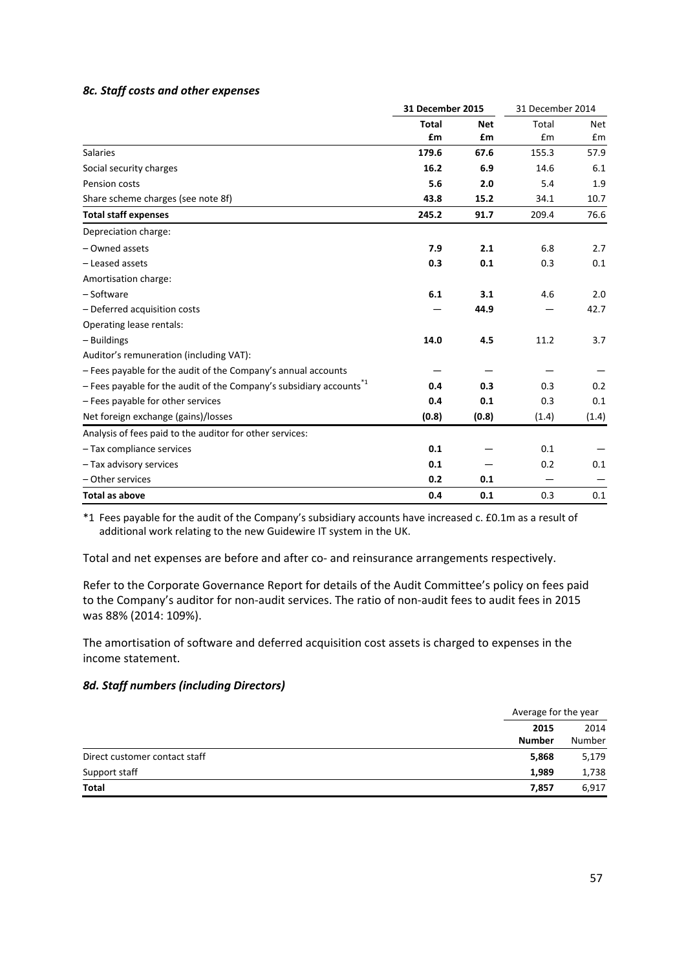### *8c. Staff costs and other expenses*

|                                                                                   | <b>31 December 2015</b> |            | 31 December 2014 |            |
|-----------------------------------------------------------------------------------|-------------------------|------------|------------------|------------|
|                                                                                   | <b>Total</b>            | <b>Net</b> | Total            | <b>Net</b> |
|                                                                                   | £m                      | £m         | £m               | £m         |
| <b>Salaries</b>                                                                   | 179.6                   | 67.6       | 155.3            | 57.9       |
| Social security charges                                                           | 16.2                    | 6.9        | 14.6             | 6.1        |
| Pension costs                                                                     | 5.6                     | 2.0        | 5.4              | 1.9        |
| Share scheme charges (see note 8f)                                                | 43.8                    | 15.2       | 34.1             | 10.7       |
| <b>Total staff expenses</b>                                                       | 245.2                   | 91.7       | 209.4            | 76.6       |
| Depreciation charge:                                                              |                         |            |                  |            |
| - Owned assets                                                                    | 7.9                     | 2.1        | 6.8              | 2.7        |
| - Leased assets                                                                   | 0.3                     | 0.1        | 0.3              | 0.1        |
| Amortisation charge:                                                              |                         |            |                  |            |
| - Software                                                                        | 6.1                     | 3.1        | 4.6              | 2.0        |
| - Deferred acquisition costs                                                      |                         | 44.9       |                  | 42.7       |
| Operating lease rentals:                                                          |                         |            |                  |            |
| - Buildings                                                                       | 14.0                    | 4.5        | 11.2             | 3.7        |
| Auditor's remuneration (including VAT):                                           |                         |            |                  |            |
| - Fees payable for the audit of the Company's annual accounts                     |                         |            |                  |            |
| $-$ Fees payable for the audit of the Company's subsidiary accounts <sup>*1</sup> | 0.4                     | 0.3        | 0.3              | 0.2        |
| - Fees payable for other services                                                 | 0.4                     | 0.1        | 0.3              | 0.1        |
| Net foreign exchange (gains)/losses                                               | (0.8)                   | (0.8)      | (1.4)            | (1.4)      |
| Analysis of fees paid to the auditor for other services:                          |                         |            |                  |            |
| - Tax compliance services                                                         | 0.1                     |            | 0.1              |            |
| - Tax advisory services                                                           | 0.1                     |            | 0.2              | 0.1        |
| - Other services                                                                  | 0.2                     | 0.1        |                  |            |
| <b>Total as above</b>                                                             | 0.4                     | 0.1        | 0.3              | 0.1        |

\*1 Fees payable for the audit of the Company's subsidiary accounts have increased c. £0.1m as a result of additional work relating to the new Guidewire IT system in the UK.

Total and net expenses are before and after co‐ and reinsurance arrangements respectively.

Refer to the Corporate Governance Report for details of the Audit Committee's policy on fees paid to the Company's auditor for non-audit services. The ratio of non-audit fees to audit fees in 2015 was 88% (2014: 109%).

The amortisation of software and deferred acquisition cost assets is charged to expenses in the income statement.

### *8d. Staff numbers (including Directors)*

|                               |                       | Average for the year |  |
|-------------------------------|-----------------------|----------------------|--|
|                               | 2015<br><b>Number</b> | 2014<br>Number       |  |
| Direct customer contact staff | 5,868                 | 5,179                |  |
| Support staff                 | 1,989                 | 1,738                |  |
| <b>Total</b>                  | 7,857                 | 6,917                |  |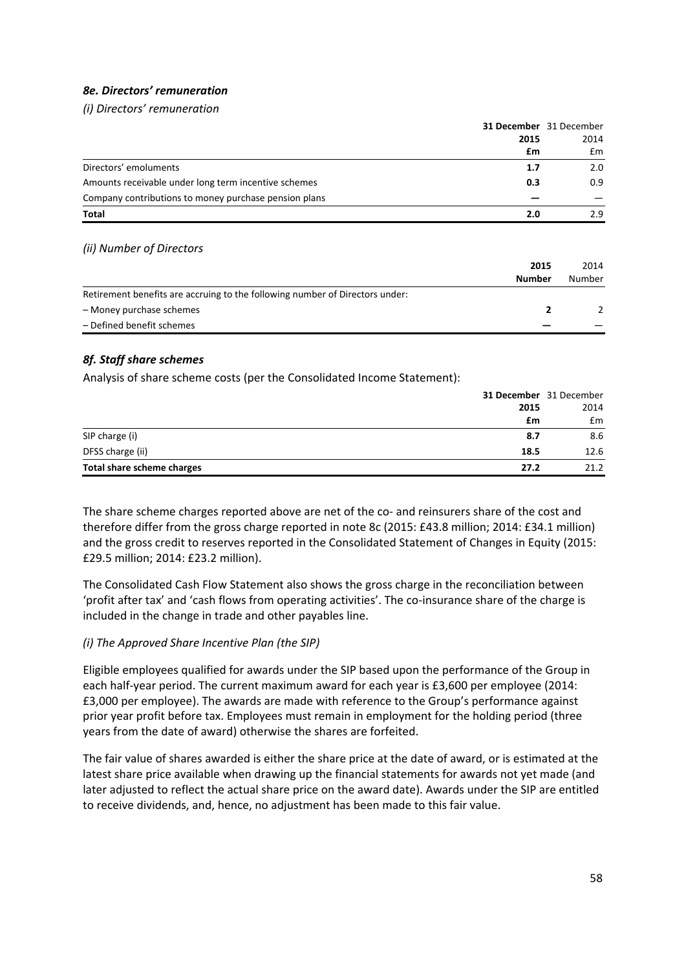# *8e. Directors' remuneration*

*(i) Directors' remuneration*

|                                                             | 31 December 31 December |
|-------------------------------------------------------------|-------------------------|
| 2015                                                        | 2014                    |
| £m                                                          | £m                      |
| Directors' emoluments<br>1.7                                | 2.0                     |
| Amounts receivable under long term incentive schemes<br>0.3 | 0.9                     |
| Company contributions to money purchase pension plans       |                         |
| <b>Total</b><br>2.0                                         | 2.9                     |

### *(ii) Number of Directors*

|                                                                              | 2015<br><b>Number</b> | 2014<br>Number |
|------------------------------------------------------------------------------|-----------------------|----------------|
| Retirement benefits are accruing to the following number of Directors under: |                       |                |
| - Money purchase schemes                                                     |                       |                |
| - Defined benefit schemes                                                    |                       |                |

# *8f. Staff share schemes*

Analysis of share scheme costs (per the Consolidated Income Statement):

|                            |      | <b>31 December</b> 31 December |
|----------------------------|------|--------------------------------|
|                            | 2015 | 2014                           |
|                            | £m   | £m                             |
| SIP charge (i)             | 8.7  | 8.6                            |
| DFSS charge (ii)           | 18.5 | 12.6                           |
| Total share scheme charges | 27.2 | 21.2                           |

The share scheme charges reported above are net of the co- and reinsurers share of the cost and therefore differ from the gross charge reported in note 8c (2015: £43.8 million; 2014: £34.1 million) and the gross credit to reserves reported in the Consolidated Statement of Changes in Equity (2015: £29.5 million; 2014: £23.2 million).

The Consolidated Cash Flow Statement also shows the gross charge in the reconciliation between 'profit after tax' and 'cash flows from operating activities'. The co‐insurance share of the charge is included in the change in trade and other payables line.

### *(i) The Approved Share Incentive Plan (the SIP)*

Eligible employees qualified for awards under the SIP based upon the performance of the Group in each half-year period. The current maximum award for each year is £3,600 per employee (2014: £3,000 per employee). The awards are made with reference to the Group's performance against prior year profit before tax. Employees must remain in employment for the holding period (three years from the date of award) otherwise the shares are forfeited.

The fair value of shares awarded is either the share price at the date of award, or is estimated at the latest share price available when drawing up the financial statements for awards not yet made (and later adjusted to reflect the actual share price on the award date). Awards under the SIP are entitled to receive dividends, and, hence, no adjustment has been made to this fair value.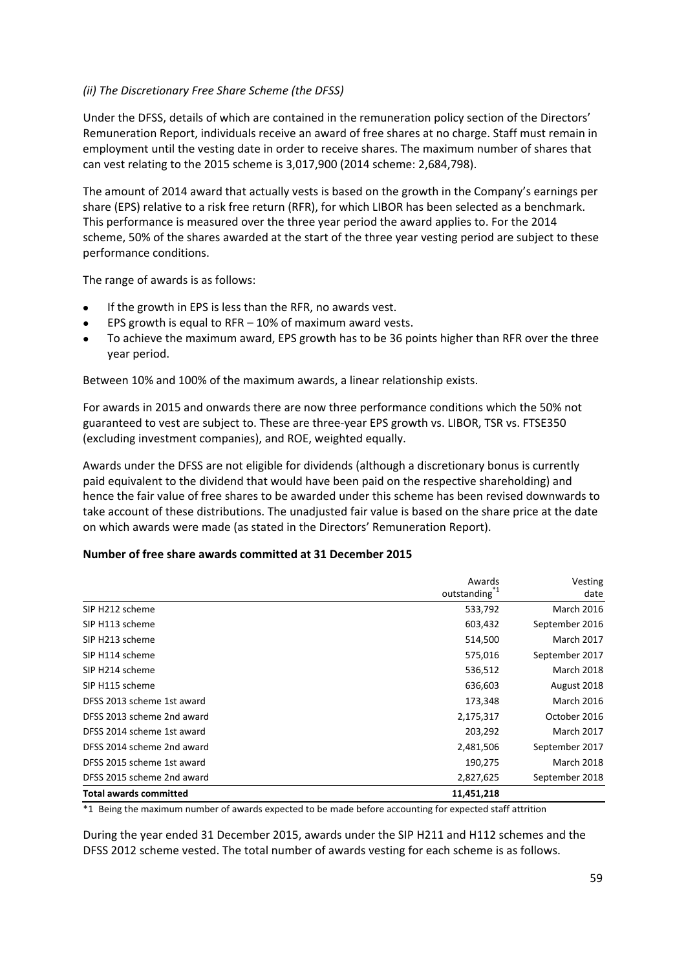# *(ii) The Discretionary Free Share Scheme (the DFSS)*

Under the DFSS, details of which are contained in the remuneration policy section of the Directors' Remuneration Report, individuals receive an award of free shares at no charge. Staff must remain in employment until the vesting date in order to receive shares. The maximum number of shares that can vest relating to the 2015 scheme is 3,017,900 (2014 scheme: 2,684,798).

The amount of 2014 award that actually vests is based on the growth in the Company's earnings per share (EPS) relative to a risk free return (RFR), for which LIBOR has been selected as a benchmark. This performance is measured over the three year period the award applies to. For the 2014 scheme, 50% of the shares awarded at the start of the three year vesting period are subject to these performance conditions.

The range of awards is as follows:

- If the growth in EPS is less than the RFR, no awards vest.
- EPS growth is equal to RFR 10% of maximum award vests.
- To achieve the maximum award, EPS growth has to be 36 points higher than RFR over the three year period.

Between 10% and 100% of the maximum awards, a linear relationship exists.

For awards in 2015 and onwards there are now three performance conditions which the 50% not guaranteed to vest are subject to. These are three‐year EPS growth vs. LIBOR, TSR vs. FTSE350 (excluding investment companies), and ROE, weighted equally.

Awards under the DFSS are not eligible for dividends (although a discretionary bonus is currently paid equivalent to the dividend that would have been paid on the respective shareholding) and hence the fair value of free shares to be awarded under this scheme has been revised downwards to take account of these distributions. The unadjusted fair value is based on the share price at the date on which awards were made (as stated in the Directors' Remuneration Report).

### **Number of free share awards committed at 31 December 2015**

|                               | Awards                    | Vesting           |
|-------------------------------|---------------------------|-------------------|
|                               | outstanding <sup>*1</sup> | date              |
| SIP H212 scheme               | 533,792                   | <b>March 2016</b> |
| SIP H113 scheme               | 603,432                   | September 2016    |
| SIP H213 scheme               | 514,500                   | <b>March 2017</b> |
| SIP H114 scheme               | 575,016                   | September 2017    |
| SIP H214 scheme               | 536,512                   | <b>March 2018</b> |
| SIP H115 scheme               | 636,603                   | August 2018       |
| DFSS 2013 scheme 1st award    | 173,348                   | <b>March 2016</b> |
| DFSS 2013 scheme 2nd award    | 2,175,317                 | October 2016      |
| DFSS 2014 scheme 1st award    | 203,292                   | <b>March 2017</b> |
| DFSS 2014 scheme 2nd award    | 2,481,506                 | September 2017    |
| DFSS 2015 scheme 1st award    | 190,275                   | <b>March 2018</b> |
| DFSS 2015 scheme 2nd award    | 2,827,625                 | September 2018    |
| <b>Total awards committed</b> | 11,451,218                |                   |

\*1 Being the maximum number of awards expected to be made before accounting for expected staff attrition

During the year ended 31 December 2015, awards under the SIP H211 and H112 schemes and the DFSS 2012 scheme vested. The total number of awards vesting for each scheme is as follows.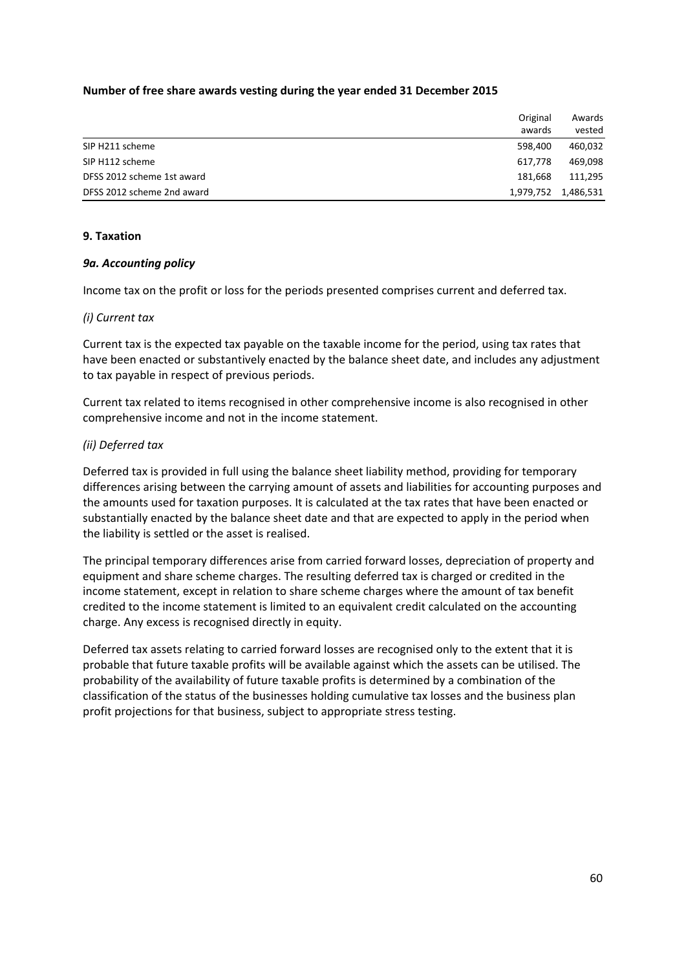### **Number of free share awards vesting during the year ended 31 December 2015**

|                            | Original<br>awards | Awards<br>vested |
|----------------------------|--------------------|------------------|
| SIP H211 scheme            | 598.400            | 460,032          |
| SIP H112 scheme            | 617.778            | 469,098          |
| DFSS 2012 scheme 1st award | 181.668            | 111,295          |
| DFSS 2012 scheme 2nd award | 1,979,752          | 1,486,531        |

### **9. Taxation**

### *9a. Accounting policy*

Income tax on the profit or loss for the periods presented comprises current and deferred tax.

### *(i) Current tax*

Current tax is the expected tax payable on the taxable income for the period, using tax rates that have been enacted or substantively enacted by the balance sheet date, and includes any adjustment to tax payable in respect of previous periods.

Current tax related to items recognised in other comprehensive income is also recognised in other comprehensive income and not in the income statement.

# *(ii) Deferred tax*

Deferred tax is provided in full using the balance sheet liability method, providing for temporary differences arising between the carrying amount of assets and liabilities for accounting purposes and the amounts used for taxation purposes. It is calculated at the tax rates that have been enacted or substantially enacted by the balance sheet date and that are expected to apply in the period when the liability is settled or the asset is realised.

The principal temporary differences arise from carried forward losses, depreciation of property and equipment and share scheme charges. The resulting deferred tax is charged or credited in the income statement, except in relation to share scheme charges where the amount of tax benefit credited to the income statement is limited to an equivalent credit calculated on the accounting charge. Any excess is recognised directly in equity.

Deferred tax assets relating to carried forward losses are recognised only to the extent that it is probable that future taxable profits will be available against which the assets can be utilised. The probability of the availability of future taxable profits is determined by a combination of the classification of the status of the businesses holding cumulative tax losses and the business plan profit projections for that business, subject to appropriate stress testing.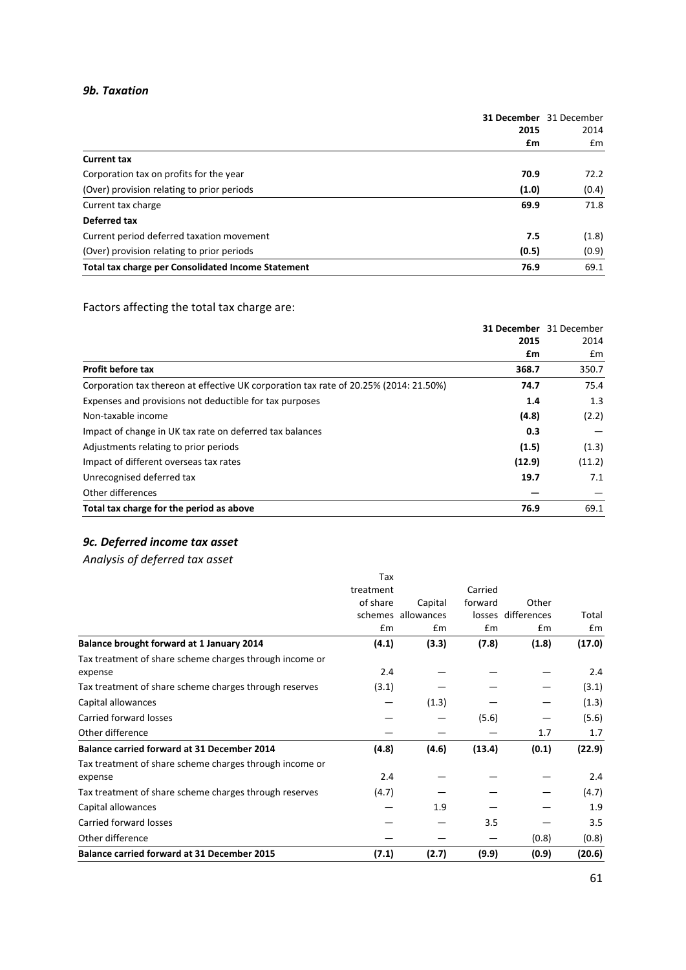### *9b. Taxation*

|                                                           | 2015  | <b>31 December</b> 31 December<br>2014 |  |
|-----------------------------------------------------------|-------|----------------------------------------|--|
|                                                           | £m    | $\mathsf{fm}$                          |  |
| <b>Current tax</b>                                        |       |                                        |  |
| Corporation tax on profits for the year                   | 70.9  | 72.2                                   |  |
| (Over) provision relating to prior periods                | (1.0) | (0.4)                                  |  |
| Current tax charge                                        | 69.9  | 71.8                                   |  |
| Deferred tax                                              |       |                                        |  |
| Current period deferred taxation movement                 | 7.5   | (1.8)                                  |  |
| (Over) provision relating to prior periods                | (0.5) | (0.9)                                  |  |
| <b>Total tax charge per Consolidated Income Statement</b> | 76.9  | 69.1                                   |  |

# Factors affecting the total tax charge are:

|                                                                                       |        | 31 December 31 December |
|---------------------------------------------------------------------------------------|--------|-------------------------|
|                                                                                       | 2015   | 2014                    |
|                                                                                       | £m     | £m                      |
| <b>Profit before tax</b>                                                              | 368.7  | 350.7                   |
| Corporation tax thereon at effective UK corporation tax rate of 20.25% (2014: 21.50%) | 74.7   | 75.4                    |
| Expenses and provisions not deductible for tax purposes                               | 1.4    | 1.3                     |
| Non-taxable income                                                                    | (4.8)  | (2.2)                   |
| Impact of change in UK tax rate on deferred tax balances                              | 0.3    |                         |
| Adjustments relating to prior periods                                                 | (1.5)  | (1.3)                   |
| Impact of different overseas tax rates                                                | (12.9) | (11.2)                  |
| Unrecognised deferred tax                                                             | 19.7   | 7.1                     |
| Other differences                                                                     |        |                         |
| Total tax charge for the period as above                                              | 76.9   | 69.1                    |

# *9c. Deferred income tax asset*

*Analysis of deferred tax asset*

| <b>Balance carried forward at 31 December 2015</b>                 | (7.1)     | (2.7)              | (9.9)   | (0.9)              | (20.6) |
|--------------------------------------------------------------------|-----------|--------------------|---------|--------------------|--------|
| Other difference                                                   |           |                    |         | (0.8)              | (0.8)  |
| Carried forward losses                                             |           |                    | 3.5     |                    | 3.5    |
| Capital allowances                                                 |           | 1.9                |         |                    | 1.9    |
| Tax treatment of share scheme charges through reserves             | (4.7)     |                    |         |                    | (4.7)  |
| expense                                                            | 2.4       |                    |         |                    | 2.4    |
| Tax treatment of share scheme charges through income or            |           |                    |         |                    |        |
| <b>Balance carried forward at 31 December 2014</b>                 | (4.8)     | (4.6)              | (13.4)  | (0.1)              | (22.9) |
| Other difference                                                   |           |                    |         | 1.7                | 1.7    |
| Carried forward losses                                             |           |                    | (5.6)   |                    | (5.6)  |
| Capital allowances                                                 |           | (1.3)              |         |                    | (1.3)  |
| Tax treatment of share scheme charges through reserves             | (3.1)     |                    |         |                    | (3.1)  |
| Tax treatment of share scheme charges through income or<br>expense | 2.4       |                    |         |                    | 2.4    |
| Balance brought forward at 1 January 2014                          | (4.1)     | (3.3)              | (7.8)   | (1.8)              | (17.0) |
|                                                                    | £m        | £m                 | £m      | £m                 | £m     |
|                                                                    |           | schemes allowances |         | losses differences | Total  |
|                                                                    | of share  | Capital            | forward | Other              |        |
|                                                                    | treatment |                    | Carried |                    |        |
|                                                                    | Tax       |                    |         |                    |        |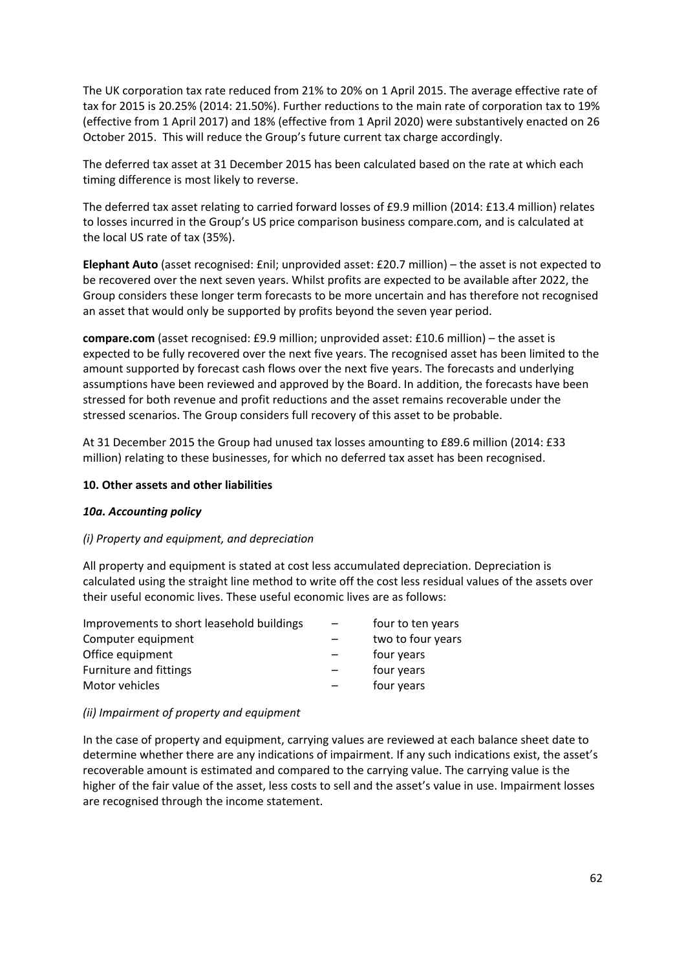The UK corporation tax rate reduced from 21% to 20% on 1 April 2015. The average effective rate of tax for 2015 is 20.25% (2014: 21.50%). Further reductions to the main rate of corporation tax to 19% (effective from 1 April 2017) and 18% (effective from 1 April 2020) were substantively enacted on 26 October 2015. This will reduce the Group's future current tax charge accordingly.

The deferred tax asset at 31 December 2015 has been calculated based on the rate at which each timing difference is most likely to reverse.

The deferred tax asset relating to carried forward losses of £9.9 million (2014: £13.4 million) relates to losses incurred in the Group's US price comparison business compare.com, and is calculated at the local US rate of tax (35%).

**Elephant Auto** (asset recognised: £nil; unprovided asset: £20.7 million) – the asset is not expected to be recovered over the next seven years. Whilst profits are expected to be available after 2022, the Group considers these longer term forecasts to be more uncertain and has therefore not recognised an asset that would only be supported by profits beyond the seven year period.

**compare.com** (asset recognised: £9.9 million; unprovided asset: £10.6 million) – the asset is expected to be fully recovered over the next five years. The recognised asset has been limited to the amount supported by forecast cash flows over the next five years. The forecasts and underlying assumptions have been reviewed and approved by the Board. In addition, the forecasts have been stressed for both revenue and profit reductions and the asset remains recoverable under the stressed scenarios. The Group considers full recovery of this asset to be probable.

At 31 December 2015 the Group had unused tax losses amounting to £89.6 million (2014: £33 million) relating to these businesses, for which no deferred tax asset has been recognised.

### **10. Other assets and other liabilities**

#### *10a. Accounting policy*

### *(i) Property and equipment, and depreciation*

All property and equipment is stated at cost less accumulated depreciation. Depreciation is calculated using the straight line method to write off the cost less residual values of the assets over their useful economic lives. These useful economic lives are as follows:

| Improvements to short leasehold buildings | four to ten years |
|-------------------------------------------|-------------------|
| Computer equipment                        | two to four years |
| Office equipment                          | four years        |
| <b>Furniture and fittings</b>             | four years        |
| Motor vehicles                            | four years        |

#### *(ii) Impairment of property and equipment*

In the case of property and equipment, carrying values are reviewed at each balance sheet date to determine whether there are any indications of impairment. If any such indications exist, the asset's recoverable amount is estimated and compared to the carrying value. The carrying value is the higher of the fair value of the asset, less costs to sell and the asset's value in use. Impairment losses are recognised through the income statement.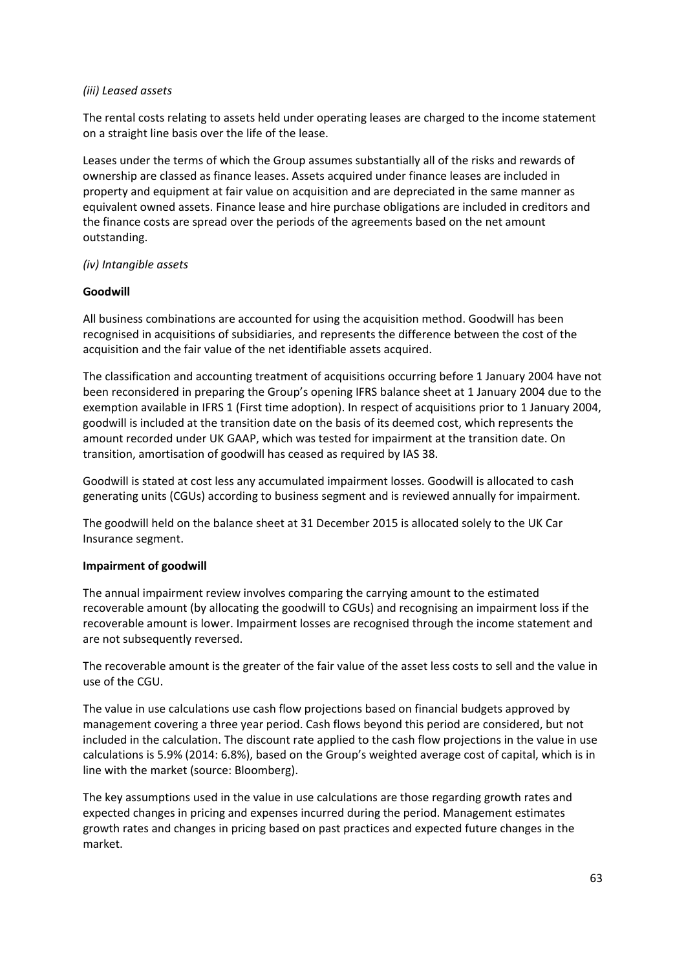### *(iii) Leased assets*

The rental costs relating to assets held under operating leases are charged to the income statement on a straight line basis over the life of the lease.

Leases under the terms of which the Group assumes substantially all of the risks and rewards of ownership are classed as finance leases. Assets acquired under finance leases are included in property and equipment at fair value on acquisition and are depreciated in the same manner as equivalent owned assets. Finance lease and hire purchase obligations are included in creditors and the finance costs are spread over the periods of the agreements based on the net amount outstanding.

# *(iv) Intangible assets*

# **Goodwill**

All business combinations are accounted for using the acquisition method. Goodwill has been recognised in acquisitions of subsidiaries, and represents the difference between the cost of the acquisition and the fair value of the net identifiable assets acquired.

The classification and accounting treatment of acquisitions occurring before 1 January 2004 have not been reconsidered in preparing the Group's opening IFRS balance sheet at 1 January 2004 due to the exemption available in IFRS 1 (First time adoption). In respect of acquisitions prior to 1 January 2004, goodwill is included at the transition date on the basis of its deemed cost, which represents the amount recorded under UK GAAP, which was tested for impairment at the transition date. On transition, amortisation of goodwill has ceased as required by IAS 38.

Goodwill is stated at cost less any accumulated impairment losses. Goodwill is allocated to cash generating units (CGUs) according to business segment and is reviewed annually for impairment.

The goodwill held on the balance sheet at 31 December 2015 is allocated solely to the UK Car Insurance segment.

### **Impairment of goodwill**

The annual impairment review involves comparing the carrying amount to the estimated recoverable amount (by allocating the goodwill to CGUs) and recognising an impairment loss if the recoverable amount is lower. Impairment losses are recognised through the income statement and are not subsequently reversed.

The recoverable amount is the greater of the fair value of the asset less costs to sell and the value in use of the CGU.

The value in use calculations use cash flow projections based on financial budgets approved by management covering a three year period. Cash flows beyond this period are considered, but not included in the calculation. The discount rate applied to the cash flow projections in the value in use calculations is 5.9% (2014: 6.8%), based on the Group's weighted average cost of capital, which is in line with the market (source: Bloomberg).

The key assumptions used in the value in use calculations are those regarding growth rates and expected changes in pricing and expenses incurred during the period. Management estimates growth rates and changes in pricing based on past practices and expected future changes in the market.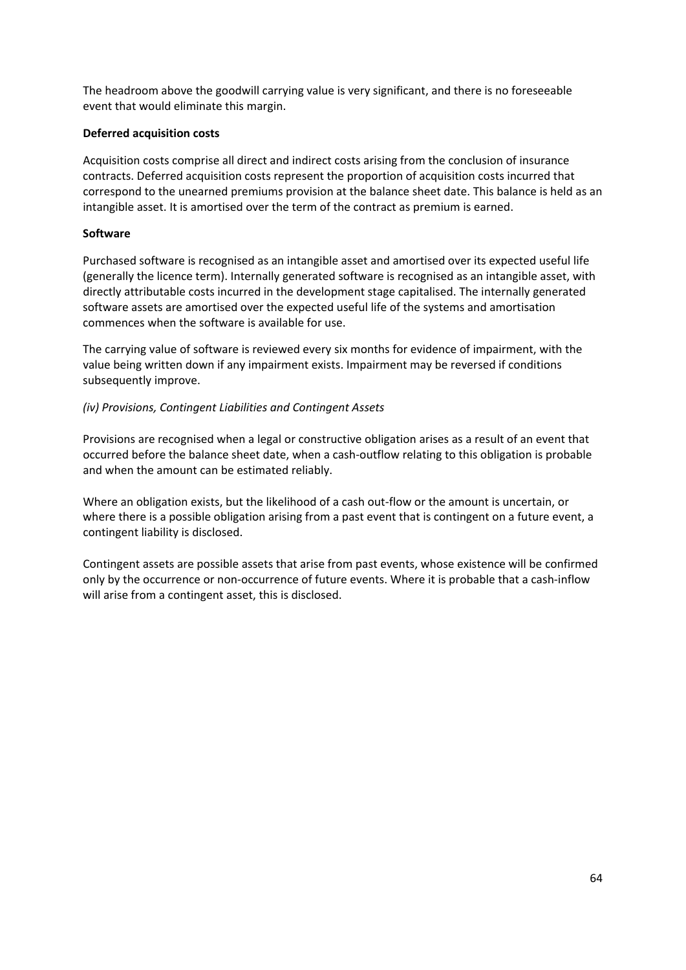The headroom above the goodwill carrying value is very significant, and there is no foreseeable event that would eliminate this margin.

# **Deferred acquisition costs**

Acquisition costs comprise all direct and indirect costs arising from the conclusion of insurance contracts. Deferred acquisition costs represent the proportion of acquisition costs incurred that correspond to the unearned premiums provision at the balance sheet date. This balance is held as an intangible asset. It is amortised over the term of the contract as premium is earned.

### **Software**

Purchased software is recognised as an intangible asset and amortised over its expected useful life (generally the licence term). Internally generated software is recognised as an intangible asset, with directly attributable costs incurred in the development stage capitalised. The internally generated software assets are amortised over the expected useful life of the systems and amortisation commences when the software is available for use.

The carrying value of software is reviewed every six months for evidence of impairment, with the value being written down if any impairment exists. Impairment may be reversed if conditions subsequently improve.

# *(iv) Provisions, Contingent Liabilities and Contingent Assets*

Provisions are recognised when a legal or constructive obligation arises as a result of an event that occurred before the balance sheet date, when a cash‐outflow relating to this obligation is probable and when the amount can be estimated reliably.

Where an obligation exists, but the likelihood of a cash out‐flow or the amount is uncertain, or where there is a possible obligation arising from a past event that is contingent on a future event, a contingent liability is disclosed.

Contingent assets are possible assets that arise from past events, whose existence will be confirmed only by the occurrence or non-occurrence of future events. Where it is probable that a cash-inflow will arise from a contingent asset, this is disclosed.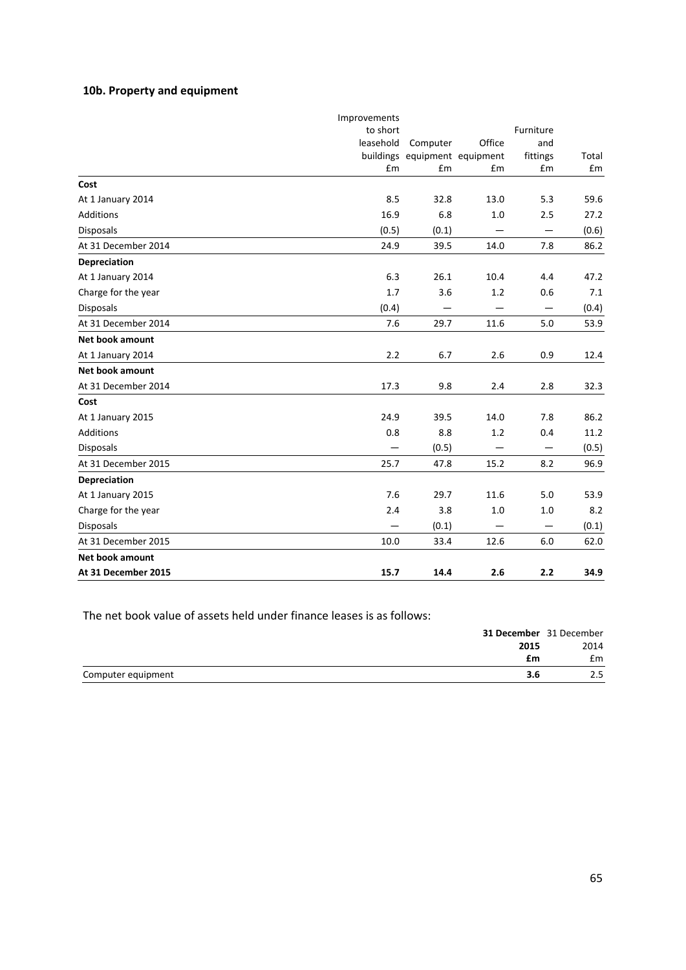# **10b. Property and equipment**

|                        | Improvements |                               |                                  |                   |       |
|------------------------|--------------|-------------------------------|----------------------------------|-------------------|-------|
|                        | to short     |                               |                                  | Furniture         |       |
|                        | leasehold    | Computer                      | Office                           | and               |       |
|                        |              | buildings equipment equipment |                                  | fittings          | Total |
|                        | £m           | £m                            | £m                               | £m                | £m    |
| Cost                   |              |                               |                                  |                   |       |
| At 1 January 2014      | 8.5          | 32.8                          | 13.0                             | 5.3               | 59.6  |
| <b>Additions</b>       | 16.9         | 6.8                           | 1.0                              | 2.5               | 27.2  |
| <b>Disposals</b>       | (0.5)        | (0.1)                         |                                  | $\qquad \qquad -$ | (0.6) |
| At 31 December 2014    | 24.9         | 39.5                          | 14.0                             | 7.8               | 86.2  |
| Depreciation           |              |                               |                                  |                   |       |
| At 1 January 2014      | 6.3          | 26.1                          | 10.4                             | 4.4               | 47.2  |
| Charge for the year    | 1.7          | 3.6                           | 1.2                              | 0.6               | 7.1   |
| <b>Disposals</b>       | (0.4)        | —                             |                                  | $\qquad \qquad -$ | (0.4) |
| At 31 December 2014    | 7.6          | 29.7                          | 11.6                             | 5.0               | 53.9  |
| Net book amount        |              |                               |                                  |                   |       |
| At 1 January 2014      | 2.2          | 6.7                           | 2.6                              | 0.9               | 12.4  |
| <b>Net book amount</b> |              |                               |                                  |                   |       |
| At 31 December 2014    | 17.3         | 9.8                           | 2.4                              | 2.8               | 32.3  |
| Cost                   |              |                               |                                  |                   |       |
| At 1 January 2015      | 24.9         | 39.5                          | 14.0                             | 7.8               | 86.2  |
| <b>Additions</b>       | 0.8          | 8.8                           | 1.2                              | 0.4               | 11.2  |
| <b>Disposals</b>       |              | (0.5)                         | $\overbrace{\phantom{12321111}}$ |                   | (0.5) |
| At 31 December 2015    | 25.7         | 47.8                          | 15.2                             | 8.2               | 96.9  |
| Depreciation           |              |                               |                                  |                   |       |
| At 1 January 2015      | 7.6          | 29.7                          | 11.6                             | 5.0               | 53.9  |
| Charge for the year    | 2.4          | 3.8                           | 1.0                              | 1.0               | 8.2   |
| <b>Disposals</b>       |              | (0.1)                         |                                  | —                 | (0.1) |
| At 31 December 2015    | 10.0         | 33.4                          | 12.6                             | 6.0               | 62.0  |
| <b>Net book amount</b> |              |                               |                                  |                   |       |
| At 31 December 2015    | 15.7         | 14.4                          | 2.6                              | 2.2               | 34.9  |

The net book value of assets held under finance leases is as follows:

| <b>31 December</b> 31 December |      |
|--------------------------------|------|
| 2015                           | 2014 |
| £m                             | £m   |
| Computer equipment<br>3.6      | 2.5  |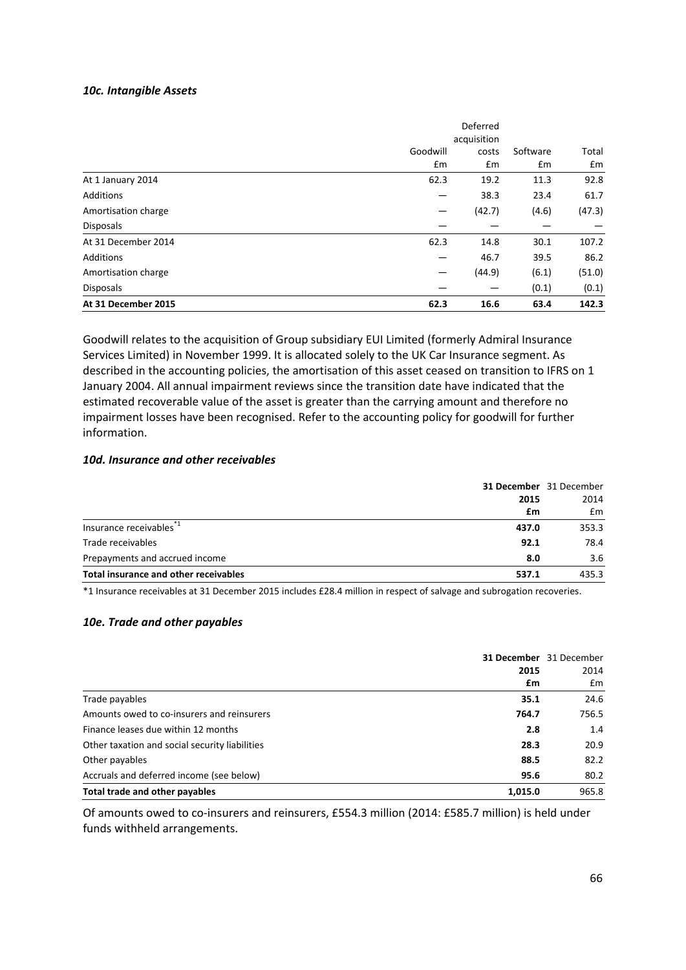#### *10c. Intangible Assets*

|                     |             | Deferred |          |        |
|---------------------|-------------|----------|----------|--------|
|                     | acquisition |          |          |        |
|                     | Goodwill    | costs    | Software | Total  |
|                     | £m          | £m       | £m       | £m     |
| At 1 January 2014   | 62.3        | 19.2     | 11.3     | 92.8   |
| Additions           |             | 38.3     | 23.4     | 61.7   |
| Amortisation charge |             | (42.7)   | (4.6)    | (47.3) |
| <b>Disposals</b>    |             |          |          |        |
| At 31 December 2014 | 62.3        | 14.8     | 30.1     | 107.2  |
| <b>Additions</b>    |             | 46.7     | 39.5     | 86.2   |
| Amortisation charge |             | (44.9)   | (6.1)    | (51.0) |
| <b>Disposals</b>    |             |          | (0.1)    | (0.1)  |
| At 31 December 2015 | 62.3        | 16.6     | 63.4     | 142.3  |

Goodwill relates to the acquisition of Group subsidiary EUI Limited (formerly Admiral Insurance Services Limited) in November 1999. It is allocated solely to the UK Car Insurance segment. As described in the accounting policies, the amortisation of this asset ceased on transition to IFRS on 1 January 2004. All annual impairment reviews since the transition date have indicated that the estimated recoverable value of the asset is greater than the carrying amount and therefore no impairment losses have been recognised. Refer to the accounting policy for goodwill for further information.

#### *10d. Insurance and other receivables*

| 31 December 31 December                        |       |
|------------------------------------------------|-------|
| 2015                                           | 2014  |
| £m                                             | £m    |
| Insurance receivables <sup>*1</sup><br>437.0   | 353.3 |
| Trade receivables<br>92.1                      | 78.4  |
| Prepayments and accrued income<br>8.0          | 3.6   |
| Total insurance and other receivables<br>537.1 | 435.3 |

\*1 Insurance receivables at 31 December 2015 includes £28.4 million in respect of salvage and subrogation recoveries.

#### *10e. Trade and other payables*

|                                                |         | <b>31 December</b> 31 December |
|------------------------------------------------|---------|--------------------------------|
|                                                | 2015    | 2014                           |
|                                                | £m      | £m                             |
| Trade payables                                 | 35.1    | 24.6                           |
| Amounts owed to co-insurers and reinsurers     | 764.7   | 756.5                          |
| Finance leases due within 12 months            | 2.8     | 1.4                            |
| Other taxation and social security liabilities | 28.3    | 20.9                           |
| Other payables                                 | 88.5    | 82.2                           |
| Accruals and deferred income (see below)       | 95.6    | 80.2                           |
| Total trade and other payables                 | 1.015.0 | 965.8                          |

Of amounts owed to co‐insurers and reinsurers, £554.3 million (2014: £585.7 million) is held under funds withheld arrangements.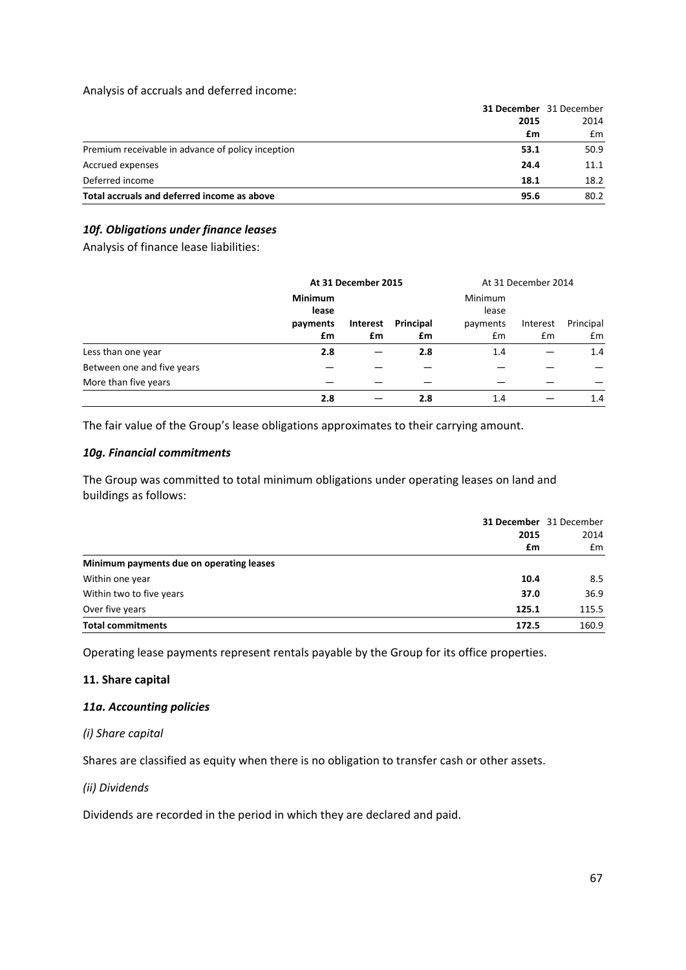### Analysis of accruals and deferred income:

| Total accruals and deferred income as above       | 95.6                    | 80.2 |
|---------------------------------------------------|-------------------------|------|
| Deferred income                                   | 18.1                    | 18.2 |
| Accrued expenses                                  | 24.4                    | 11.1 |
| Premium receivable in advance of policy inception | 53.1                    | 50.9 |
|                                                   | £m                      | £m   |
|                                                   | 2015                    | 2014 |
|                                                   | 31 December 31 December |      |

# *10f. Obligations under finance leases*

Analysis of finance lease liabilities:

|                            |                         | At 31 December 2015 |           |                         | At 31 December 2014 |           |
|----------------------------|-------------------------|---------------------|-----------|-------------------------|---------------------|-----------|
|                            | <b>Minimum</b><br>lease |                     |           | <b>Minimum</b><br>lease |                     |           |
|                            | payments                | Interest            | Principal | payments                | Interest            | Principal |
|                            | £m                      | £m                  | £m        | Em                      | Em                  | £m        |
| Less than one year         | 2.8                     |                     | 2.8       | 1.4                     |                     | 1.4       |
| Between one and five years |                         |                     |           |                         |                     |           |
| More than five years       |                         |                     |           |                         |                     |           |
|                            | 2.8                     |                     | 2.8       | 1.4                     |                     | 1.4       |

The fair value of the Group's lease obligations approximates to their carrying amount.

### *10g. Financial commitments*

The Group was committed to total minimum obligations under operating leases on land and buildings as follows:

|                                          |       | <b>31 December</b> 31 December |
|------------------------------------------|-------|--------------------------------|
|                                          | 2015  | 2014                           |
|                                          | £m    | £m                             |
| Minimum payments due on operating leases |       |                                |
| Within one year                          | 10.4  | 8.5                            |
| Within two to five years                 | 37.0  | 36.9                           |
| Over five years                          | 125.1 | 115.5                          |
| <b>Total commitments</b>                 | 172.5 | 160.9                          |

Operating lease payments represent rentals payable by the Group for its office properties.

### **11. Share capital**

### *11a. Accounting policies*

### *(i) Share capital*

Shares are classified as equity when there is no obligation to transfer cash or other assets.

### *(ii) Dividends*

Dividends are recorded in the period in which they are declared and paid.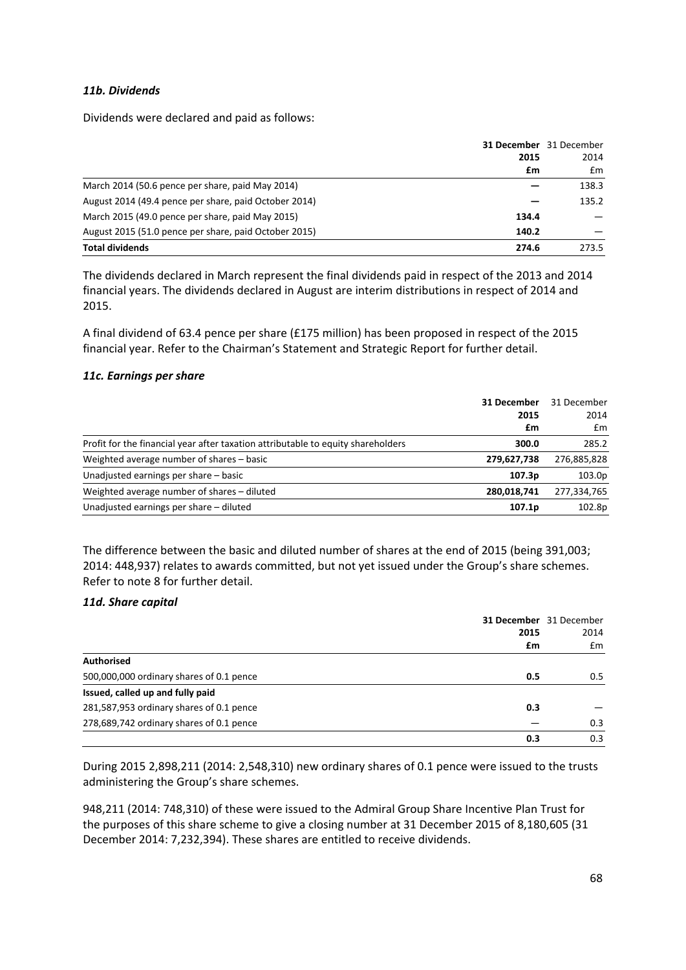### *11b. Dividends*

Dividends were declared and paid as follows:

| 2015                                                           |    | <b>31 December</b> 31 December<br>2014 |
|----------------------------------------------------------------|----|----------------------------------------|
|                                                                | £m | Em                                     |
| March 2014 (50.6 pence per share, paid May 2014)               |    | 138.3                                  |
| August 2014 (49.4 pence per share, paid October 2014)          |    | 135.2                                  |
| March 2015 (49.0 pence per share, paid May 2015)<br>134.4      |    |                                        |
| August 2015 (51.0 pence per share, paid October 2015)<br>140.2 |    |                                        |
| <b>Total dividends</b><br>274.6                                |    | 273.5                                  |

The dividends declared in March represent the final dividends paid in respect of the 2013 and 2014 financial years. The dividends declared in August are interim distributions in respect of 2014 and 2015.

A final dividend of 63.4 pence per share (£175 million) has been proposed in respect of the 2015 financial year. Refer to the Chairman's Statement and Strategic Report for further detail.

### *11c. Earnings per share*

|                                                                                  | 31 December<br>2015 | 31 December<br>2014 |
|----------------------------------------------------------------------------------|---------------------|---------------------|
|                                                                                  | £m                  | Em                  |
| Profit for the financial year after taxation attributable to equity shareholders | 300.0               | 285.2               |
| Weighted average number of shares - basic                                        | 279,627,738         | 276,885,828         |
| Unadjusted earnings per share - basic                                            | 107.3 <sub>p</sub>  | 103.0p              |
| Weighted average number of shares - diluted                                      | 280,018,741         | 277,334,765         |
| Unadjusted earnings per share - diluted                                          | 107.1p              | 102.8p              |

The difference between the basic and diluted number of shares at the end of 2015 (being 391,003; 2014: 448,937) relates to awards committed, but not yet issued under the Group's share schemes. Refer to note 8 for further detail.

### *11d. Share capital*

|                                          |      | <b>31 December</b> 31 December |
|------------------------------------------|------|--------------------------------|
|                                          | 2015 | 2014                           |
|                                          | £m   | £m                             |
| <b>Authorised</b>                        |      |                                |
| 500,000,000 ordinary shares of 0.1 pence | 0.5  | 0.5                            |
| Issued, called up and fully paid         |      |                                |
| 281,587,953 ordinary shares of 0.1 pence | 0.3  |                                |
| 278,689,742 ordinary shares of 0.1 pence |      | 0.3                            |
|                                          | 0.3  | 0.3                            |

During 2015 2,898,211 (2014: 2,548,310) new ordinary shares of 0.1 pence were issued to the trusts administering the Group's share schemes.

948,211 (2014: 748,310) of these were issued to the Admiral Group Share Incentive Plan Trust for the purposes of this share scheme to give a closing number at 31 December 2015 of 8,180,605 (31 December 2014: 7,232,394). These shares are entitled to receive dividends.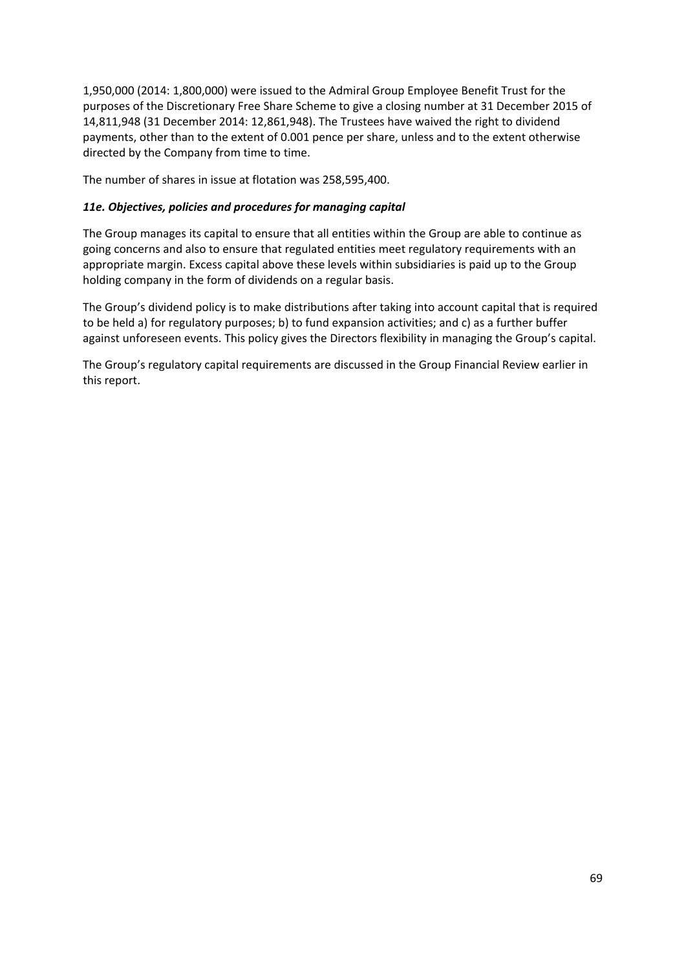1,950,000 (2014: 1,800,000) were issued to the Admiral Group Employee Benefit Trust for the purposes of the Discretionary Free Share Scheme to give a closing number at 31 December 2015 of 14,811,948 (31 December 2014: 12,861,948). The Trustees have waived the right to dividend payments, other than to the extent of 0.001 pence per share, unless and to the extent otherwise directed by the Company from time to time.

The number of shares in issue at flotation was 258,595,400.

# *11e. Objectives, policies and procedures for managing capital*

The Group manages its capital to ensure that all entities within the Group are able to continue as going concerns and also to ensure that regulated entities meet regulatory requirements with an appropriate margin. Excess capital above these levels within subsidiaries is paid up to the Group holding company in the form of dividends on a regular basis.

The Group's dividend policy is to make distributions after taking into account capital that is required to be held a) for regulatory purposes; b) to fund expansion activities; and c) as a further buffer against unforeseen events. This policy gives the Directors flexibility in managing the Group's capital.

The Group's regulatory capital requirements are discussed in the Group Financial Review earlier in this report.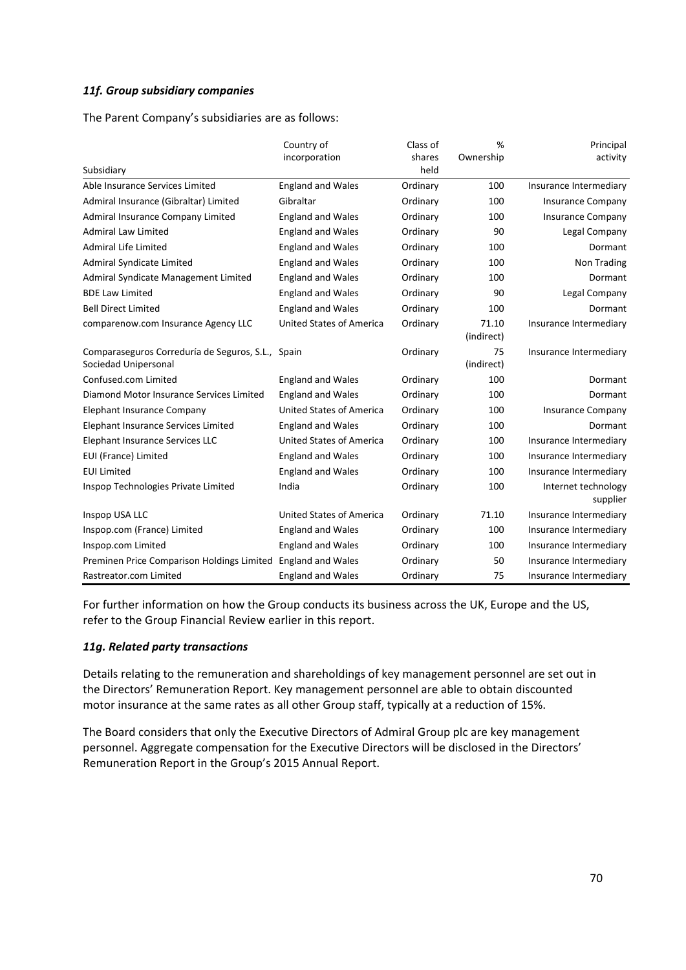### *11f. Group subsidiary companies*

The Parent Company's subsidiaries are as follows:

|                                                                           | Country of<br>incorporation     | Class of<br>shares | %<br>Ownership      | Principal<br>activity           |
|---------------------------------------------------------------------------|---------------------------------|--------------------|---------------------|---------------------------------|
| Subsidiary                                                                |                                 | held               |                     |                                 |
| Able Insurance Services Limited                                           | <b>England and Wales</b>        | Ordinary           | 100                 | Insurance Intermediary          |
| Admiral Insurance (Gibraltar) Limited                                     | Gibraltar                       | Ordinary           | 100                 | <b>Insurance Company</b>        |
| Admiral Insurance Company Limited                                         | <b>England and Wales</b>        | Ordinary           | 100                 | <b>Insurance Company</b>        |
| <b>Admiral Law Limited</b>                                                | <b>England and Wales</b>        | Ordinary           | 90                  | Legal Company                   |
| <b>Admiral Life Limited</b>                                               | <b>England and Wales</b>        | Ordinary           | 100                 | Dormant                         |
| <b>Admiral Syndicate Limited</b>                                          | <b>England and Wales</b>        | Ordinary           | 100                 | Non Trading                     |
| Admiral Syndicate Management Limited                                      | <b>England and Wales</b>        | Ordinary           | 100                 | Dormant                         |
| <b>BDE Law Limited</b>                                                    | <b>England and Wales</b>        | Ordinary           | 90                  | Legal Company                   |
| <b>Bell Direct Limited</b>                                                | <b>England and Wales</b>        | Ordinary           | 100                 | Dormant                         |
| comparenow.com Insurance Agency LLC                                       | <b>United States of America</b> | Ordinary           | 71.10<br>(indirect) | Insurance Intermediary          |
| Comparaseguros Correduría de Seguros, S.L., Spain<br>Sociedad Unipersonal |                                 | Ordinary           | 75<br>(indirect)    | Insurance Intermediary          |
| Confused.com Limited                                                      | <b>England and Wales</b>        | Ordinary           | 100                 | Dormant                         |
| Diamond Motor Insurance Services Limited                                  | <b>England and Wales</b>        | Ordinary           | 100                 | Dormant                         |
| Elephant Insurance Company                                                | <b>United States of America</b> | Ordinary           | 100                 | <b>Insurance Company</b>        |
| Elephant Insurance Services Limited                                       | <b>England and Wales</b>        | Ordinary           | 100                 | Dormant                         |
| Elephant Insurance Services LLC                                           | <b>United States of America</b> | Ordinary           | 100                 | Insurance Intermediary          |
| EUI (France) Limited                                                      | <b>England and Wales</b>        | Ordinary           | 100                 | Insurance Intermediary          |
| <b>EUI Limited</b>                                                        | <b>England and Wales</b>        | Ordinary           | 100                 | Insurance Intermediary          |
| Inspop Technologies Private Limited                                       | India                           | Ordinary           | 100                 | Internet technology<br>supplier |
| Inspop USA LLC                                                            | United States of America        | Ordinary           | 71.10               | Insurance Intermediary          |
| Inspop.com (France) Limited                                               | <b>England and Wales</b>        | Ordinary           | 100                 | Insurance Intermediary          |
| Inspop.com Limited                                                        | <b>England and Wales</b>        | Ordinary           | 100                 | Insurance Intermediary          |
| Preminen Price Comparison Holdings Limited                                | <b>England and Wales</b>        | Ordinary           | 50                  | Insurance Intermediary          |
| Rastreator.com Limited                                                    | <b>England and Wales</b>        | Ordinary           | 75                  | Insurance Intermediary          |

For further information on how the Group conducts its business across the UK, Europe and the US, refer to the Group Financial Review earlier in this report.

### *11g. Related party transactions*

Details relating to the remuneration and shareholdings of key management personnel are set out in the Directors' Remuneration Report. Key management personnel are able to obtain discounted motor insurance at the same rates as all other Group staff, typically at a reduction of 15%.

The Board considers that only the Executive Directors of Admiral Group plc are key management personnel. Aggregate compensation for the Executive Directors will be disclosed in the Directors' Remuneration Report in the Group's 2015 Annual Report.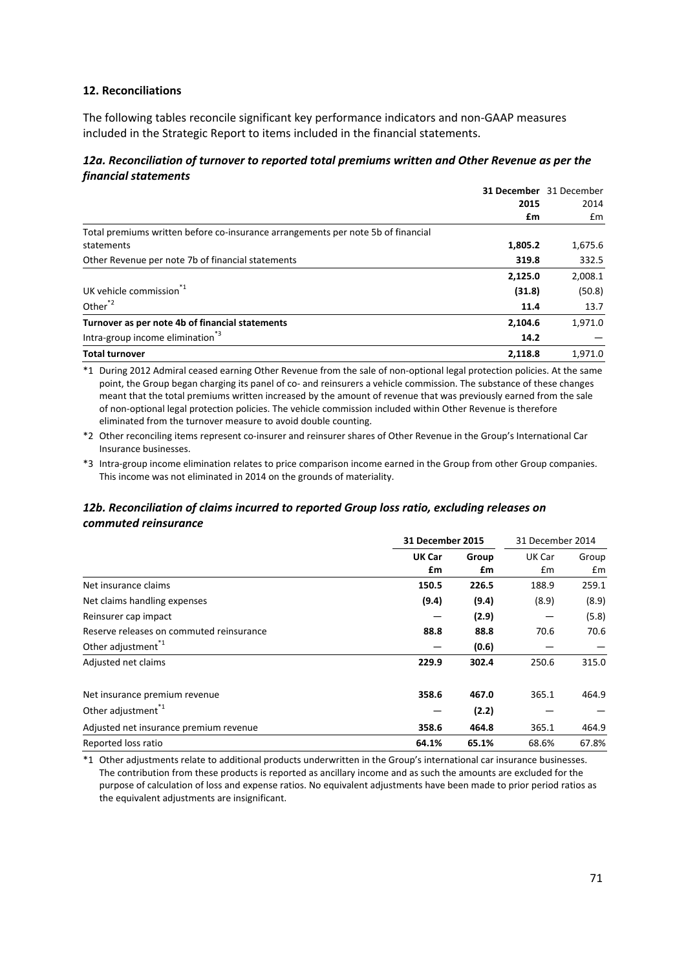### **12. Reconciliations**

The following tables reconcile significant key performance indicators and non‐GAAP measures included in the Strategic Report to items included in the financial statements.

### *12a. Reconciliation of turnover to reported total premiums written and Other Revenue as per the financial statements*

|                                                                                  |         | 31 December 31 December |
|----------------------------------------------------------------------------------|---------|-------------------------|
|                                                                                  | 2015    | 2014                    |
|                                                                                  | £m      | £m                      |
| Total premiums written before co-insurance arrangements per note 5b of financial |         |                         |
| statements                                                                       | 1,805.2 | 1,675.6                 |
| Other Revenue per note 7b of financial statements                                | 319.8   | 332.5                   |
|                                                                                  | 2,125.0 | 2,008.1                 |
| UK vehicle commission <sup>1</sup>                                               | (31.8)  | (50.8)                  |
| Other <sup>*2</sup>                                                              | 11.4    | 13.7                    |
| Turnover as per note 4b of financial statements                                  | 2,104.6 | 1,971.0                 |
| Intra-group income elimination <sup>3</sup>                                      | 14.2    |                         |
| <b>Total turnover</b>                                                            | 2.118.8 | 1.971.0                 |

\*1 During 2012 Admiral ceased earning Other Revenue from the sale of non‐optional legal protection policies. At the same point, the Group began charging its panel of co- and reinsurers a vehicle commission. The substance of these changes meant that the total premiums written increased by the amount of revenue that was previously earned from the sale of non‐optional legal protection policies. The vehicle commission included within Other Revenue is therefore eliminated from the turnover measure to avoid double counting.

\*2 Other reconciling items represent co‐insurer and reinsurer shares of Other Revenue in the Group's International Car Insurance businesses.

\*3 Intra‐group income elimination relates to price comparison income earned in the Group from other Group companies. This income was not eliminated in 2014 on the grounds of materiality.

# *12b. Reconciliation of claims incurred to reported Group loss ratio, excluding releases on commuted reinsurance*

|                                          |        | <b>31 December 2015</b> |               | 31 December 2014 |  |  |
|------------------------------------------|--------|-------------------------|---------------|------------------|--|--|
|                                          | UK Car | Group                   | UK Car        | Group            |  |  |
|                                          | £m     | £m                      | $\mathsf{fm}$ | £m               |  |  |
| Net insurance claims                     | 150.5  | 226.5                   | 188.9         | 259.1            |  |  |
| Net claims handling expenses             | (9.4)  | (9.4)                   | (8.9)         | (8.9)            |  |  |
| Reinsurer cap impact                     |        | (2.9)                   |               | (5.8)            |  |  |
| Reserve releases on commuted reinsurance | 88.8   | 88.8                    | 70.6          | 70.6             |  |  |
| Other adjustment <sup>"1</sup>           |        | (0.6)                   |               |                  |  |  |
| Adjusted net claims                      | 229.9  | 302.4                   | 250.6         | 315.0            |  |  |
| Net insurance premium revenue            | 358.6  | 467.0                   | 365.1         | 464.9            |  |  |
| Other adjustment <sup>*1</sup>           |        | (2.2)                   |               |                  |  |  |
| Adjusted net insurance premium revenue   | 358.6  | 464.8                   | 365.1         | 464.9            |  |  |
| Reported loss ratio                      | 64.1%  | 65.1%                   | 68.6%         | 67.8%            |  |  |

\*1 Other adjustments relate to additional products underwritten in the Group's international car insurance businesses. The contribution from these products is reported as ancillary income and as such the amounts are excluded for the purpose of calculation of loss and expense ratios. No equivalent adjustments have been made to prior period ratios as the equivalent adjustments are insignificant.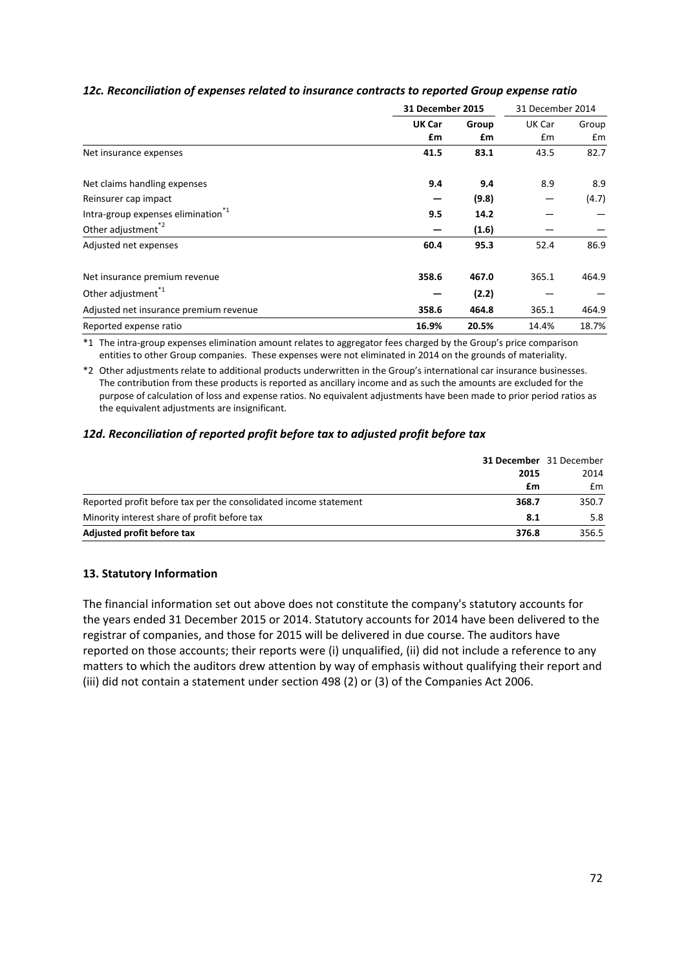|                                               |              | 31 December 2015 |              | 31 December 2014 |  |
|-----------------------------------------------|--------------|------------------|--------------|------------------|--|
|                                               | UK Car<br>£m | Group<br>£m      | UK Car<br>£m | Group<br>£m      |  |
| Net insurance expenses                        | 41.5         | 83.1             | 43.5         | 82.7             |  |
| Net claims handling expenses                  | 9.4          | 9.4              | 8.9          | 8.9              |  |
| Reinsurer cap impact                          |              | (9.8)            |              | (4.7)            |  |
| Intra-group expenses elimination <sup>1</sup> | 9.5          | 14.2             |              |                  |  |
| Other adjustment <sup>*2</sup>                |              | (1.6)            |              |                  |  |
| Adjusted net expenses                         | 60.4         | 95.3             | 52.4         | 86.9             |  |
| Net insurance premium revenue                 | 358.6        | 467.0            | 365.1        | 464.9            |  |
| Other adjustment <sup>*1</sup>                |              | (2.2)            |              |                  |  |
| Adjusted net insurance premium revenue        | 358.6        | 464.8            | 365.1        | 464.9            |  |
| Reported expense ratio                        | 16.9%        | 20.5%            | 14.4%        | 18.7%            |  |

# *12c. Reconciliation of expenses related to insurance contracts to reported Group expense ratio*

\*1 The intra‐group expenses elimination amount relates to aggregator fees charged by the Group's price comparison entities to other Group companies. These expenses were not eliminated in 2014 on the grounds of materiality.

\*2 Other adjustments relate to additional products underwritten in the Group's international car insurance businesses. The contribution from these products is reported as ancillary income and as such the amounts are excluded for the purpose of calculation of loss and expense ratios. No equivalent adjustments have been made to prior period ratios as the equivalent adjustments are insignificant.

# *12d. Reconciliation of reported profit before tax to adjusted profit before tax*

|                                                                  |       | <b>31 December</b> 31 December |
|------------------------------------------------------------------|-------|--------------------------------|
|                                                                  | 2015  | 2014                           |
|                                                                  | £m    | £m                             |
| Reported profit before tax per the consolidated income statement | 368.7 | 350.7                          |
| Minority interest share of profit before tax                     | 8.1   | 5.8                            |
| Adjusted profit before tax                                       | 376.8 | 356.5                          |

### **13. Statutory Information**

The financial information set out above does not constitute the company's statutory accounts for the years ended 31 December 2015 or 2014. Statutory accounts for 2014 have been delivered to the registrar of companies, and those for 2015 will be delivered in due course. The auditors have reported on those accounts; their reports were (i) unqualified, (ii) did not include a reference to any matters to which the auditors drew attention by way of emphasis without qualifying their report and (iii) did not contain a statement under section 498 (2) or (3) of the Companies Act 2006.